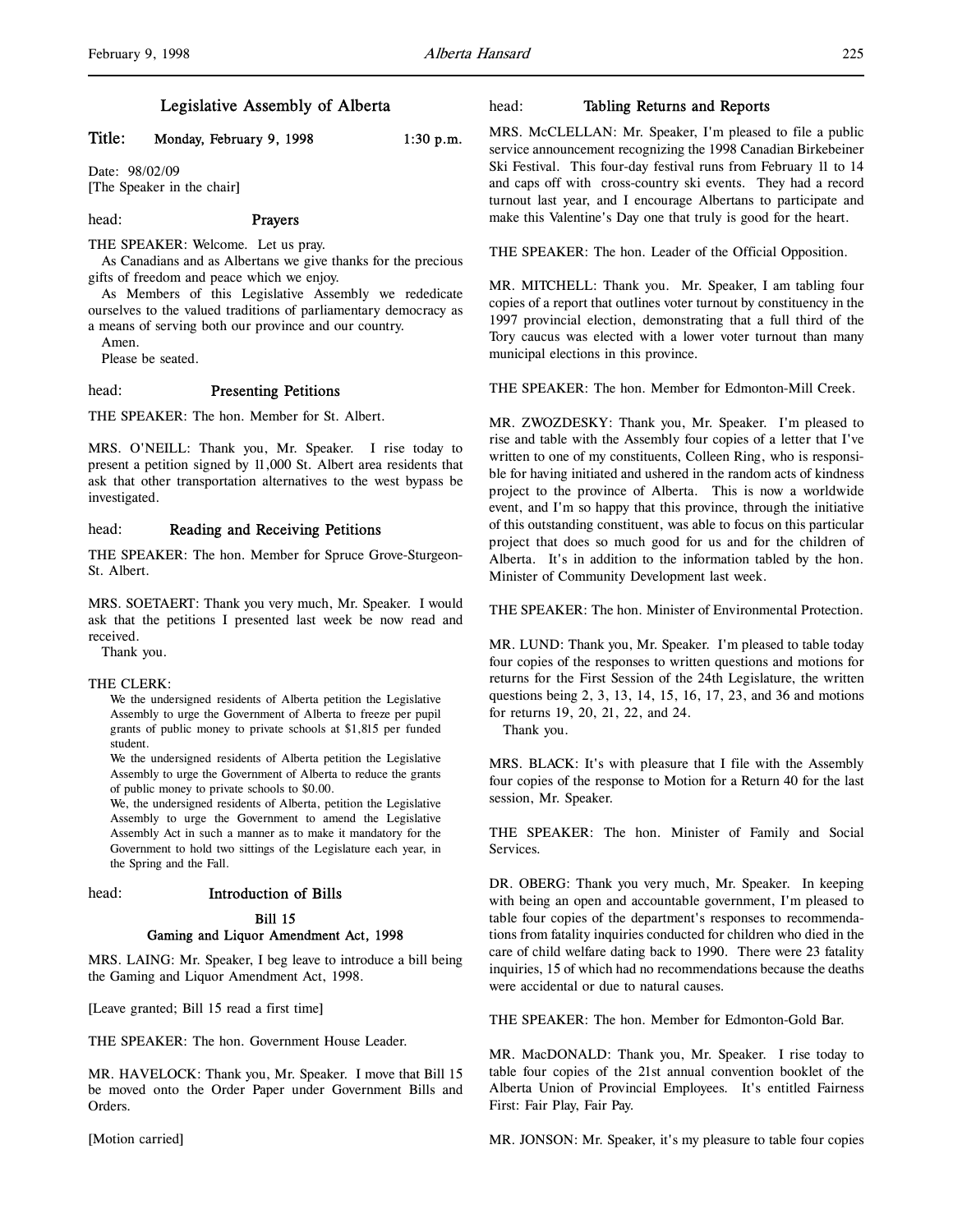# Legislative Assembly of Alberta

# Title: Monday, February 9, 1998 1:30 p.m.

Date: 98/02/09 [The Speaker in the chair]

### head: Prayers

THE SPEAKER: Welcome. Let us pray.

As Canadians and as Albertans we give thanks for the precious gifts of freedom and peace which we enjoy.

As Members of this Legislative Assembly we rededicate ourselves to the valued traditions of parliamentary democracy as a means of serving both our province and our country.

Amen.

Please be seated.

# head: Presenting Petitions

THE SPEAKER: The hon. Member for St. Albert.

MRS. O'NEILL: Thank you, Mr. Speaker. I rise today to present a petition signed by 11,000 St. Albert area residents that ask that other transportation alternatives to the west bypass be investigated.

# head: Reading and Receiving Petitions

THE SPEAKER: The hon. Member for Spruce Grove-Sturgeon-St. Albert.

MRS. SOETAERT: Thank you very much, Mr. Speaker. I would ask that the petitions I presented last week be now read and received.

Thank you.

### THE CLERK:

We the undersigned residents of Alberta petition the Legislative Assembly to urge the Government of Alberta to freeze per pupil grants of public money to private schools at \$1,815 per funded student.

We the undersigned residents of Alberta petition the Legislative Assembly to urge the Government of Alberta to reduce the grants of public money to private schools to \$0.00.

We, the undersigned residents of Alberta, petition the Legislative Assembly to urge the Government to amend the Legislative Assembly Act in such a manner as to make it mandatory for the Government to hold two sittings of the Legislature each year, in the Spring and the Fall.

head: Introduction of Bills

### Bill 15

# Gaming and Liquor Amendment Act, 1998

MRS. LAING: Mr. Speaker, I beg leave to introduce a bill being the Gaming and Liquor Amendment Act, 1998.

[Leave granted; Bill 15 read a first time]

THE SPEAKER: The hon. Government House Leader.

MR. HAVELOCK: Thank you, Mr. Speaker. I move that Bill 15 be moved onto the Order Paper under Government Bills and Orders.

[Motion carried]

# head: Tabling Returns and Reports

MRS. McCLELLAN: Mr. Speaker, I'm pleased to file a public service announcement recognizing the 1998 Canadian Birkebeiner Ski Festival. This four-day festival runs from February 11 to 14 and caps off with cross-country ski events. They had a record turnout last year, and I encourage Albertans to participate and make this Valentine's Day one that truly is good for the heart.

THE SPEAKER: The hon. Leader of the Official Opposition.

MR. MITCHELL: Thank you. Mr. Speaker, I am tabling four copies of a report that outlines voter turnout by constituency in the 1997 provincial election, demonstrating that a full third of the Tory caucus was elected with a lower voter turnout than many municipal elections in this province.

THE SPEAKER: The hon. Member for Edmonton-Mill Creek.

MR. ZWOZDESKY: Thank you, Mr. Speaker. I'm pleased to rise and table with the Assembly four copies of a letter that I've written to one of my constituents, Colleen Ring, who is responsible for having initiated and ushered in the random acts of kindness project to the province of Alberta. This is now a worldwide event, and I'm so happy that this province, through the initiative of this outstanding constituent, was able to focus on this particular project that does so much good for us and for the children of Alberta. It's in addition to the information tabled by the hon. Minister of Community Development last week.

THE SPEAKER: The hon. Minister of Environmental Protection.

MR. LUND: Thank you, Mr. Speaker. I'm pleased to table today four copies of the responses to written questions and motions for returns for the First Session of the 24th Legislature, the written questions being 2, 3, 13, 14, 15, 16, 17, 23, and 36 and motions for returns 19, 20, 21, 22, and 24.

Thank you.

MRS. BLACK: It's with pleasure that I file with the Assembly four copies of the response to Motion for a Return 40 for the last session, Mr. Speaker.

THE SPEAKER: The hon. Minister of Family and Social Services.

DR. OBERG: Thank you very much, Mr. Speaker. In keeping with being an open and accountable government, I'm pleased to table four copies of the department's responses to recommendations from fatality inquiries conducted for children who died in the care of child welfare dating back to 1990. There were 23 fatality inquiries, 15 of which had no recommendations because the deaths were accidental or due to natural causes.

THE SPEAKER: The hon. Member for Edmonton-Gold Bar.

MR. MacDONALD: Thank you, Mr. Speaker. I rise today to table four copies of the 21st annual convention booklet of the Alberta Union of Provincial Employees. It's entitled Fairness First: Fair Play, Fair Pay.

MR. JONSON: Mr. Speaker, it's my pleasure to table four copies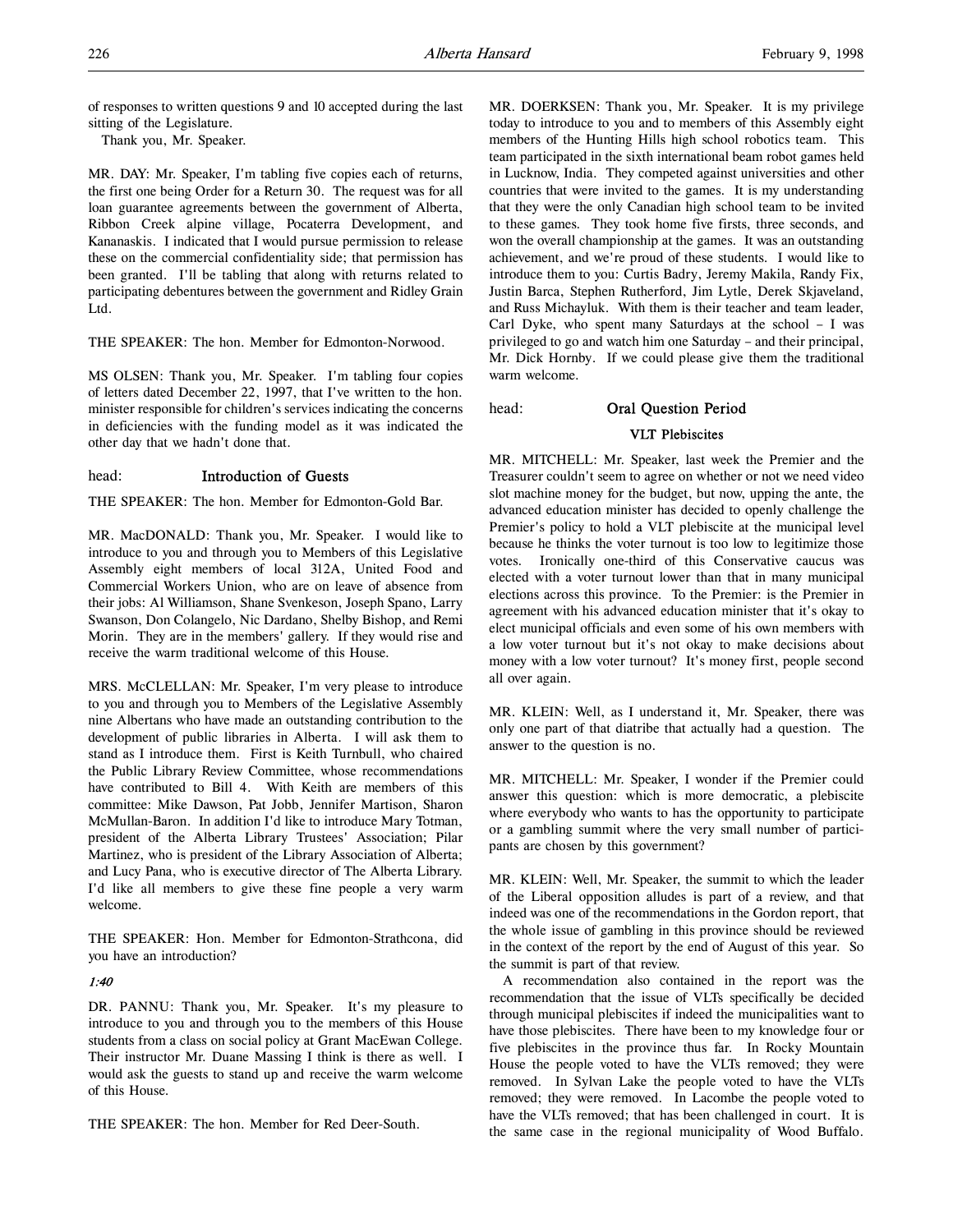of responses to written questions 9 and 10 accepted during the last sitting of the Legislature.

Thank you, Mr. Speaker.

MR. DAY: Mr. Speaker, I'm tabling five copies each of returns, the first one being Order for a Return 30. The request was for all loan guarantee agreements between the government of Alberta, Ribbon Creek alpine village, Pocaterra Development, and Kananaskis. I indicated that I would pursue permission to release these on the commercial confidentiality side; that permission has been granted. I'll be tabling that along with returns related to participating debentures between the government and Ridley Grain Ltd.

THE SPEAKER: The hon. Member for Edmonton-Norwood.

MS OLSEN: Thank you, Mr. Speaker. I'm tabling four copies of letters dated December 22, 1997, that I've written to the hon. minister responsible for children's services indicating the concerns in deficiencies with the funding model as it was indicated the other day that we hadn't done that.

# head: Introduction of Guests

THE SPEAKER: The hon. Member for Edmonton-Gold Bar.

MR. MacDONALD: Thank you, Mr. Speaker. I would like to introduce to you and through you to Members of this Legislative Assembly eight members of local 312A, United Food and Commercial Workers Union, who are on leave of absence from their jobs: Al Williamson, Shane Svenkeson, Joseph Spano, Larry Swanson, Don Colangelo, Nic Dardano, Shelby Bishop, and Remi Morin. They are in the members' gallery. If they would rise and receive the warm traditional welcome of this House.

MRS. McCLELLAN: Mr. Speaker, I'm very please to introduce to you and through you to Members of the Legislative Assembly nine Albertans who have made an outstanding contribution to the development of public libraries in Alberta. I will ask them to stand as I introduce them. First is Keith Turnbull, who chaired the Public Library Review Committee, whose recommendations have contributed to Bill 4. With Keith are members of this committee: Mike Dawson, Pat Jobb, Jennifer Martison, Sharon McMullan-Baron. In addition I'd like to introduce Mary Totman, president of the Alberta Library Trustees' Association; Pilar Martinez, who is president of the Library Association of Alberta; and Lucy Pana, who is executive director of The Alberta Library. I'd like all members to give these fine people a very warm welcome.

THE SPEAKER: Hon. Member for Edmonton-Strathcona, did you have an introduction?

# 1:40

DR. PANNU: Thank you, Mr. Speaker. It's my pleasure to introduce to you and through you to the members of this House students from a class on social policy at Grant MacEwan College. Their instructor Mr. Duane Massing I think is there as well. I would ask the guests to stand up and receive the warm welcome of this House.

THE SPEAKER: The hon. Member for Red Deer-South.

MR. DOERKSEN: Thank you, Mr. Speaker. It is my privilege today to introduce to you and to members of this Assembly eight members of the Hunting Hills high school robotics team. This team participated in the sixth international beam robot games held in Lucknow, India. They competed against universities and other countries that were invited to the games. It is my understanding that they were the only Canadian high school team to be invited to these games. They took home five firsts, three seconds, and won the overall championship at the games. It was an outstanding achievement, and we're proud of these students. I would like to introduce them to you: Curtis Badry, Jeremy Makila, Randy Fix, Justin Barca, Stephen Rutherford, Jim Lytle, Derek Skjaveland, and Russ Michayluk. With them is their teacher and team leader, Carl Dyke, who spent many Saturdays at the school – I was privileged to go and watch him one Saturday – and their principal, Mr. Dick Hornby. If we could please give them the traditional warm welcome.

# head: Oral Question Period

### VLT Plebiscites

MR. MITCHELL: Mr. Speaker, last week the Premier and the Treasurer couldn't seem to agree on whether or not we need video slot machine money for the budget, but now, upping the ante, the advanced education minister has decided to openly challenge the Premier's policy to hold a VLT plebiscite at the municipal level because he thinks the voter turnout is too low to legitimize those votes. Ironically one-third of this Conservative caucus was elected with a voter turnout lower than that in many municipal elections across this province. To the Premier: is the Premier in agreement with his advanced education minister that it's okay to elect municipal officials and even some of his own members with a low voter turnout but it's not okay to make decisions about money with a low voter turnout? It's money first, people second all over again.

MR. KLEIN: Well, as I understand it, Mr. Speaker, there was only one part of that diatribe that actually had a question. The answer to the question is no.

MR. MITCHELL: Mr. Speaker, I wonder if the Premier could answer this question: which is more democratic, a plebiscite where everybody who wants to has the opportunity to participate or a gambling summit where the very small number of participants are chosen by this government?

MR. KLEIN: Well, Mr. Speaker, the summit to which the leader of the Liberal opposition alludes is part of a review, and that indeed was one of the recommendations in the Gordon report, that the whole issue of gambling in this province should be reviewed in the context of the report by the end of August of this year. So the summit is part of that review.

A recommendation also contained in the report was the recommendation that the issue of VLTs specifically be decided through municipal plebiscites if indeed the municipalities want to have those plebiscites. There have been to my knowledge four or five plebiscites in the province thus far. In Rocky Mountain House the people voted to have the VLTs removed; they were removed. In Sylvan Lake the people voted to have the VLTs removed; they were removed. In Lacombe the people voted to have the VLTs removed; that has been challenged in court. It is the same case in the regional municipality of Wood Buffalo.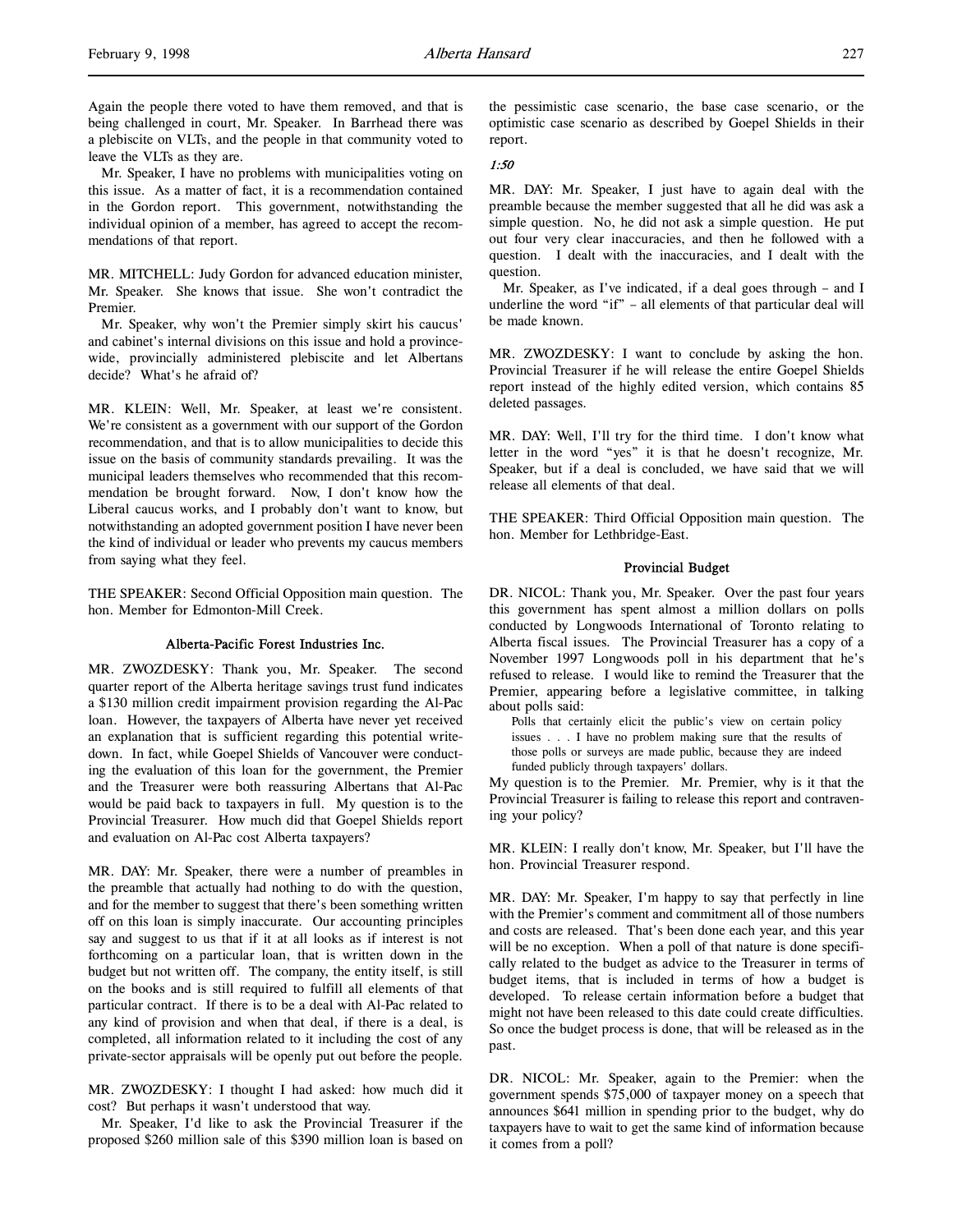Mr. Speaker, I have no problems with municipalities voting on this issue. As a matter of fact, it is a recommendation contained in the Gordon report. This government, notwithstanding the individual opinion of a member, has agreed to accept the recommendations of that report.

MR. MITCHELL: Judy Gordon for advanced education minister, Mr. Speaker. She knows that issue. She won't contradict the Premier.

Mr. Speaker, why won't the Premier simply skirt his caucus' and cabinet's internal divisions on this issue and hold a provincewide, provincially administered plebiscite and let Albertans decide? What's he afraid of?

MR. KLEIN: Well, Mr. Speaker, at least we're consistent. We're consistent as a government with our support of the Gordon recommendation, and that is to allow municipalities to decide this issue on the basis of community standards prevailing. It was the municipal leaders themselves who recommended that this recommendation be brought forward. Now, I don't know how the Liberal caucus works, and I probably don't want to know, but notwithstanding an adopted government position I have never been the kind of individual or leader who prevents my caucus members from saying what they feel.

THE SPEAKER: Second Official Opposition main question. The hon. Member for Edmonton-Mill Creek.

# Alberta-Pacific Forest Industries Inc.

MR. ZWOZDESKY: Thank you, Mr. Speaker. The second quarter report of the Alberta heritage savings trust fund indicates a \$130 million credit impairment provision regarding the Al-Pac loan. However, the taxpayers of Alberta have never yet received an explanation that is sufficient regarding this potential writedown. In fact, while Goepel Shields of Vancouver were conducting the evaluation of this loan for the government, the Premier and the Treasurer were both reassuring Albertans that Al-Pac would be paid back to taxpayers in full. My question is to the Provincial Treasurer. How much did that Goepel Shields report and evaluation on Al-Pac cost Alberta taxpayers?

MR. DAY: Mr. Speaker, there were a number of preambles in the preamble that actually had nothing to do with the question, and for the member to suggest that there's been something written off on this loan is simply inaccurate. Our accounting principles say and suggest to us that if it at all looks as if interest is not forthcoming on a particular loan, that is written down in the budget but not written off. The company, the entity itself, is still on the books and is still required to fulfill all elements of that particular contract. If there is to be a deal with Al-Pac related to any kind of provision and when that deal, if there is a deal, is completed, all information related to it including the cost of any private-sector appraisals will be openly put out before the people.

MR. ZWOZDESKY: I thought I had asked: how much did it cost? But perhaps it wasn't understood that way.

Mr. Speaker, I'd like to ask the Provincial Treasurer if the proposed \$260 million sale of this \$390 million loan is based on

the pessimistic case scenario, the base case scenario, or the optimistic case scenario as described by Goepel Shields in their report.

### 1:50

MR. DAY: Mr. Speaker, I just have to again deal with the preamble because the member suggested that all he did was ask a simple question. No, he did not ask a simple question. He put out four very clear inaccuracies, and then he followed with a question. I dealt with the inaccuracies, and I dealt with the question.

Mr. Speaker, as I've indicated, if a deal goes through – and I underline the word "if" – all elements of that particular deal will be made known.

MR. ZWOZDESKY: I want to conclude by asking the hon. Provincial Treasurer if he will release the entire Goepel Shields report instead of the highly edited version, which contains 85 deleted passages.

MR. DAY: Well, I'll try for the third time. I don't know what letter in the word "yes" it is that he doesn't recognize, Mr. Speaker, but if a deal is concluded, we have said that we will release all elements of that deal.

THE SPEAKER: Third Official Opposition main question. The hon. Member for Lethbridge-East.

# Provincial Budget

DR. NICOL: Thank you, Mr. Speaker. Over the past four years this government has spent almost a million dollars on polls conducted by Longwoods International of Toronto relating to Alberta fiscal issues. The Provincial Treasurer has a copy of a November 1997 Longwoods poll in his department that he's refused to release. I would like to remind the Treasurer that the Premier, appearing before a legislative committee, in talking about polls said:

Polls that certainly elicit the public's view on certain policy issues . . . I have no problem making sure that the results of those polls or surveys are made public, because they are indeed funded publicly through taxpayers' dollars.

My question is to the Premier. Mr. Premier, why is it that the Provincial Treasurer is failing to release this report and contravening your policy?

MR. KLEIN: I really don't know, Mr. Speaker, but I'll have the hon. Provincial Treasurer respond.

MR. DAY: Mr. Speaker, I'm happy to say that perfectly in line with the Premier's comment and commitment all of those numbers and costs are released. That's been done each year, and this year will be no exception. When a poll of that nature is done specifically related to the budget as advice to the Treasurer in terms of budget items, that is included in terms of how a budget is developed. To release certain information before a budget that might not have been released to this date could create difficulties. So once the budget process is done, that will be released as in the past.

DR. NICOL: Mr. Speaker, again to the Premier: when the government spends \$75,000 of taxpayer money on a speech that announces \$641 million in spending prior to the budget, why do taxpayers have to wait to get the same kind of information because it comes from a poll?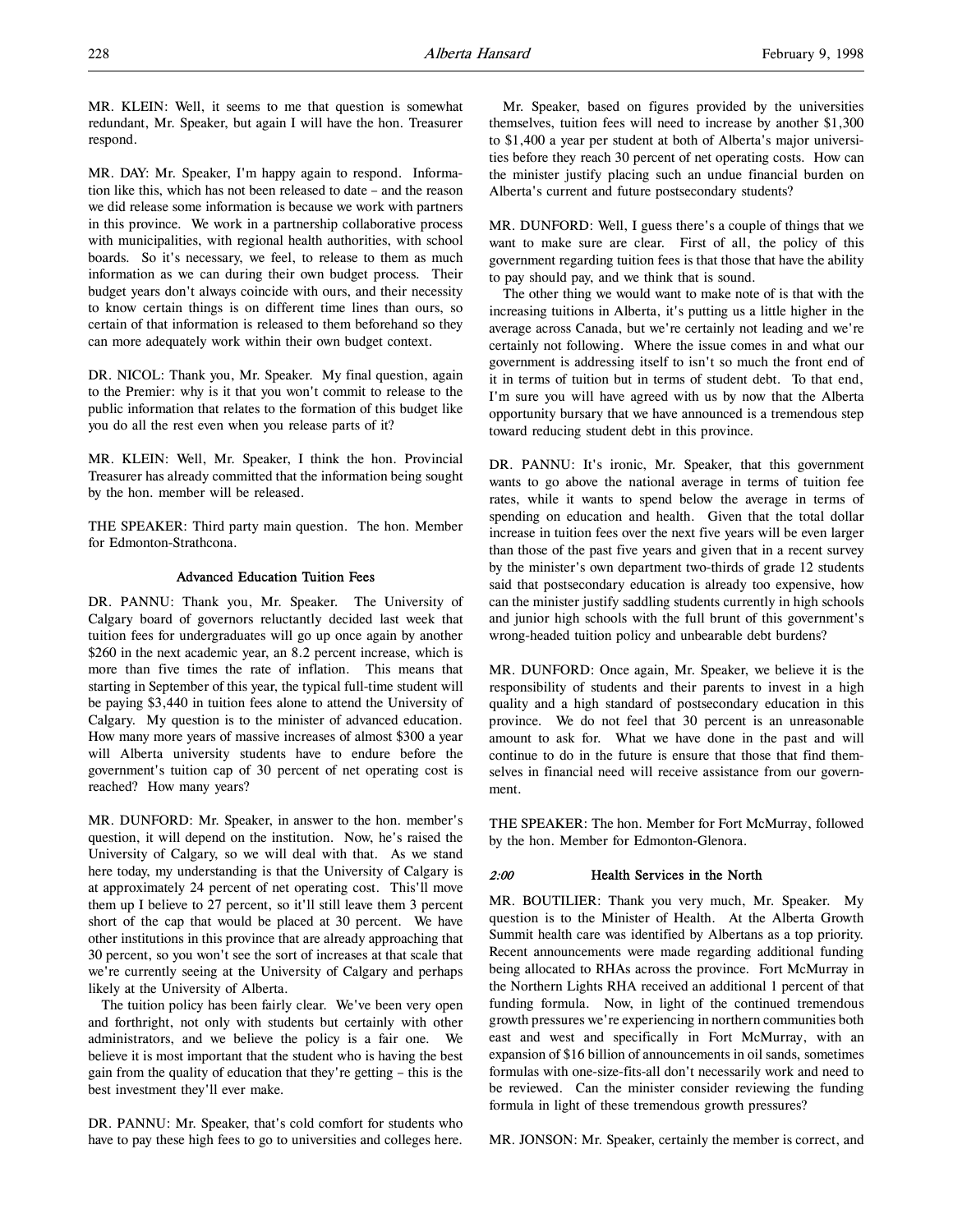MR. KLEIN: Well, it seems to me that question is somewhat redundant, Mr. Speaker, but again I will have the hon. Treasurer respond.

MR. DAY: Mr. Speaker, I'm happy again to respond. Information like this, which has not been released to date – and the reason we did release some information is because we work with partners in this province. We work in a partnership collaborative process with municipalities, with regional health authorities, with school boards. So it's necessary, we feel, to release to them as much information as we can during their own budget process. Their budget years don't always coincide with ours, and their necessity to know certain things is on different time lines than ours, so certain of that information is released to them beforehand so they can more adequately work within their own budget context.

DR. NICOL: Thank you, Mr. Speaker. My final question, again to the Premier: why is it that you won't commit to release to the public information that relates to the formation of this budget like you do all the rest even when you release parts of it?

MR. KLEIN: Well, Mr. Speaker, I think the hon. Provincial Treasurer has already committed that the information being sought by the hon. member will be released.

THE SPEAKER: Third party main question. The hon. Member for Edmonton-Strathcona.

# Advanced Education Tuition Fees

DR. PANNU: Thank you, Mr. Speaker. The University of Calgary board of governors reluctantly decided last week that tuition fees for undergraduates will go up once again by another \$260 in the next academic year, an 8.2 percent increase, which is more than five times the rate of inflation. This means that starting in September of this year, the typical full-time student will be paying \$3,440 in tuition fees alone to attend the University of Calgary. My question is to the minister of advanced education. How many more years of massive increases of almost \$300 a year will Alberta university students have to endure before the government's tuition cap of 30 percent of net operating cost is reached? How many years?

MR. DUNFORD: Mr. Speaker, in answer to the hon. member's question, it will depend on the institution. Now, he's raised the University of Calgary, so we will deal with that. As we stand here today, my understanding is that the University of Calgary is at approximately 24 percent of net operating cost. This'll move them up I believe to 27 percent, so it'll still leave them 3 percent short of the cap that would be placed at 30 percent. We have other institutions in this province that are already approaching that 30 percent, so you won't see the sort of increases at that scale that we're currently seeing at the University of Calgary and perhaps likely at the University of Alberta.

The tuition policy has been fairly clear. We've been very open and forthright, not only with students but certainly with other administrators, and we believe the policy is a fair one. We believe it is most important that the student who is having the best gain from the quality of education that they're getting – this is the best investment they'll ever make.

DR. PANNU: Mr. Speaker, that's cold comfort for students who have to pay these high fees to go to universities and colleges here.

Mr. Speaker, based on figures provided by the universities themselves, tuition fees will need to increase by another \$1,300 to \$1,400 a year per student at both of Alberta's major universities before they reach 30 percent of net operating costs. How can the minister justify placing such an undue financial burden on Alberta's current and future postsecondary students?

MR. DUNFORD: Well, I guess there's a couple of things that we want to make sure are clear. First of all, the policy of this government regarding tuition fees is that those that have the ability to pay should pay, and we think that is sound.

The other thing we would want to make note of is that with the increasing tuitions in Alberta, it's putting us a little higher in the average across Canada, but we're certainly not leading and we're certainly not following. Where the issue comes in and what our government is addressing itself to isn't so much the front end of it in terms of tuition but in terms of student debt. To that end, I'm sure you will have agreed with us by now that the Alberta opportunity bursary that we have announced is a tremendous step toward reducing student debt in this province.

DR. PANNU: It's ironic, Mr. Speaker, that this government wants to go above the national average in terms of tuition fee rates, while it wants to spend below the average in terms of spending on education and health. Given that the total dollar increase in tuition fees over the next five years will be even larger than those of the past five years and given that in a recent survey by the minister's own department two-thirds of grade 12 students said that postsecondary education is already too expensive, how can the minister justify saddling students currently in high schools and junior high schools with the full brunt of this government's wrong-headed tuition policy and unbearable debt burdens?

MR. DUNFORD: Once again, Mr. Speaker, we believe it is the responsibility of students and their parents to invest in a high quality and a high standard of postsecondary education in this province. We do not feel that 30 percent is an unreasonable amount to ask for. What we have done in the past and will continue to do in the future is ensure that those that find themselves in financial need will receive assistance from our government.

THE SPEAKER: The hon. Member for Fort McMurray, followed by the hon. Member for Edmonton-Glenora.

# 2:00 Health Services in the North

MR. BOUTILIER: Thank you very much, Mr. Speaker. My question is to the Minister of Health. At the Alberta Growth Summit health care was identified by Albertans as a top priority. Recent announcements were made regarding additional funding being allocated to RHAs across the province. Fort McMurray in the Northern Lights RHA received an additional 1 percent of that funding formula. Now, in light of the continued tremendous growth pressures we're experiencing in northern communities both east and west and specifically in Fort McMurray, with an expansion of \$16 billion of announcements in oil sands, sometimes formulas with one-size-fits-all don't necessarily work and need to be reviewed. Can the minister consider reviewing the funding formula in light of these tremendous growth pressures?

MR. JONSON: Mr. Speaker, certainly the member is correct, and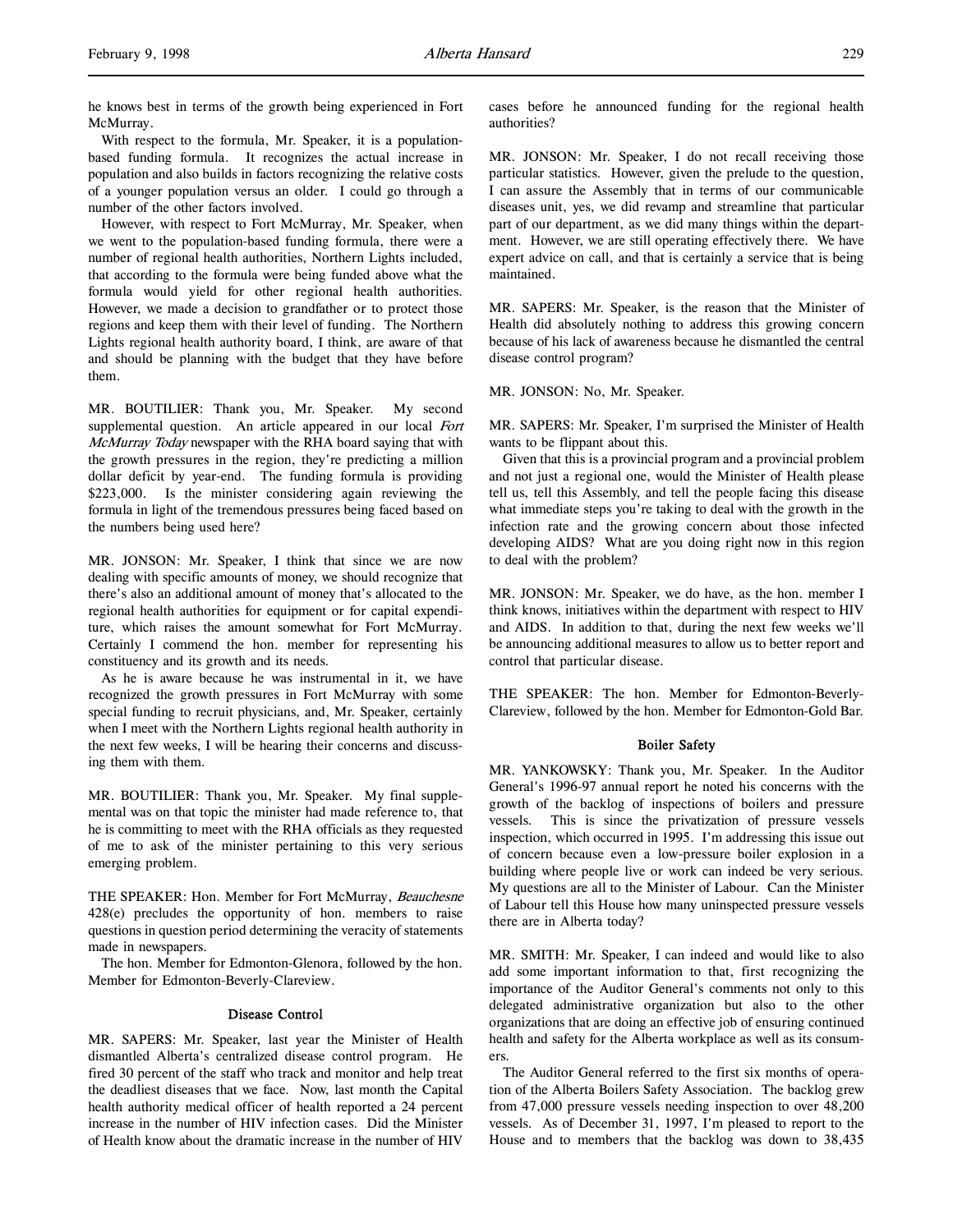he knows best in terms of the growth being experienced in Fort McMurray.

With respect to the formula, Mr. Speaker, it is a populationbased funding formula. It recognizes the actual increase in population and also builds in factors recognizing the relative costs of a younger population versus an older. I could go through a number of the other factors involved.

However, with respect to Fort McMurray, Mr. Speaker, when we went to the population-based funding formula, there were a number of regional health authorities, Northern Lights included, that according to the formula were being funded above what the formula would yield for other regional health authorities. However, we made a decision to grandfather or to protect those regions and keep them with their level of funding. The Northern Lights regional health authority board, I think, are aware of that and should be planning with the budget that they have before them.

MR. BOUTILIER: Thank you, Mr. Speaker. My second supplemental question. An article appeared in our local Fort McMurray Today newspaper with the RHA board saying that with the growth pressures in the region, they're predicting a million dollar deficit by year-end. The funding formula is providing \$223,000. Is the minister considering again reviewing the formula in light of the tremendous pressures being faced based on the numbers being used here?

MR. JONSON: Mr. Speaker, I think that since we are now dealing with specific amounts of money, we should recognize that there's also an additional amount of money that's allocated to the regional health authorities for equipment or for capital expenditure, which raises the amount somewhat for Fort McMurray. Certainly I commend the hon. member for representing his constituency and its growth and its needs.

As he is aware because he was instrumental in it, we have recognized the growth pressures in Fort McMurray with some special funding to recruit physicians, and, Mr. Speaker, certainly when I meet with the Northern Lights regional health authority in the next few weeks, I will be hearing their concerns and discussing them with them.

MR. BOUTILIER: Thank you, Mr. Speaker. My final supplemental was on that topic the minister had made reference to, that he is committing to meet with the RHA officials as they requested of me to ask of the minister pertaining to this very serious emerging problem.

THE SPEAKER: Hon. Member for Fort McMurray, Beauchesne 428(e) precludes the opportunity of hon. members to raise questions in question period determining the veracity of statements made in newspapers.

The hon. Member for Edmonton-Glenora, followed by the hon. Member for Edmonton-Beverly-Clareview.

### Disease Control

MR. SAPERS: Mr. Speaker, last year the Minister of Health dismantled Alberta's centralized disease control program. He fired 30 percent of the staff who track and monitor and help treat the deadliest diseases that we face. Now, last month the Capital health authority medical officer of health reported a 24 percent increase in the number of HIV infection cases. Did the Minister of Health know about the dramatic increase in the number of HIV

cases before he announced funding for the regional health authorities?

MR. JONSON: Mr. Speaker, I do not recall receiving those particular statistics. However, given the prelude to the question, I can assure the Assembly that in terms of our communicable diseases unit, yes, we did revamp and streamline that particular part of our department, as we did many things within the department. However, we are still operating effectively there. We have expert advice on call, and that is certainly a service that is being maintained.

MR. SAPERS: Mr. Speaker, is the reason that the Minister of Health did absolutely nothing to address this growing concern because of his lack of awareness because he dismantled the central disease control program?

MR. JONSON: No, Mr. Speaker.

MR. SAPERS: Mr. Speaker, I'm surprised the Minister of Health wants to be flippant about this.

Given that this is a provincial program and a provincial problem and not just a regional one, would the Minister of Health please tell us, tell this Assembly, and tell the people facing this disease what immediate steps you're taking to deal with the growth in the infection rate and the growing concern about those infected developing AIDS? What are you doing right now in this region to deal with the problem?

MR. JONSON: Mr. Speaker, we do have, as the hon. member I think knows, initiatives within the department with respect to HIV and AIDS. In addition to that, during the next few weeks we'll be announcing additional measures to allow us to better report and control that particular disease.

THE SPEAKER: The hon. Member for Edmonton-Beverly-Clareview, followed by the hon. Member for Edmonton-Gold Bar.

# Boiler Safety

MR. YANKOWSKY: Thank you, Mr. Speaker. In the Auditor General's 1996-97 annual report he noted his concerns with the growth of the backlog of inspections of boilers and pressure vessels. This is since the privatization of pressure vessels inspection, which occurred in 1995. I'm addressing this issue out of concern because even a low-pressure boiler explosion in a building where people live or work can indeed be very serious. My questions are all to the Minister of Labour. Can the Minister of Labour tell this House how many uninspected pressure vessels there are in Alberta today?

MR. SMITH: Mr. Speaker, I can indeed and would like to also add some important information to that, first recognizing the importance of the Auditor General's comments not only to this delegated administrative organization but also to the other organizations that are doing an effective job of ensuring continued health and safety for the Alberta workplace as well as its consumers.

The Auditor General referred to the first six months of operation of the Alberta Boilers Safety Association. The backlog grew from 47,000 pressure vessels needing inspection to over 48,200 vessels. As of December 31, 1997, I'm pleased to report to the House and to members that the backlog was down to 38,435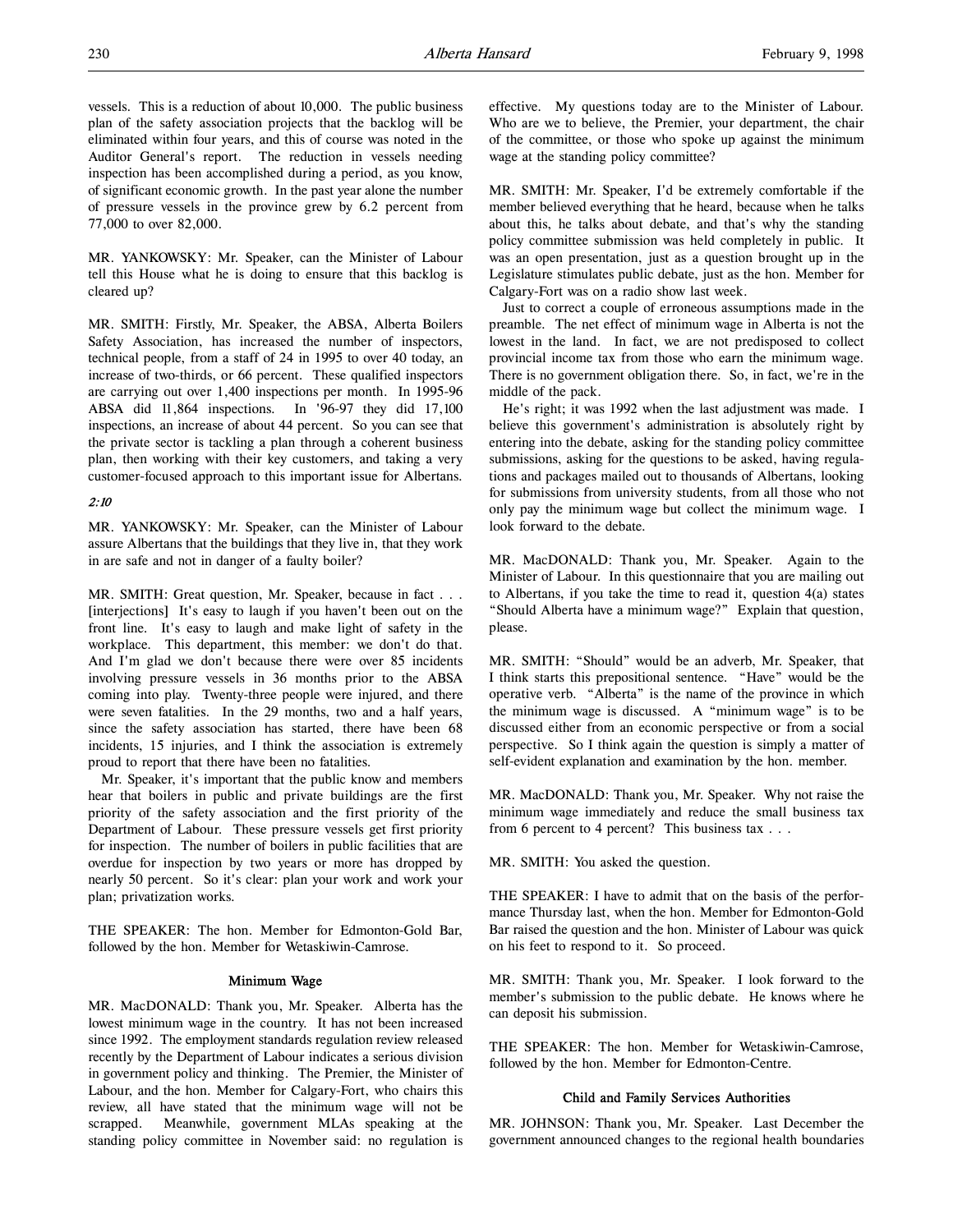vessels. This is a reduction of about 10,000. The public business plan of the safety association projects that the backlog will be eliminated within four years, and this of course was noted in the Auditor General's report. The reduction in vessels needing inspection has been accomplished during a period, as you know, of significant economic growth. In the past year alone the number of pressure vessels in the province grew by 6.2 percent from 77,000 to over 82,000.

MR. YANKOWSKY: Mr. Speaker, can the Minister of Labour tell this House what he is doing to ensure that this backlog is cleared up?

MR. SMITH: Firstly, Mr. Speaker, the ABSA, Alberta Boilers Safety Association, has increased the number of inspectors, technical people, from a staff of 24 in 1995 to over 40 today, an increase of two-thirds, or 66 percent. These qualified inspectors are carrying out over 1,400 inspections per month. In 1995-96 ABSA did 11,864 inspections. In '96-97 they did 17,100 inspections, an increase of about 44 percent. So you can see that the private sector is tackling a plan through a coherent business plan, then working with their key customers, and taking a very customer-focused approach to this important issue for Albertans.

# 2:10

MR. YANKOWSKY: Mr. Speaker, can the Minister of Labour assure Albertans that the buildings that they live in, that they work in are safe and not in danger of a faulty boiler?

MR. SMITH: Great question, Mr. Speaker, because in fact . . . [interjections] It's easy to laugh if you haven't been out on the front line. It's easy to laugh and make light of safety in the workplace. This department, this member: we don't do that. And I'm glad we don't because there were over 85 incidents involving pressure vessels in 36 months prior to the ABSA coming into play. Twenty-three people were injured, and there were seven fatalities. In the 29 months, two and a half years, since the safety association has started, there have been 68 incidents, 15 injuries, and I think the association is extremely proud to report that there have been no fatalities.

Mr. Speaker, it's important that the public know and members hear that boilers in public and private buildings are the first priority of the safety association and the first priority of the Department of Labour. These pressure vessels get first priority for inspection. The number of boilers in public facilities that are overdue for inspection by two years or more has dropped by nearly 50 percent. So it's clear: plan your work and work your plan; privatization works.

THE SPEAKER: The hon. Member for Edmonton-Gold Bar, followed by the hon. Member for Wetaskiwin-Camrose.

### Minimum Wage

MR. MacDONALD: Thank you, Mr. Speaker. Alberta has the lowest minimum wage in the country. It has not been increased since 1992. The employment standards regulation review released recently by the Department of Labour indicates a serious division in government policy and thinking. The Premier, the Minister of Labour, and the hon. Member for Calgary-Fort, who chairs this review, all have stated that the minimum wage will not be scrapped. Meanwhile, government MLAs speaking at the standing policy committee in November said: no regulation is effective. My questions today are to the Minister of Labour. Who are we to believe, the Premier, your department, the chair of the committee, or those who spoke up against the minimum wage at the standing policy committee?

MR. SMITH: Mr. Speaker, I'd be extremely comfortable if the member believed everything that he heard, because when he talks about this, he talks about debate, and that's why the standing policy committee submission was held completely in public. It was an open presentation, just as a question brought up in the Legislature stimulates public debate, just as the hon. Member for Calgary-Fort was on a radio show last week.

Just to correct a couple of erroneous assumptions made in the preamble. The net effect of minimum wage in Alberta is not the lowest in the land. In fact, we are not predisposed to collect provincial income tax from those who earn the minimum wage. There is no government obligation there. So, in fact, we're in the middle of the pack.

He's right; it was 1992 when the last adjustment was made. I believe this government's administration is absolutely right by entering into the debate, asking for the standing policy committee submissions, asking for the questions to be asked, having regulations and packages mailed out to thousands of Albertans, looking for submissions from university students, from all those who not only pay the minimum wage but collect the minimum wage. I look forward to the debate.

MR. MacDONALD: Thank you, Mr. Speaker. Again to the Minister of Labour. In this questionnaire that you are mailing out to Albertans, if you take the time to read it, question 4(a) states "Should Alberta have a minimum wage?" Explain that question, please.

MR. SMITH: "Should" would be an adverb, Mr. Speaker, that I think starts this prepositional sentence. "Have" would be the operative verb. "Alberta" is the name of the province in which the minimum wage is discussed. A "minimum wage" is to be discussed either from an economic perspective or from a social perspective. So I think again the question is simply a matter of self-evident explanation and examination by the hon. member.

MR. MacDONALD: Thank you, Mr. Speaker. Why not raise the minimum wage immediately and reduce the small business tax from 6 percent to 4 percent? This business tax . . .

MR. SMITH: You asked the question.

THE SPEAKER: I have to admit that on the basis of the performance Thursday last, when the hon. Member for Edmonton-Gold Bar raised the question and the hon. Minister of Labour was quick on his feet to respond to it. So proceed.

MR. SMITH: Thank you, Mr. Speaker. I look forward to the member's submission to the public debate. He knows where he can deposit his submission.

THE SPEAKER: The hon. Member for Wetaskiwin-Camrose, followed by the hon. Member for Edmonton-Centre.

# Child and Family Services Authorities

MR. JOHNSON: Thank you, Mr. Speaker. Last December the government announced changes to the regional health boundaries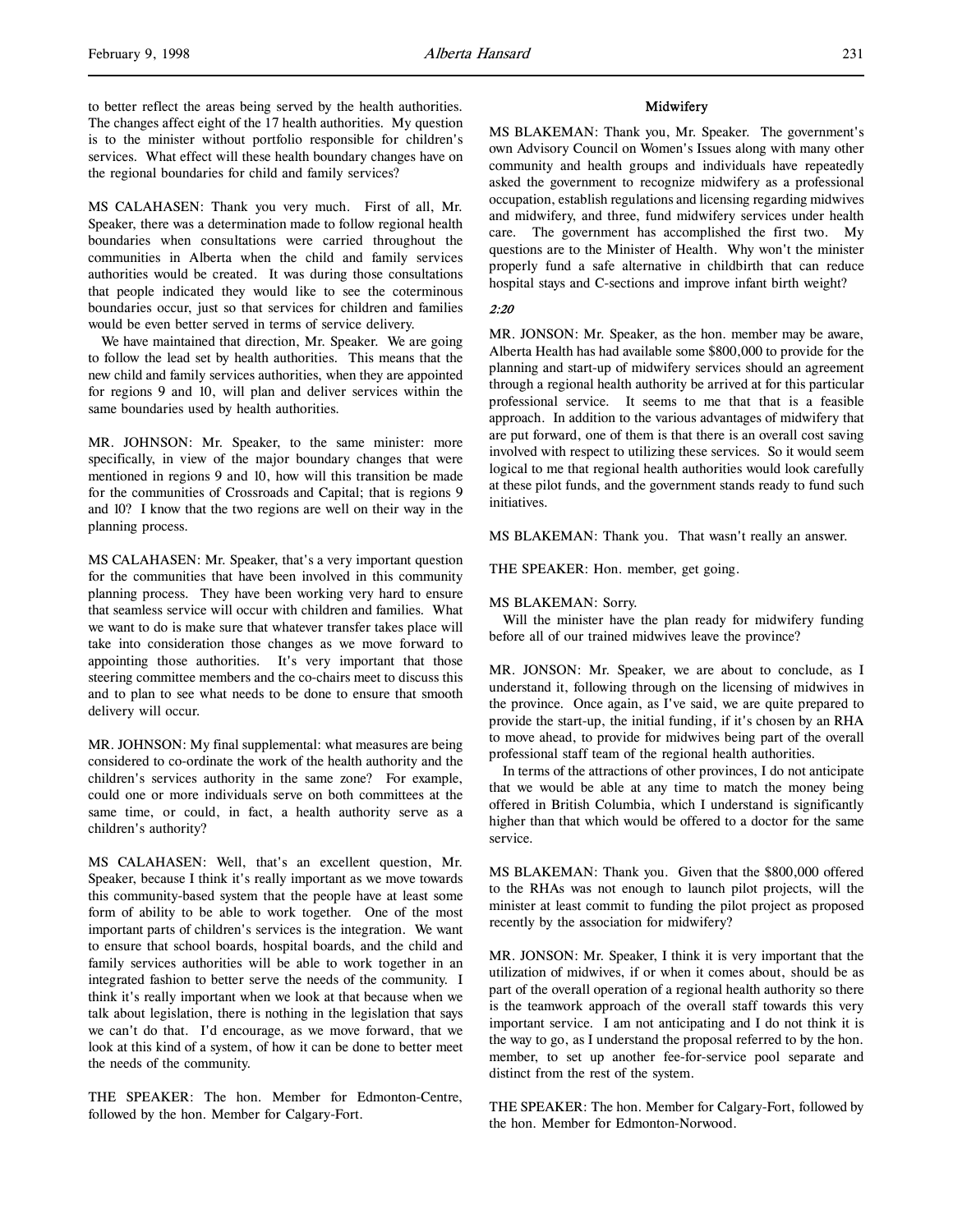to better reflect the areas being served by the health authorities. The changes affect eight of the 17 health authorities. My question is to the minister without portfolio responsible for children's services. What effect will these health boundary changes have on the regional boundaries for child and family services?

MS CALAHASEN: Thank you very much. First of all, Mr. Speaker, there was a determination made to follow regional health boundaries when consultations were carried throughout the communities in Alberta when the child and family services authorities would be created. It was during those consultations that people indicated they would like to see the coterminous boundaries occur, just so that services for children and families would be even better served in terms of service delivery.

We have maintained that direction, Mr. Speaker. We are going to follow the lead set by health authorities. This means that the new child and family services authorities, when they are appointed for regions 9 and 10, will plan and deliver services within the same boundaries used by health authorities.

MR. JOHNSON: Mr. Speaker, to the same minister: more specifically, in view of the major boundary changes that were mentioned in regions 9 and 10, how will this transition be made for the communities of Crossroads and Capital; that is regions 9 and 10? I know that the two regions are well on their way in the planning process.

MS CALAHASEN: Mr. Speaker, that's a very important question for the communities that have been involved in this community planning process. They have been working very hard to ensure that seamless service will occur with children and families. What we want to do is make sure that whatever transfer takes place will take into consideration those changes as we move forward to appointing those authorities. It's very important that those steering committee members and the co-chairs meet to discuss this and to plan to see what needs to be done to ensure that smooth delivery will occur.

MR. JOHNSON: My final supplemental: what measures are being considered to co-ordinate the work of the health authority and the children's services authority in the same zone? For example, could one or more individuals serve on both committees at the same time, or could, in fact, a health authority serve as a children's authority?

MS CALAHASEN: Well, that's an excellent question, Mr. Speaker, because I think it's really important as we move towards this community-based system that the people have at least some form of ability to be able to work together. One of the most important parts of children's services is the integration. We want to ensure that school boards, hospital boards, and the child and family services authorities will be able to work together in an integrated fashion to better serve the needs of the community. I think it's really important when we look at that because when we talk about legislation, there is nothing in the legislation that says we can't do that. I'd encourage, as we move forward, that we look at this kind of a system, of how it can be done to better meet the needs of the community.

THE SPEAKER: The hon. Member for Edmonton-Centre, followed by the hon. Member for Calgary-Fort.

# **Midwifery**

MS BLAKEMAN: Thank you, Mr. Speaker. The government's own Advisory Council on Women's Issues along with many other community and health groups and individuals have repeatedly asked the government to recognize midwifery as a professional occupation, establish regulations and licensing regarding midwives and midwifery, and three, fund midwifery services under health care. The government has accomplished the first two. My questions are to the Minister of Health. Why won't the minister properly fund a safe alternative in childbirth that can reduce hospital stays and C-sections and improve infant birth weight?

# 2:20

MR. JONSON: Mr. Speaker, as the hon. member may be aware, Alberta Health has had available some \$800,000 to provide for the planning and start-up of midwifery services should an agreement through a regional health authority be arrived at for this particular professional service. It seems to me that that is a feasible approach. In addition to the various advantages of midwifery that are put forward, one of them is that there is an overall cost saving involved with respect to utilizing these services. So it would seem logical to me that regional health authorities would look carefully at these pilot funds, and the government stands ready to fund such initiatives.

MS BLAKEMAN: Thank you. That wasn't really an answer.

THE SPEAKER: Hon. member, get going.

#### MS BLAKEMAN: Sorry.

Will the minister have the plan ready for midwifery funding before all of our trained midwives leave the province?

MR. JONSON: Mr. Speaker, we are about to conclude, as I understand it, following through on the licensing of midwives in the province. Once again, as I've said, we are quite prepared to provide the start-up, the initial funding, if it's chosen by an RHA to move ahead, to provide for midwives being part of the overall professional staff team of the regional health authorities.

In terms of the attractions of other provinces, I do not anticipate that we would be able at any time to match the money being offered in British Columbia, which I understand is significantly higher than that which would be offered to a doctor for the same service.

MS BLAKEMAN: Thank you. Given that the \$800,000 offered to the RHAs was not enough to launch pilot projects, will the minister at least commit to funding the pilot project as proposed recently by the association for midwifery?

MR. JONSON: Mr. Speaker, I think it is very important that the utilization of midwives, if or when it comes about, should be as part of the overall operation of a regional health authority so there is the teamwork approach of the overall staff towards this very important service. I am not anticipating and I do not think it is the way to go, as I understand the proposal referred to by the hon. member, to set up another fee-for-service pool separate and distinct from the rest of the system.

THE SPEAKER: The hon. Member for Calgary-Fort, followed by the hon. Member for Edmonton-Norwood.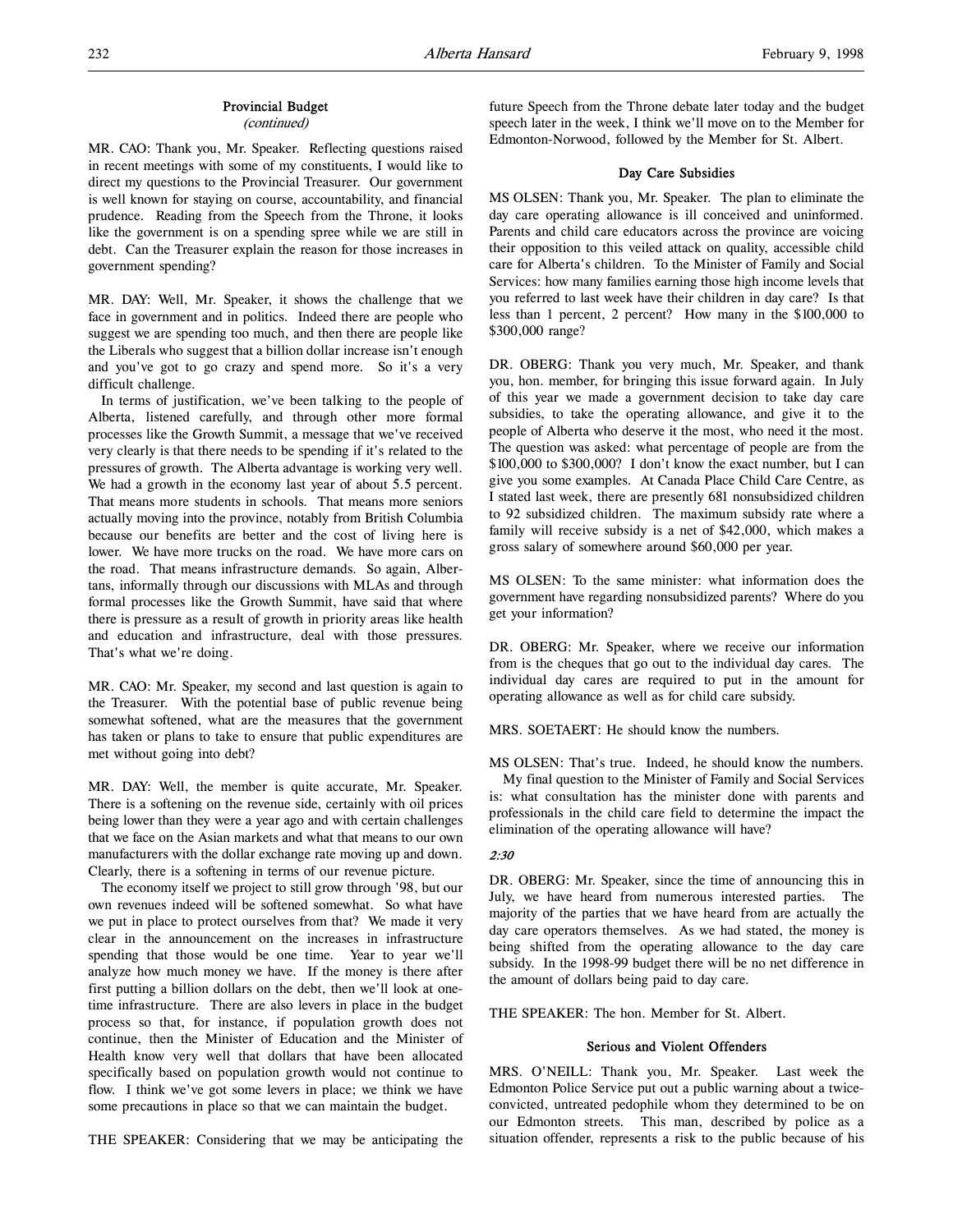# Provincial Budget

(continued)

MR. CAO: Thank you, Mr. Speaker. Reflecting questions raised in recent meetings with some of my constituents, I would like to direct my questions to the Provincial Treasurer. Our government is well known for staying on course, accountability, and financial prudence. Reading from the Speech from the Throne, it looks like the government is on a spending spree while we are still in debt. Can the Treasurer explain the reason for those increases in government spending?

MR. DAY: Well, Mr. Speaker, it shows the challenge that we face in government and in politics. Indeed there are people who suggest we are spending too much, and then there are people like the Liberals who suggest that a billion dollar increase isn't enough and you've got to go crazy and spend more. So it's a very difficult challenge.

In terms of justification, we've been talking to the people of Alberta, listened carefully, and through other more formal processes like the Growth Summit, a message that we've received very clearly is that there needs to be spending if it's related to the pressures of growth. The Alberta advantage is working very well. We had a growth in the economy last year of about 5.5 percent. That means more students in schools. That means more seniors actually moving into the province, notably from British Columbia because our benefits are better and the cost of living here is lower. We have more trucks on the road. We have more cars on the road. That means infrastructure demands. So again, Albertans, informally through our discussions with MLAs and through formal processes like the Growth Summit, have said that where there is pressure as a result of growth in priority areas like health and education and infrastructure, deal with those pressures. That's what we're doing.

MR. CAO: Mr. Speaker, my second and last question is again to the Treasurer. With the potential base of public revenue being somewhat softened, what are the measures that the government has taken or plans to take to ensure that public expenditures are met without going into debt?

MR. DAY: Well, the member is quite accurate, Mr. Speaker. There is a softening on the revenue side, certainly with oil prices being lower than they were a year ago and with certain challenges that we face on the Asian markets and what that means to our own manufacturers with the dollar exchange rate moving up and down. Clearly, there is a softening in terms of our revenue picture.

The economy itself we project to still grow through '98, but our own revenues indeed will be softened somewhat. So what have we put in place to protect ourselves from that? We made it very clear in the announcement on the increases in infrastructure spending that those would be one time. Year to year we'll analyze how much money we have. If the money is there after first putting a billion dollars on the debt, then we'll look at onetime infrastructure. There are also levers in place in the budget process so that, for instance, if population growth does not continue, then the Minister of Education and the Minister of Health know very well that dollars that have been allocated specifically based on population growth would not continue to flow. I think we've got some levers in place; we think we have some precautions in place so that we can maintain the budget.

THE SPEAKER: Considering that we may be anticipating the

future Speech from the Throne debate later today and the budget speech later in the week, I think we'll move on to the Member for Edmonton-Norwood, followed by the Member for St. Albert.

### Day Care Subsidies

MS OLSEN: Thank you, Mr. Speaker. The plan to eliminate the day care operating allowance is ill conceived and uninformed. Parents and child care educators across the province are voicing their opposition to this veiled attack on quality, accessible child care for Alberta's children. To the Minister of Family and Social Services: how many families earning those high income levels that you referred to last week have their children in day care? Is that less than 1 percent, 2 percent? How many in the \$100,000 to \$300,000 range?

DR. OBERG: Thank you very much, Mr. Speaker, and thank you, hon. member, for bringing this issue forward again. In July of this year we made a government decision to take day care subsidies, to take the operating allowance, and give it to the people of Alberta who deserve it the most, who need it the most. The question was asked: what percentage of people are from the \$100,000 to \$300,000? I don't know the exact number, but I can give you some examples. At Canada Place Child Care Centre, as I stated last week, there are presently 681 nonsubsidized children to 92 subsidized children. The maximum subsidy rate where a family will receive subsidy is a net of \$42,000, which makes a gross salary of somewhere around \$60,000 per year.

MS OLSEN: To the same minister: what information does the government have regarding nonsubsidized parents? Where do you get your information?

DR. OBERG: Mr. Speaker, where we receive our information from is the cheques that go out to the individual day cares. The individual day cares are required to put in the amount for operating allowance as well as for child care subsidy.

MRS. SOETAERT: He should know the numbers.

MS OLSEN: That's true. Indeed, he should know the numbers.

My final question to the Minister of Family and Social Services is: what consultation has the minister done with parents and professionals in the child care field to determine the impact the elimination of the operating allowance will have?

#### 2:30

DR. OBERG: Mr. Speaker, since the time of announcing this in July, we have heard from numerous interested parties. The majority of the parties that we have heard from are actually the day care operators themselves. As we had stated, the money is being shifted from the operating allowance to the day care subsidy. In the 1998-99 budget there will be no net difference in the amount of dollars being paid to day care.

THE SPEAKER: The hon. Member for St. Albert.

# Serious and Violent Offenders

MRS. O'NEILL: Thank you, Mr. Speaker. Last week the Edmonton Police Service put out a public warning about a twiceconvicted, untreated pedophile whom they determined to be on our Edmonton streets. This man, described by police as a situation offender, represents a risk to the public because of his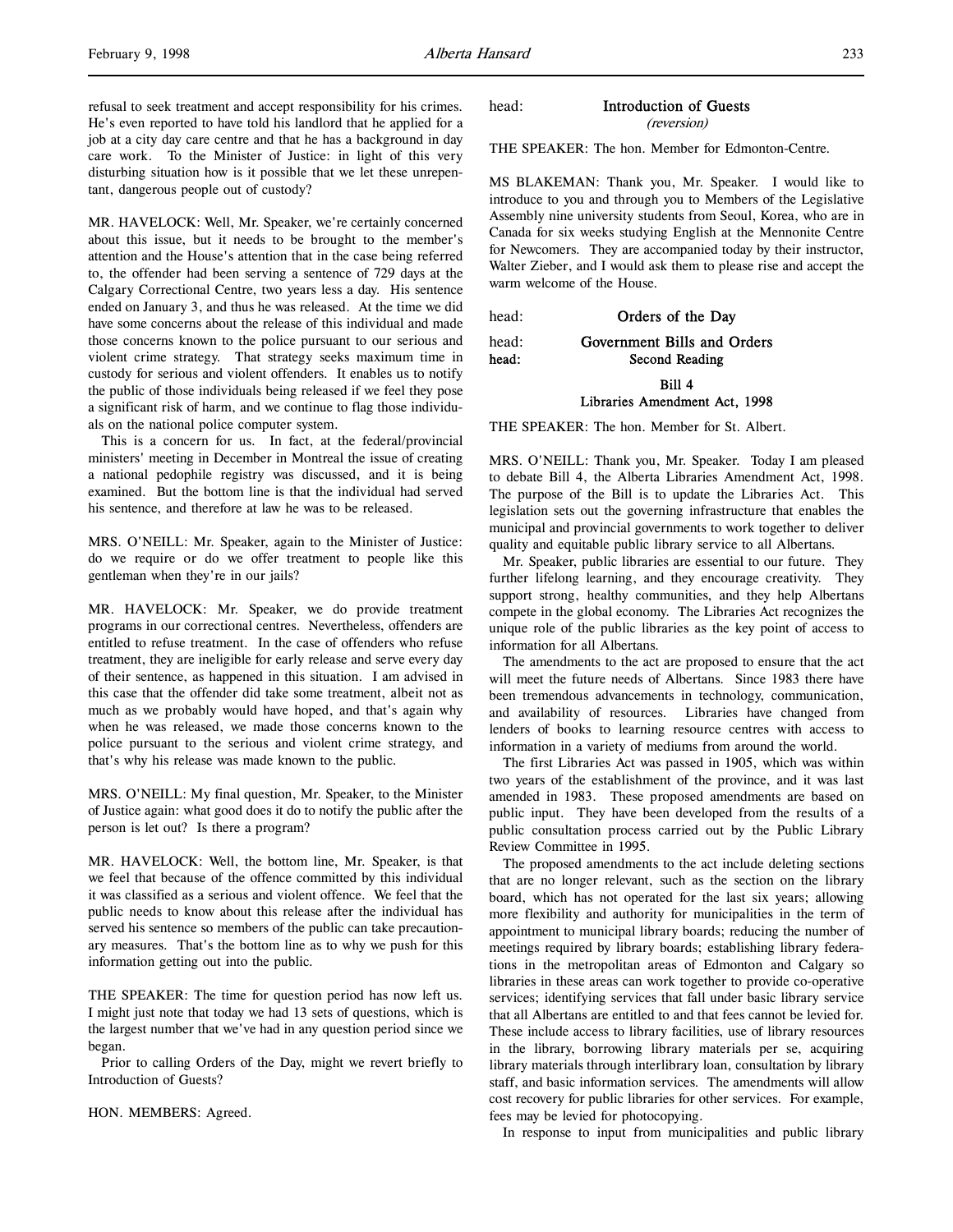refusal to seek treatment and accept responsibility for his crimes. He's even reported to have told his landlord that he applied for a job at a city day care centre and that he has a background in day care work. To the Minister of Justice: in light of this very disturbing situation how is it possible that we let these unrepentant, dangerous people out of custody?

MR. HAVELOCK: Well, Mr. Speaker, we're certainly concerned about this issue, but it needs to be brought to the member's attention and the House's attention that in the case being referred to, the offender had been serving a sentence of 729 days at the Calgary Correctional Centre, two years less a day. His sentence ended on January 3, and thus he was released. At the time we did have some concerns about the release of this individual and made those concerns known to the police pursuant to our serious and violent crime strategy. That strategy seeks maximum time in custody for serious and violent offenders. It enables us to notify the public of those individuals being released if we feel they pose a significant risk of harm, and we continue to flag those individuals on the national police computer system.

This is a concern for us. In fact, at the federal/provincial ministers' meeting in December in Montreal the issue of creating a national pedophile registry was discussed, and it is being examined. But the bottom line is that the individual had served his sentence, and therefore at law he was to be released.

MRS. O'NEILL: Mr. Speaker, again to the Minister of Justice: do we require or do we offer treatment to people like this gentleman when they're in our jails?

MR. HAVELOCK: Mr. Speaker, we do provide treatment programs in our correctional centres. Nevertheless, offenders are entitled to refuse treatment. In the case of offenders who refuse treatment, they are ineligible for early release and serve every day of their sentence, as happened in this situation. I am advised in this case that the offender did take some treatment, albeit not as much as we probably would have hoped, and that's again why when he was released, we made those concerns known to the police pursuant to the serious and violent crime strategy, and that's why his release was made known to the public.

MRS. O'NEILL: My final question, Mr. Speaker, to the Minister of Justice again: what good does it do to notify the public after the person is let out? Is there a program?

MR. HAVELOCK: Well, the bottom line, Mr. Speaker, is that we feel that because of the offence committed by this individual it was classified as a serious and violent offence. We feel that the public needs to know about this release after the individual has served his sentence so members of the public can take precautionary measures. That's the bottom line as to why we push for this information getting out into the public.

THE SPEAKER: The time for question period has now left us. I might just note that today we had 13 sets of questions, which is the largest number that we've had in any question period since we began.

Prior to calling Orders of the Day, might we revert briefly to Introduction of Guests?

HON. MEMBERS: Agreed.

head: Introduction of Guests

(reversion)

THE SPEAKER: The hon. Member for Edmonton-Centre.

MS BLAKEMAN: Thank you, Mr. Speaker. I would like to introduce to you and through you to Members of the Legislative Assembly nine university students from Seoul, Korea, who are in Canada for six weeks studying English at the Mennonite Centre for Newcomers. They are accompanied today by their instructor, Walter Zieber, and I would ask them to please rise and accept the warm welcome of the House.

head: **Orders of the Day** 

# head: Government Bills and Orders head: Second Reading

Bill 4

# Libraries Amendment Act, 1998

THE SPEAKER: The hon. Member for St. Albert.

MRS. O'NEILL: Thank you, Mr. Speaker. Today I am pleased to debate Bill 4, the Alberta Libraries Amendment Act, 1998. The purpose of the Bill is to update the Libraries Act. This legislation sets out the governing infrastructure that enables the municipal and provincial governments to work together to deliver quality and equitable public library service to all Albertans.

Mr. Speaker, public libraries are essential to our future. They further lifelong learning, and they encourage creativity. They support strong, healthy communities, and they help Albertans compete in the global economy. The Libraries Act recognizes the unique role of the public libraries as the key point of access to information for all Albertans.

The amendments to the act are proposed to ensure that the act will meet the future needs of Albertans. Since 1983 there have been tremendous advancements in technology, communication, and availability of resources. Libraries have changed from lenders of books to learning resource centres with access to information in a variety of mediums from around the world.

The first Libraries Act was passed in 1905, which was within two years of the establishment of the province, and it was last amended in 1983. These proposed amendments are based on public input. They have been developed from the results of a public consultation process carried out by the Public Library Review Committee in 1995.

The proposed amendments to the act include deleting sections that are no longer relevant, such as the section on the library board, which has not operated for the last six years; allowing more flexibility and authority for municipalities in the term of appointment to municipal library boards; reducing the number of meetings required by library boards; establishing library federations in the metropolitan areas of Edmonton and Calgary so libraries in these areas can work together to provide co-operative services; identifying services that fall under basic library service that all Albertans are entitled to and that fees cannot be levied for. These include access to library facilities, use of library resources in the library, borrowing library materials per se, acquiring library materials through interlibrary loan, consultation by library staff, and basic information services. The amendments will allow cost recovery for public libraries for other services. For example, fees may be levied for photocopying.

In response to input from municipalities and public library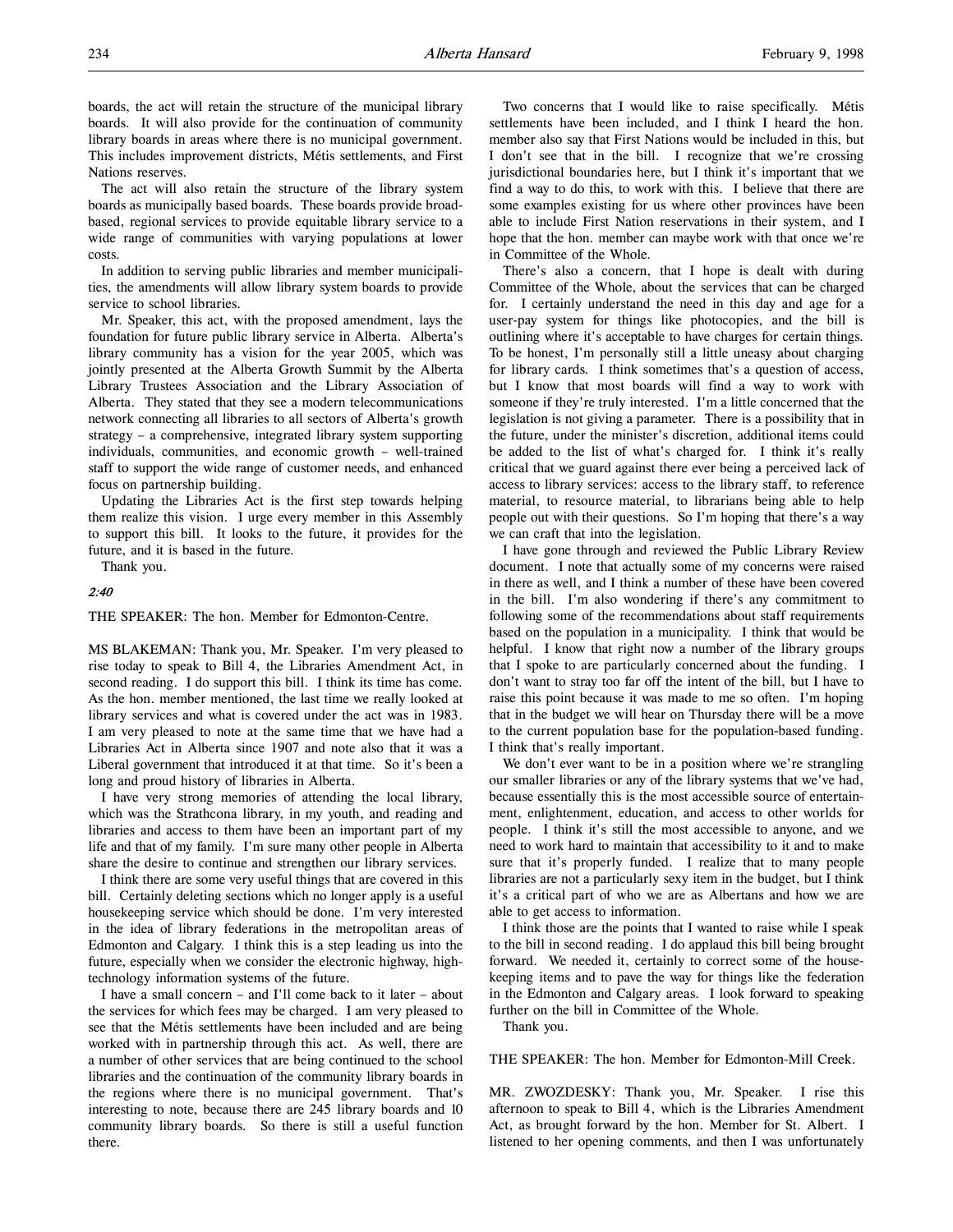boards, the act will retain the structure of the municipal library boards. It will also provide for the continuation of community library boards in areas where there is no municipal government. This includes improvement districts, Métis settlements, and First Nations reserves.

The act will also retain the structure of the library system boards as municipally based boards. These boards provide broadbased, regional services to provide equitable library service to a wide range of communities with varying populations at lower costs.

In addition to serving public libraries and member municipalities, the amendments will allow library system boards to provide service to school libraries.

Mr. Speaker, this act, with the proposed amendment, lays the foundation for future public library service in Alberta. Alberta's library community has a vision for the year 2005, which was jointly presented at the Alberta Growth Summit by the Alberta Library Trustees Association and the Library Association of Alberta. They stated that they see a modern telecommunications network connecting all libraries to all sectors of Alberta's growth strategy – a comprehensive, integrated library system supporting individuals, communities, and economic growth – well-trained staff to support the wide range of customer needs, and enhanced focus on partnership building.

Updating the Libraries Act is the first step towards helping them realize this vision. I urge every member in this Assembly to support this bill. It looks to the future, it provides for the future, and it is based in the future.

Thank you.

# 2:40

THE SPEAKER: The hon. Member for Edmonton-Centre.

MS BLAKEMAN: Thank you, Mr. Speaker. I'm very pleased to rise today to speak to Bill 4, the Libraries Amendment Act, in second reading. I do support this bill. I think its time has come. As the hon. member mentioned, the last time we really looked at library services and what is covered under the act was in 1983. I am very pleased to note at the same time that we have had a Libraries Act in Alberta since 1907 and note also that it was a Liberal government that introduced it at that time. So it's been a long and proud history of libraries in Alberta.

I have very strong memories of attending the local library, which was the Strathcona library, in my youth, and reading and libraries and access to them have been an important part of my life and that of my family. I'm sure many other people in Alberta share the desire to continue and strengthen our library services.

I think there are some very useful things that are covered in this bill. Certainly deleting sections which no longer apply is a useful housekeeping service which should be done. I'm very interested in the idea of library federations in the metropolitan areas of Edmonton and Calgary. I think this is a step leading us into the future, especially when we consider the electronic highway, hightechnology information systems of the future.

I have a small concern – and I'll come back to it later – about the services for which fees may be charged. I am very pleased to see that the Métis settlements have been included and are being worked with in partnership through this act. As well, there are a number of other services that are being continued to the school libraries and the continuation of the community library boards in the regions where there is no municipal government. That's interesting to note, because there are 245 library boards and 10 community library boards. So there is still a useful function there.

Two concerns that I would like to raise specifically. Métis settlements have been included, and I think I heard the hon. member also say that First Nations would be included in this, but I don't see that in the bill. I recognize that we're crossing jurisdictional boundaries here, but I think it's important that we find a way to do this, to work with this. I believe that there are some examples existing for us where other provinces have been able to include First Nation reservations in their system, and I hope that the hon. member can maybe work with that once we're in Committee of the Whole.

There's also a concern, that I hope is dealt with during Committee of the Whole, about the services that can be charged for. I certainly understand the need in this day and age for a user-pay system for things like photocopies, and the bill is outlining where it's acceptable to have charges for certain things. To be honest, I'm personally still a little uneasy about charging for library cards. I think sometimes that's a question of access, but I know that most boards will find a way to work with someone if they're truly interested. I'm a little concerned that the legislation is not giving a parameter. There is a possibility that in the future, under the minister's discretion, additional items could be added to the list of what's charged for. I think it's really critical that we guard against there ever being a perceived lack of access to library services: access to the library staff, to reference material, to resource material, to librarians being able to help people out with their questions. So I'm hoping that there's a way we can craft that into the legislation.

I have gone through and reviewed the Public Library Review document. I note that actually some of my concerns were raised in there as well, and I think a number of these have been covered in the bill. I'm also wondering if there's any commitment to following some of the recommendations about staff requirements based on the population in a municipality. I think that would be helpful. I know that right now a number of the library groups that I spoke to are particularly concerned about the funding. I don't want to stray too far off the intent of the bill, but I have to raise this point because it was made to me so often. I'm hoping that in the budget we will hear on Thursday there will be a move to the current population base for the population-based funding. I think that's really important.

We don't ever want to be in a position where we're strangling our smaller libraries or any of the library systems that we've had, because essentially this is the most accessible source of entertainment, enlightenment, education, and access to other worlds for people. I think it's still the most accessible to anyone, and we need to work hard to maintain that accessibility to it and to make sure that it's properly funded. I realize that to many people libraries are not a particularly sexy item in the budget, but I think it's a critical part of who we are as Albertans and how we are able to get access to information.

I think those are the points that I wanted to raise while I speak to the bill in second reading. I do applaud this bill being brought forward. We needed it, certainly to correct some of the housekeeping items and to pave the way for things like the federation in the Edmonton and Calgary areas. I look forward to speaking further on the bill in Committee of the Whole.

Thank you.

THE SPEAKER: The hon. Member for Edmonton-Mill Creek.

MR. ZWOZDESKY: Thank you, Mr. Speaker. I rise this afternoon to speak to Bill 4, which is the Libraries Amendment Act, as brought forward by the hon. Member for St. Albert. I listened to her opening comments, and then I was unfortunately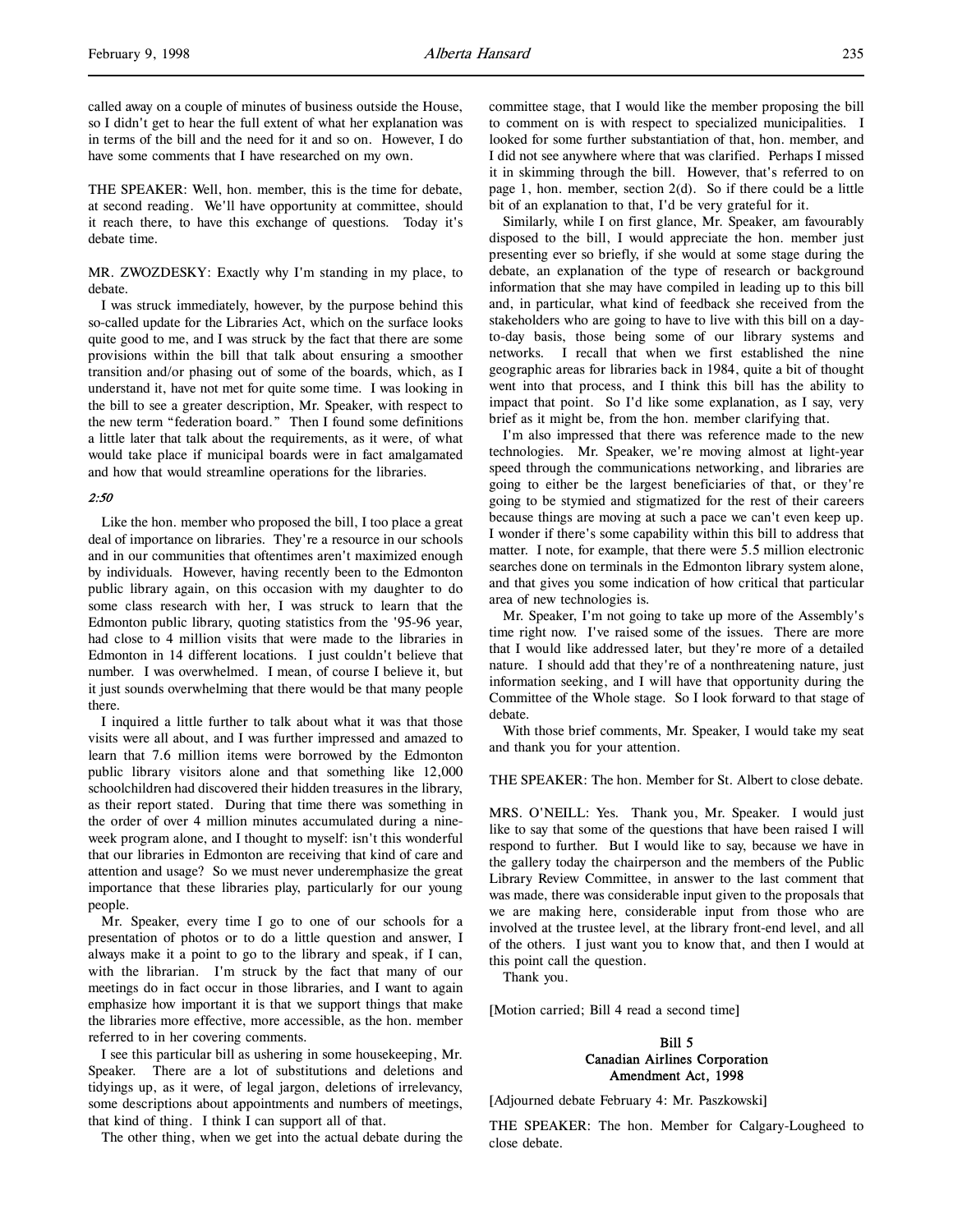called away on a couple of minutes of business outside the House, so I didn't get to hear the full extent of what her explanation was in terms of the bill and the need for it and so on. However, I do have some comments that I have researched on my own.

THE SPEAKER: Well, hon. member, this is the time for debate, at second reading. We'll have opportunity at committee, should it reach there, to have this exchange of questions. Today it's debate time.

MR. ZWOZDESKY: Exactly why I'm standing in my place, to debate.

I was struck immediately, however, by the purpose behind this so-called update for the Libraries Act, which on the surface looks quite good to me, and I was struck by the fact that there are some provisions within the bill that talk about ensuring a smoother transition and/or phasing out of some of the boards, which, as I understand it, have not met for quite some time. I was looking in the bill to see a greater description, Mr. Speaker, with respect to the new term "federation board." Then I found some definitions a little later that talk about the requirements, as it were, of what would take place if municipal boards were in fact amalgamated and how that would streamline operations for the libraries.

# 2:50

Like the hon. member who proposed the bill, I too place a great deal of importance on libraries. They're a resource in our schools and in our communities that oftentimes aren't maximized enough by individuals. However, having recently been to the Edmonton public library again, on this occasion with my daughter to do some class research with her, I was struck to learn that the Edmonton public library, quoting statistics from the '95-96 year, had close to 4 million visits that were made to the libraries in Edmonton in 14 different locations. I just couldn't believe that number. I was overwhelmed. I mean, of course I believe it, but it just sounds overwhelming that there would be that many people there.

I inquired a little further to talk about what it was that those visits were all about, and I was further impressed and amazed to learn that 7.6 million items were borrowed by the Edmonton public library visitors alone and that something like 12,000 schoolchildren had discovered their hidden treasures in the library, as their report stated. During that time there was something in the order of over 4 million minutes accumulated during a nineweek program alone, and I thought to myself: isn't this wonderful that our libraries in Edmonton are receiving that kind of care and attention and usage? So we must never underemphasize the great importance that these libraries play, particularly for our young people.

Mr. Speaker, every time I go to one of our schools for a presentation of photos or to do a little question and answer, I always make it a point to go to the library and speak, if I can, with the librarian. I'm struck by the fact that many of our meetings do in fact occur in those libraries, and I want to again emphasize how important it is that we support things that make the libraries more effective, more accessible, as the hon. member referred to in her covering comments.

I see this particular bill as ushering in some housekeeping, Mr. Speaker. There are a lot of substitutions and deletions and tidyings up, as it were, of legal jargon, deletions of irrelevancy, some descriptions about appointments and numbers of meetings, that kind of thing. I think I can support all of that.

The other thing, when we get into the actual debate during the

committee stage, that I would like the member proposing the bill to comment on is with respect to specialized municipalities. I looked for some further substantiation of that, hon. member, and I did not see anywhere where that was clarified. Perhaps I missed it in skimming through the bill. However, that's referred to on page 1, hon. member, section 2(d). So if there could be a little bit of an explanation to that, I'd be very grateful for it.

Similarly, while I on first glance, Mr. Speaker, am favourably disposed to the bill, I would appreciate the hon. member just presenting ever so briefly, if she would at some stage during the debate, an explanation of the type of research or background information that she may have compiled in leading up to this bill and, in particular, what kind of feedback she received from the stakeholders who are going to have to live with this bill on a dayto-day basis, those being some of our library systems and networks. I recall that when we first established the nine geographic areas for libraries back in 1984, quite a bit of thought went into that process, and I think this bill has the ability to impact that point. So I'd like some explanation, as I say, very brief as it might be, from the hon. member clarifying that.

I'm also impressed that there was reference made to the new technologies. Mr. Speaker, we're moving almost at light-year speed through the communications networking, and libraries are going to either be the largest beneficiaries of that, or they're going to be stymied and stigmatized for the rest of their careers because things are moving at such a pace we can't even keep up. I wonder if there's some capability within this bill to address that matter. I note, for example, that there were 5.5 million electronic searches done on terminals in the Edmonton library system alone, and that gives you some indication of how critical that particular area of new technologies is.

Mr. Speaker, I'm not going to take up more of the Assembly's time right now. I've raised some of the issues. There are more that I would like addressed later, but they're more of a detailed nature. I should add that they're of a nonthreatening nature, just information seeking, and I will have that opportunity during the Committee of the Whole stage. So I look forward to that stage of debate.

With those brief comments, Mr. Speaker, I would take my seat and thank you for your attention.

THE SPEAKER: The hon. Member for St. Albert to close debate.

MRS. O'NEILL: Yes. Thank you, Mr. Speaker. I would just like to say that some of the questions that have been raised I will respond to further. But I would like to say, because we have in the gallery today the chairperson and the members of the Public Library Review Committee, in answer to the last comment that was made, there was considerable input given to the proposals that we are making here, considerable input from those who are involved at the trustee level, at the library front-end level, and all of the others. I just want you to know that, and then I would at this point call the question.

Thank you.

[Motion carried; Bill 4 read a second time]

# Bill 5 Canadian Airlines Corporation Amendment Act, 1998

[Adjourned debate February 4: Mr. Paszkowski]

THE SPEAKER: The hon. Member for Calgary-Lougheed to close debate.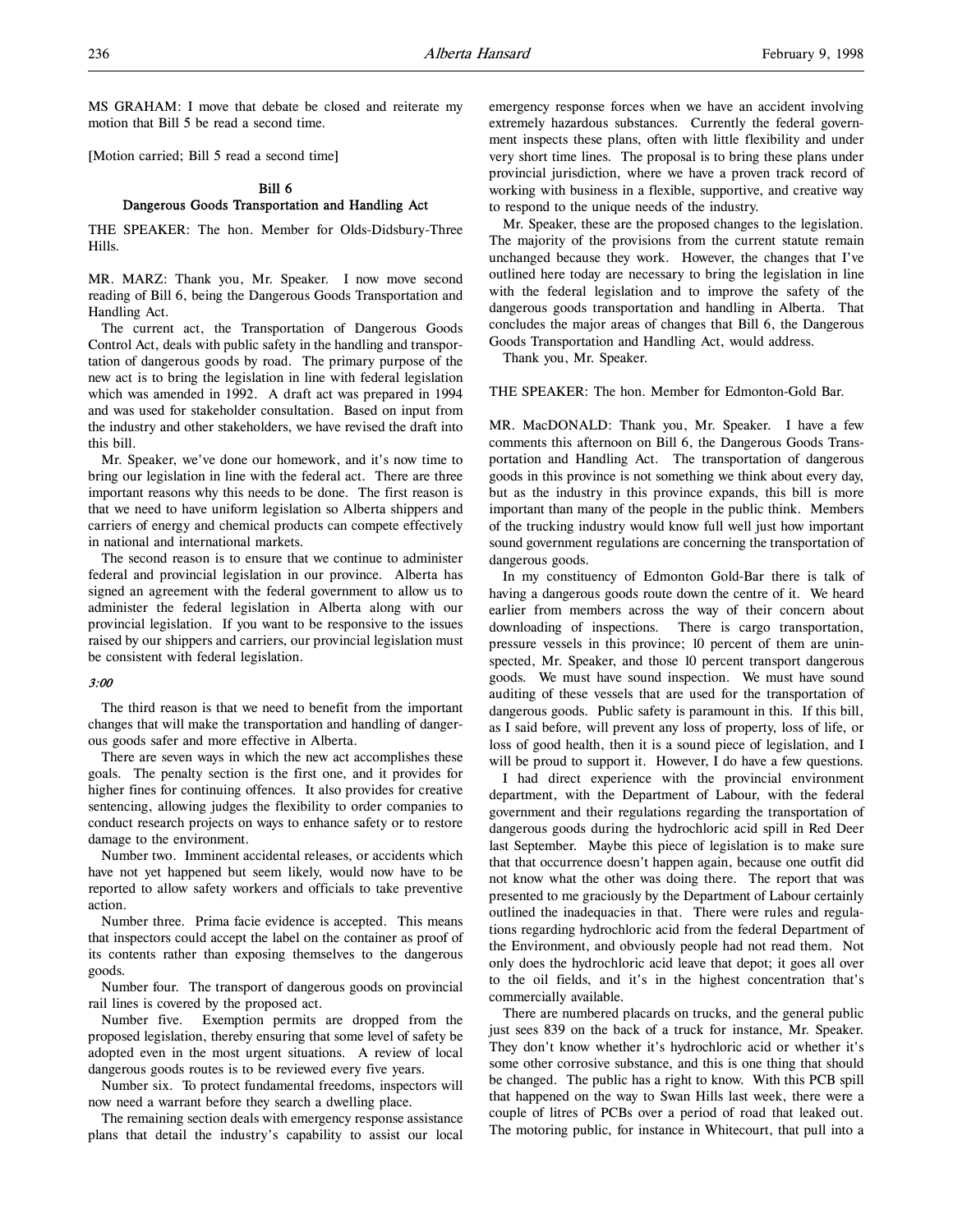MS GRAHAM: I move that debate be closed and reiterate my motion that Bill 5 be read a second time.

[Motion carried; Bill 5 read a second time]

# Bill 6 Dangerous Goods Transportation and Handling Act

THE SPEAKER: The hon. Member for Olds-Didsbury-Three Hills.

MR. MARZ: Thank you, Mr. Speaker. I now move second reading of Bill 6, being the Dangerous Goods Transportation and Handling Act.

The current act, the Transportation of Dangerous Goods Control Act, deals with public safety in the handling and transportation of dangerous goods by road. The primary purpose of the new act is to bring the legislation in line with federal legislation which was amended in 1992. A draft act was prepared in 1994 and was used for stakeholder consultation. Based on input from the industry and other stakeholders, we have revised the draft into this bill.

Mr. Speaker, we've done our homework, and it's now time to bring our legislation in line with the federal act. There are three important reasons why this needs to be done. The first reason is that we need to have uniform legislation so Alberta shippers and carriers of energy and chemical products can compete effectively in national and international markets.

The second reason is to ensure that we continue to administer federal and provincial legislation in our province. Alberta has signed an agreement with the federal government to allow us to administer the federal legislation in Alberta along with our provincial legislation. If you want to be responsive to the issues raised by our shippers and carriers, our provincial legislation must be consistent with federal legislation.

### 3:00

The third reason is that we need to benefit from the important changes that will make the transportation and handling of dangerous goods safer and more effective in Alberta.

There are seven ways in which the new act accomplishes these goals. The penalty section is the first one, and it provides for higher fines for continuing offences. It also provides for creative sentencing, allowing judges the flexibility to order companies to conduct research projects on ways to enhance safety or to restore damage to the environment.

Number two. Imminent accidental releases, or accidents which have not yet happened but seem likely, would now have to be reported to allow safety workers and officials to take preventive action.

Number three. Prima facie evidence is accepted. This means that inspectors could accept the label on the container as proof of its contents rather than exposing themselves to the dangerous goods.

Number four. The transport of dangerous goods on provincial rail lines is covered by the proposed act.

Number five. Exemption permits are dropped from the proposed legislation, thereby ensuring that some level of safety be adopted even in the most urgent situations. A review of local dangerous goods routes is to be reviewed every five years.

Number six. To protect fundamental freedoms, inspectors will now need a warrant before they search a dwelling place.

The remaining section deals with emergency response assistance plans that detail the industry's capability to assist our local

emergency response forces when we have an accident involving extremely hazardous substances. Currently the federal government inspects these plans, often with little flexibility and under very short time lines. The proposal is to bring these plans under provincial jurisdiction, where we have a proven track record of working with business in a flexible, supportive, and creative way to respond to the unique needs of the industry.

Mr. Speaker, these are the proposed changes to the legislation. The majority of the provisions from the current statute remain unchanged because they work. However, the changes that I've outlined here today are necessary to bring the legislation in line with the federal legislation and to improve the safety of the dangerous goods transportation and handling in Alberta. That concludes the major areas of changes that Bill 6, the Dangerous Goods Transportation and Handling Act, would address.

Thank you, Mr. Speaker.

THE SPEAKER: The hon. Member for Edmonton-Gold Bar.

MR. MacDONALD: Thank you, Mr. Speaker. I have a few comments this afternoon on Bill 6, the Dangerous Goods Transportation and Handling Act. The transportation of dangerous goods in this province is not something we think about every day, but as the industry in this province expands, this bill is more important than many of the people in the public think. Members of the trucking industry would know full well just how important sound government regulations are concerning the transportation of dangerous goods.

In my constituency of Edmonton Gold-Bar there is talk of having a dangerous goods route down the centre of it. We heard earlier from members across the way of their concern about downloading of inspections. There is cargo transportation, pressure vessels in this province; 10 percent of them are uninspected, Mr. Speaker, and those 10 percent transport dangerous goods. We must have sound inspection. We must have sound auditing of these vessels that are used for the transportation of dangerous goods. Public safety is paramount in this. If this bill, as I said before, will prevent any loss of property, loss of life, or loss of good health, then it is a sound piece of legislation, and I will be proud to support it. However, I do have a few questions.

I had direct experience with the provincial environment department, with the Department of Labour, with the federal government and their regulations regarding the transportation of dangerous goods during the hydrochloric acid spill in Red Deer last September. Maybe this piece of legislation is to make sure that that occurrence doesn't happen again, because one outfit did not know what the other was doing there. The report that was presented to me graciously by the Department of Labour certainly outlined the inadequacies in that. There were rules and regulations regarding hydrochloric acid from the federal Department of the Environment, and obviously people had not read them. Not only does the hydrochloric acid leave that depot; it goes all over to the oil fields, and it's in the highest concentration that's commercially available.

There are numbered placards on trucks, and the general public just sees 839 on the back of a truck for instance, Mr. Speaker. They don't know whether it's hydrochloric acid or whether it's some other corrosive substance, and this is one thing that should be changed. The public has a right to know. With this PCB spill that happened on the way to Swan Hills last week, there were a couple of litres of PCBs over a period of road that leaked out. The motoring public, for instance in Whitecourt, that pull into a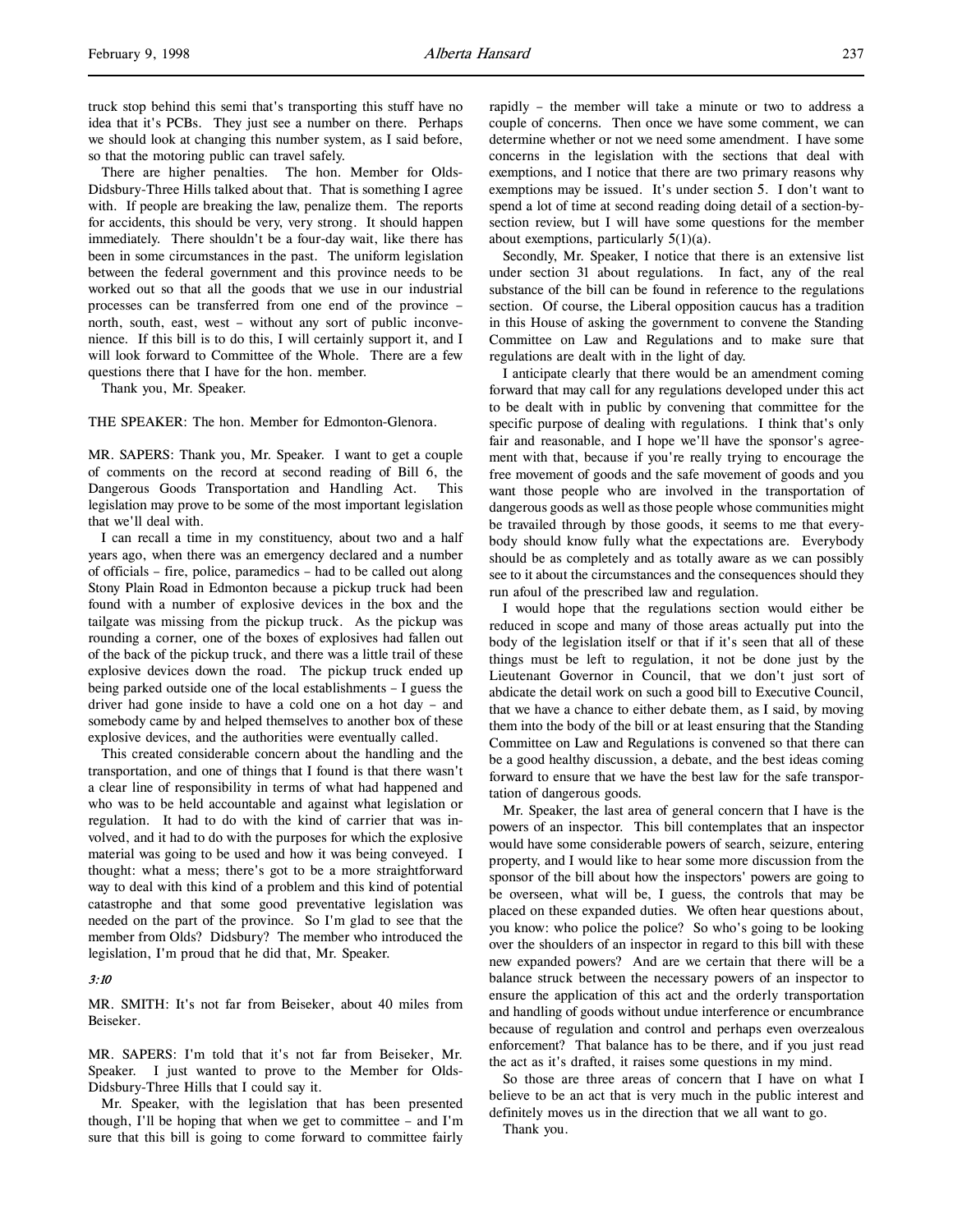truck stop behind this semi that's transporting this stuff have no idea that it's PCBs. They just see a number on there. Perhaps we should look at changing this number system, as I said before, so that the motoring public can travel safely.

There are higher penalties. The hon. Member for Olds-Didsbury-Three Hills talked about that. That is something I agree with. If people are breaking the law, penalize them. The reports for accidents, this should be very, very strong. It should happen immediately. There shouldn't be a four-day wait, like there has been in some circumstances in the past. The uniform legislation between the federal government and this province needs to be worked out so that all the goods that we use in our industrial processes can be transferred from one end of the province – north, south, east, west – without any sort of public inconvenience. If this bill is to do this, I will certainly support it, and I will look forward to Committee of the Whole. There are a few questions there that I have for the hon. member.

Thank you, Mr. Speaker.

THE SPEAKER: The hon. Member for Edmonton-Glenora.

MR. SAPERS: Thank you, Mr. Speaker. I want to get a couple of comments on the record at second reading of Bill 6, the Dangerous Goods Transportation and Handling Act. This legislation may prove to be some of the most important legislation that we'll deal with.

I can recall a time in my constituency, about two and a half years ago, when there was an emergency declared and a number of officials – fire, police, paramedics – had to be called out along Stony Plain Road in Edmonton because a pickup truck had been found with a number of explosive devices in the box and the tailgate was missing from the pickup truck. As the pickup was rounding a corner, one of the boxes of explosives had fallen out of the back of the pickup truck, and there was a little trail of these explosive devices down the road. The pickup truck ended up being parked outside one of the local establishments – I guess the driver had gone inside to have a cold one on a hot day – and somebody came by and helped themselves to another box of these explosive devices, and the authorities were eventually called.

This created considerable concern about the handling and the transportation, and one of things that I found is that there wasn't a clear line of responsibility in terms of what had happened and who was to be held accountable and against what legislation or regulation. It had to do with the kind of carrier that was involved, and it had to do with the purposes for which the explosive material was going to be used and how it was being conveyed. I thought: what a mess; there's got to be a more straightforward way to deal with this kind of a problem and this kind of potential catastrophe and that some good preventative legislation was needed on the part of the province. So I'm glad to see that the member from Olds? Didsbury? The member who introduced the legislation, I'm proud that he did that, Mr. Speaker.

### 3:10

MR. SMITH: It's not far from Beiseker, about 40 miles from Beiseker.

MR. SAPERS: I'm told that it's not far from Beiseker, Mr. Speaker. I just wanted to prove to the Member for Olds-Didsbury-Three Hills that I could say it.

Mr. Speaker, with the legislation that has been presented though, I'll be hoping that when we get to committee – and I'm sure that this bill is going to come forward to committee fairly

rapidly – the member will take a minute or two to address a couple of concerns. Then once we have some comment, we can determine whether or not we need some amendment. I have some concerns in the legislation with the sections that deal with exemptions, and I notice that there are two primary reasons why exemptions may be issued. It's under section 5. I don't want to spend a lot of time at second reading doing detail of a section-bysection review, but I will have some questions for the member about exemptions, particularly 5(1)(a).

Secondly, Mr. Speaker, I notice that there is an extensive list under section 31 about regulations. In fact, any of the real substance of the bill can be found in reference to the regulations section. Of course, the Liberal opposition caucus has a tradition in this House of asking the government to convene the Standing Committee on Law and Regulations and to make sure that regulations are dealt with in the light of day.

I anticipate clearly that there would be an amendment coming forward that may call for any regulations developed under this act to be dealt with in public by convening that committee for the specific purpose of dealing with regulations. I think that's only fair and reasonable, and I hope we'll have the sponsor's agreement with that, because if you're really trying to encourage the free movement of goods and the safe movement of goods and you want those people who are involved in the transportation of dangerous goods as well as those people whose communities might be travailed through by those goods, it seems to me that everybody should know fully what the expectations are. Everybody should be as completely and as totally aware as we can possibly see to it about the circumstances and the consequences should they run afoul of the prescribed law and regulation.

I would hope that the regulations section would either be reduced in scope and many of those areas actually put into the body of the legislation itself or that if it's seen that all of these things must be left to regulation, it not be done just by the Lieutenant Governor in Council, that we don't just sort of abdicate the detail work on such a good bill to Executive Council, that we have a chance to either debate them, as I said, by moving them into the body of the bill or at least ensuring that the Standing Committee on Law and Regulations is convened so that there can be a good healthy discussion, a debate, and the best ideas coming forward to ensure that we have the best law for the safe transportation of dangerous goods.

Mr. Speaker, the last area of general concern that I have is the powers of an inspector. This bill contemplates that an inspector would have some considerable powers of search, seizure, entering property, and I would like to hear some more discussion from the sponsor of the bill about how the inspectors' powers are going to be overseen, what will be, I guess, the controls that may be placed on these expanded duties. We often hear questions about, you know: who police the police? So who's going to be looking over the shoulders of an inspector in regard to this bill with these new expanded powers? And are we certain that there will be a balance struck between the necessary powers of an inspector to ensure the application of this act and the orderly transportation and handling of goods without undue interference or encumbrance because of regulation and control and perhaps even overzealous enforcement? That balance has to be there, and if you just read the act as it's drafted, it raises some questions in my mind.

So those are three areas of concern that I have on what I believe to be an act that is very much in the public interest and definitely moves us in the direction that we all want to go.

Thank you.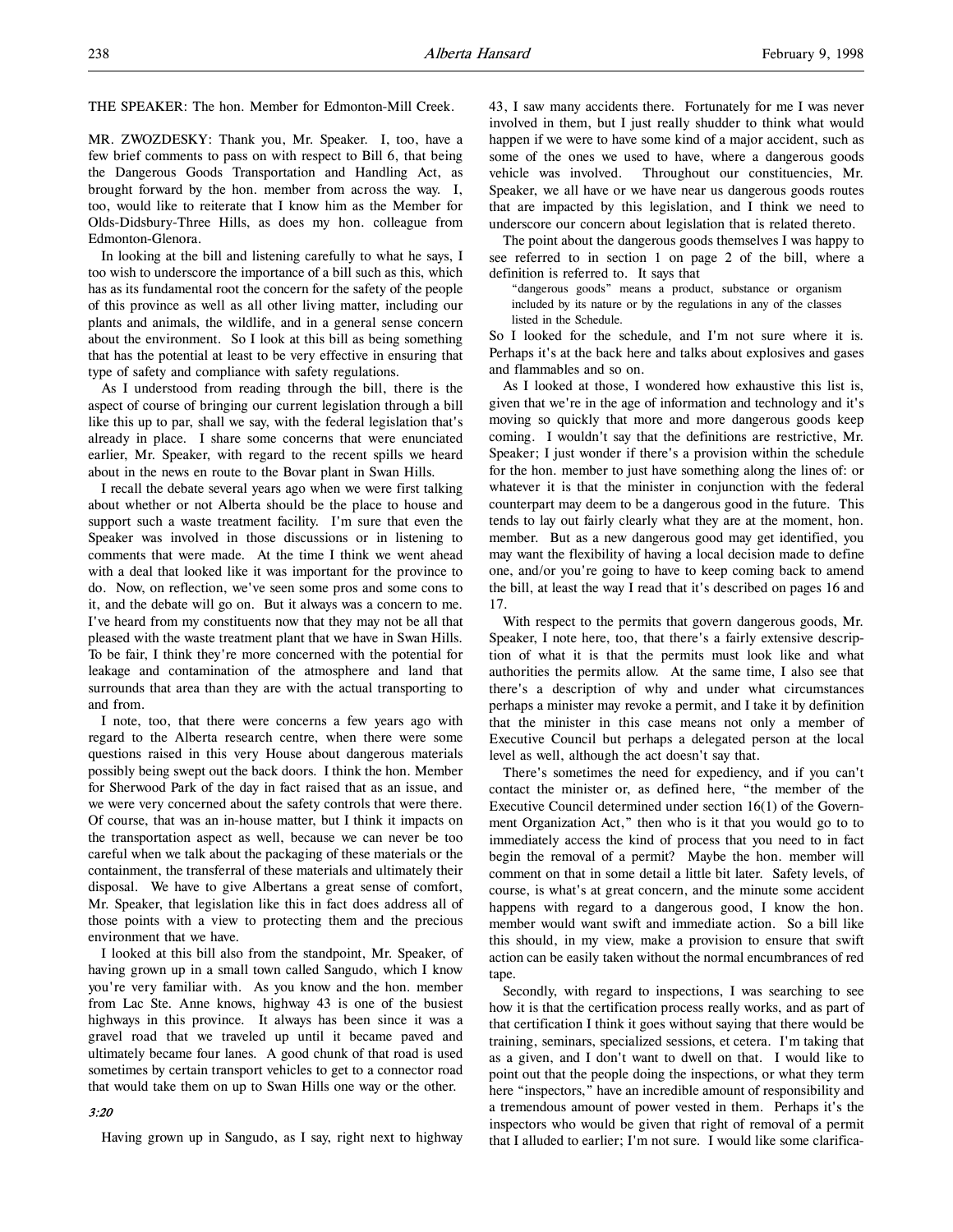THE SPEAKER: The hon. Member for Edmonton-Mill Creek.

MR. ZWOZDESKY: Thank you, Mr. Speaker. I, too, have a few brief comments to pass on with respect to Bill 6, that being the Dangerous Goods Transportation and Handling Act, as brought forward by the hon. member from across the way. I, too, would like to reiterate that I know him as the Member for Olds-Didsbury-Three Hills, as does my hon. colleague from Edmonton-Glenora.

In looking at the bill and listening carefully to what he says, I too wish to underscore the importance of a bill such as this, which has as its fundamental root the concern for the safety of the people of this province as well as all other living matter, including our plants and animals, the wildlife, and in a general sense concern about the environment. So I look at this bill as being something that has the potential at least to be very effective in ensuring that type of safety and compliance with safety regulations.

As I understood from reading through the bill, there is the aspect of course of bringing our current legislation through a bill like this up to par, shall we say, with the federal legislation that's already in place. I share some concerns that were enunciated earlier, Mr. Speaker, with regard to the recent spills we heard about in the news en route to the Bovar plant in Swan Hills.

I recall the debate several years ago when we were first talking about whether or not Alberta should be the place to house and support such a waste treatment facility. I'm sure that even the Speaker was involved in those discussions or in listening to comments that were made. At the time I think we went ahead with a deal that looked like it was important for the province to do. Now, on reflection, we've seen some pros and some cons to it, and the debate will go on. But it always was a concern to me. I've heard from my constituents now that they may not be all that pleased with the waste treatment plant that we have in Swan Hills. To be fair, I think they're more concerned with the potential for leakage and contamination of the atmosphere and land that surrounds that area than they are with the actual transporting to and from.

I note, too, that there were concerns a few years ago with regard to the Alberta research centre, when there were some questions raised in this very House about dangerous materials possibly being swept out the back doors. I think the hon. Member for Sherwood Park of the day in fact raised that as an issue, and we were very concerned about the safety controls that were there. Of course, that was an in-house matter, but I think it impacts on the transportation aspect as well, because we can never be too careful when we talk about the packaging of these materials or the containment, the transferral of these materials and ultimately their disposal. We have to give Albertans a great sense of comfort, Mr. Speaker, that legislation like this in fact does address all of those points with a view to protecting them and the precious environment that we have.

I looked at this bill also from the standpoint, Mr. Speaker, of having grown up in a small town called Sangudo, which I know you're very familiar with. As you know and the hon. member from Lac Ste. Anne knows, highway 43 is one of the busiest highways in this province. It always has been since it was a gravel road that we traveled up until it became paved and ultimately became four lanes. A good chunk of that road is used sometimes by certain transport vehicles to get to a connector road that would take them on up to Swan Hills one way or the other.

# 3:20

Having grown up in Sangudo, as I say, right next to highway

43, I saw many accidents there. Fortunately for me I was never involved in them, but I just really shudder to think what would happen if we were to have some kind of a major accident, such as some of the ones we used to have, where a dangerous goods vehicle was involved. Throughout our constituencies, Mr. Speaker, we all have or we have near us dangerous goods routes that are impacted by this legislation, and I think we need to underscore our concern about legislation that is related thereto.

The point about the dangerous goods themselves I was happy to see referred to in section 1 on page 2 of the bill, where a definition is referred to. It says that

"dangerous goods" means a product, substance or organism included by its nature or by the regulations in any of the classes listed in the Schedule.

So I looked for the schedule, and I'm not sure where it is. Perhaps it's at the back here and talks about explosives and gases and flammables and so on.

As I looked at those, I wondered how exhaustive this list is, given that we're in the age of information and technology and it's moving so quickly that more and more dangerous goods keep coming. I wouldn't say that the definitions are restrictive, Mr. Speaker; I just wonder if there's a provision within the schedule for the hon. member to just have something along the lines of: or whatever it is that the minister in conjunction with the federal counterpart may deem to be a dangerous good in the future. This tends to lay out fairly clearly what they are at the moment, hon. member. But as a new dangerous good may get identified, you may want the flexibility of having a local decision made to define one, and/or you're going to have to keep coming back to amend the bill, at least the way I read that it's described on pages 16 and 17.

With respect to the permits that govern dangerous goods, Mr. Speaker, I note here, too, that there's a fairly extensive description of what it is that the permits must look like and what authorities the permits allow. At the same time, I also see that there's a description of why and under what circumstances perhaps a minister may revoke a permit, and I take it by definition that the minister in this case means not only a member of Executive Council but perhaps a delegated person at the local level as well, although the act doesn't say that.

There's sometimes the need for expediency, and if you can't contact the minister or, as defined here, "the member of the Executive Council determined under section 16(1) of the Government Organization Act," then who is it that you would go to to immediately access the kind of process that you need to in fact begin the removal of a permit? Maybe the hon. member will comment on that in some detail a little bit later. Safety levels, of course, is what's at great concern, and the minute some accident happens with regard to a dangerous good, I know the hon. member would want swift and immediate action. So a bill like this should, in my view, make a provision to ensure that swift action can be easily taken without the normal encumbrances of red tape.

Secondly, with regard to inspections, I was searching to see how it is that the certification process really works, and as part of that certification I think it goes without saying that there would be training, seminars, specialized sessions, et cetera. I'm taking that as a given, and I don't want to dwell on that. I would like to point out that the people doing the inspections, or what they term here "inspectors," have an incredible amount of responsibility and a tremendous amount of power vested in them. Perhaps it's the inspectors who would be given that right of removal of a permit that I alluded to earlier; I'm not sure. I would like some clarifica-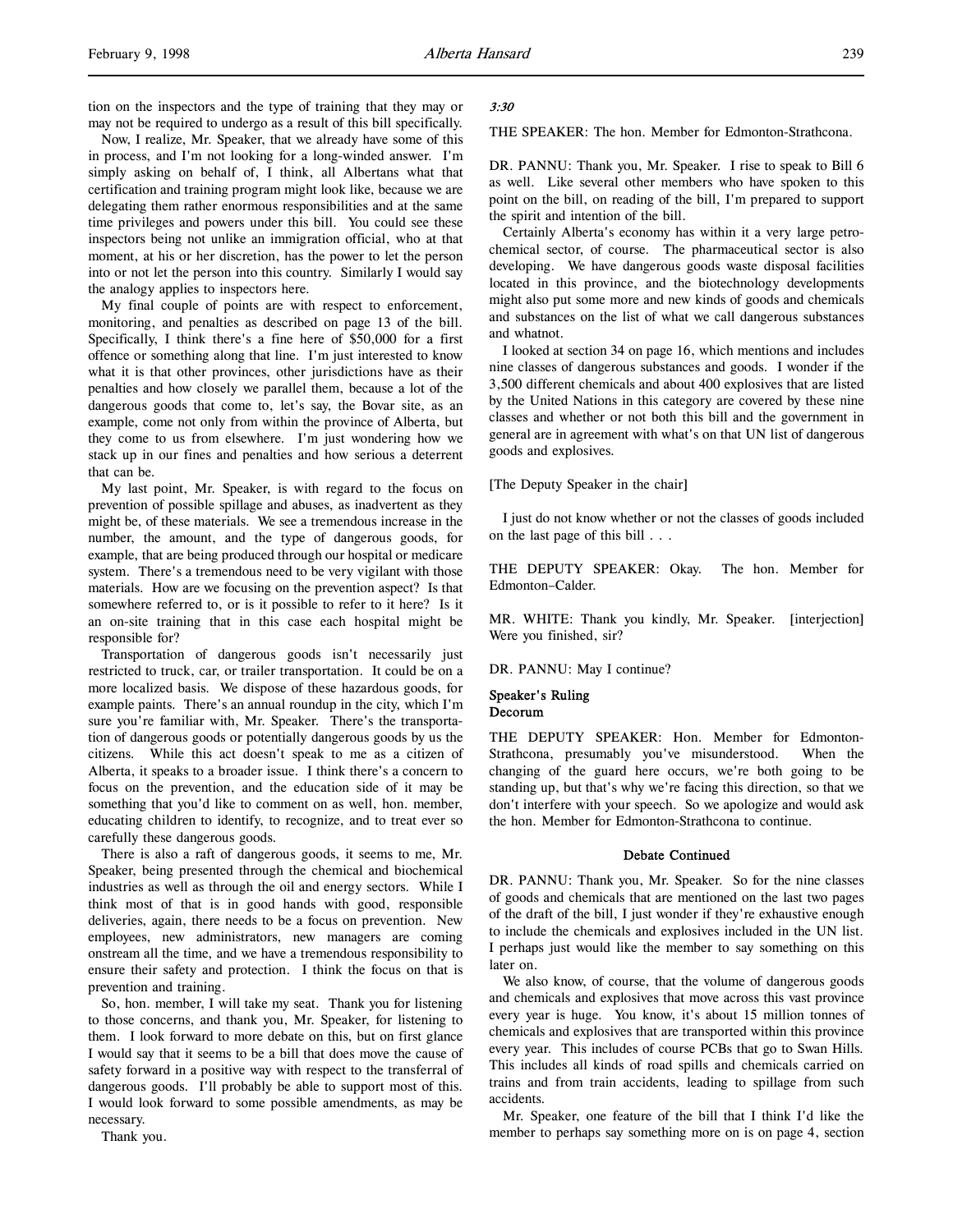Now, I realize, Mr. Speaker, that we already have some of this in process, and I'm not looking for a long-winded answer. I'm simply asking on behalf of, I think, all Albertans what that certification and training program might look like, because we are delegating them rather enormous responsibilities and at the same time privileges and powers under this bill. You could see these inspectors being not unlike an immigration official, who at that moment, at his or her discretion, has the power to let the person into or not let the person into this country. Similarly I would say the analogy applies to inspectors here.

My final couple of points are with respect to enforcement, monitoring, and penalties as described on page 13 of the bill. Specifically, I think there's a fine here of \$50,000 for a first offence or something along that line. I'm just interested to know what it is that other provinces, other jurisdictions have as their penalties and how closely we parallel them, because a lot of the dangerous goods that come to, let's say, the Bovar site, as an example, come not only from within the province of Alberta, but they come to us from elsewhere. I'm just wondering how we stack up in our fines and penalties and how serious a deterrent that can be.

My last point, Mr. Speaker, is with regard to the focus on prevention of possible spillage and abuses, as inadvertent as they might be, of these materials. We see a tremendous increase in the number, the amount, and the type of dangerous goods, for example, that are being produced through our hospital or medicare system. There's a tremendous need to be very vigilant with those materials. How are we focusing on the prevention aspect? Is that somewhere referred to, or is it possible to refer to it here? Is it an on-site training that in this case each hospital might be responsible for?

Transportation of dangerous goods isn't necessarily just restricted to truck, car, or trailer transportation. It could be on a more localized basis. We dispose of these hazardous goods, for example paints. There's an annual roundup in the city, which I'm sure you're familiar with, Mr. Speaker. There's the transportation of dangerous goods or potentially dangerous goods by us the citizens. While this act doesn't speak to me as a citizen of Alberta, it speaks to a broader issue. I think there's a concern to focus on the prevention, and the education side of it may be something that you'd like to comment on as well, hon. member, educating children to identify, to recognize, and to treat ever so carefully these dangerous goods.

There is also a raft of dangerous goods, it seems to me, Mr. Speaker, being presented through the chemical and biochemical industries as well as through the oil and energy sectors. While I think most of that is in good hands with good, responsible deliveries, again, there needs to be a focus on prevention. New employees, new administrators, new managers are coming onstream all the time, and we have a tremendous responsibility to ensure their safety and protection. I think the focus on that is prevention and training.

So, hon. member, I will take my seat. Thank you for listening to those concerns, and thank you, Mr. Speaker, for listening to them. I look forward to more debate on this, but on first glance I would say that it seems to be a bill that does move the cause of safety forward in a positive way with respect to the transferral of dangerous goods. I'll probably be able to support most of this. I would look forward to some possible amendments, as may be necessary.

Thank you.

### 3:30

THE SPEAKER: The hon. Member for Edmonton-Strathcona.

DR. PANNU: Thank you, Mr. Speaker. I rise to speak to Bill 6 as well. Like several other members who have spoken to this point on the bill, on reading of the bill, I'm prepared to support the spirit and intention of the bill.

Certainly Alberta's economy has within it a very large petrochemical sector, of course. The pharmaceutical sector is also developing. We have dangerous goods waste disposal facilities located in this province, and the biotechnology developments might also put some more and new kinds of goods and chemicals and substances on the list of what we call dangerous substances and whatnot.

I looked at section 34 on page 16, which mentions and includes nine classes of dangerous substances and goods. I wonder if the 3,500 different chemicals and about 400 explosives that are listed by the United Nations in this category are covered by these nine classes and whether or not both this bill and the government in general are in agreement with what's on that UN list of dangerous goods and explosives.

[The Deputy Speaker in the chair]

I just do not know whether or not the classes of goods included on the last page of this bill . . .

THE DEPUTY SPEAKER: Okay. The hon. Member for Edmonton–Calder.

MR. WHITE: Thank you kindly, Mr. Speaker. [interjection] Were you finished, sir?

DR. PANNU: May I continue?

### Speaker's Ruling Decorum

THE DEPUTY SPEAKER: Hon. Member for Edmonton-Strathcona, presumably you've misunderstood. When the changing of the guard here occurs, we're both going to be standing up, but that's why we're facing this direction, so that we don't interfere with your speech. So we apologize and would ask the hon. Member for Edmonton-Strathcona to continue.

# Debate Continued

DR. PANNU: Thank you, Mr. Speaker. So for the nine classes of goods and chemicals that are mentioned on the last two pages of the draft of the bill, I just wonder if they're exhaustive enough to include the chemicals and explosives included in the UN list. I perhaps just would like the member to say something on this later on.

We also know, of course, that the volume of dangerous goods and chemicals and explosives that move across this vast province every year is huge. You know, it's about 15 million tonnes of chemicals and explosives that are transported within this province every year. This includes of course PCBs that go to Swan Hills. This includes all kinds of road spills and chemicals carried on trains and from train accidents, leading to spillage from such accidents.

Mr. Speaker, one feature of the bill that I think I'd like the member to perhaps say something more on is on page 4, section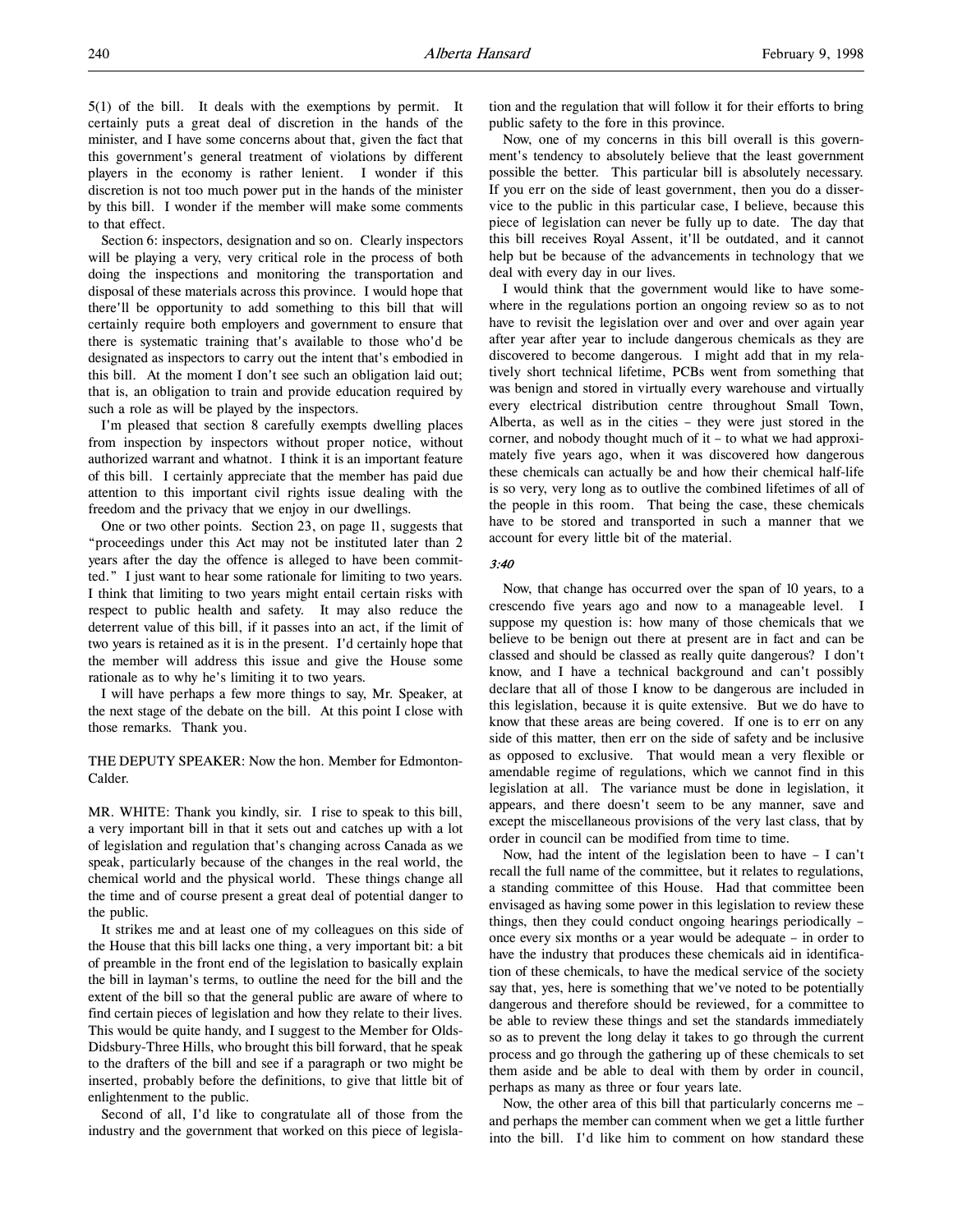5(1) of the bill. It deals with the exemptions by permit. It certainly puts a great deal of discretion in the hands of the minister, and I have some concerns about that, given the fact that this government's general treatment of violations by different players in the economy is rather lenient. I wonder if this discretion is not too much power put in the hands of the minister by this bill. I wonder if the member will make some comments to that effect.

Section 6: inspectors, designation and so on. Clearly inspectors will be playing a very, very critical role in the process of both doing the inspections and monitoring the transportation and disposal of these materials across this province. I would hope that there'll be opportunity to add something to this bill that will certainly require both employers and government to ensure that there is systematic training that's available to those who'd be designated as inspectors to carry out the intent that's embodied in this bill. At the moment I don't see such an obligation laid out; that is, an obligation to train and provide education required by such a role as will be played by the inspectors.

I'm pleased that section 8 carefully exempts dwelling places from inspection by inspectors without proper notice, without authorized warrant and whatnot. I think it is an important feature of this bill. I certainly appreciate that the member has paid due attention to this important civil rights issue dealing with the freedom and the privacy that we enjoy in our dwellings.

One or two other points. Section 23, on page 11, suggests that "proceedings under this Act may not be instituted later than 2 years after the day the offence is alleged to have been committed." I just want to hear some rationale for limiting to two years. I think that limiting to two years might entail certain risks with respect to public health and safety. It may also reduce the deterrent value of this bill, if it passes into an act, if the limit of two years is retained as it is in the present. I'd certainly hope that the member will address this issue and give the House some rationale as to why he's limiting it to two years.

I will have perhaps a few more things to say, Mr. Speaker, at the next stage of the debate on the bill. At this point I close with those remarks. Thank you.

THE DEPUTY SPEAKER: Now the hon. Member for Edmonton-Calder.

MR. WHITE: Thank you kindly, sir. I rise to speak to this bill, a very important bill in that it sets out and catches up with a lot of legislation and regulation that's changing across Canada as we speak, particularly because of the changes in the real world, the chemical world and the physical world. These things change all the time and of course present a great deal of potential danger to the public.

It strikes me and at least one of my colleagues on this side of the House that this bill lacks one thing, a very important bit: a bit of preamble in the front end of the legislation to basically explain the bill in layman's terms, to outline the need for the bill and the extent of the bill so that the general public are aware of where to find certain pieces of legislation and how they relate to their lives. This would be quite handy, and I suggest to the Member for Olds-Didsbury-Three Hills, who brought this bill forward, that he speak to the drafters of the bill and see if a paragraph or two might be inserted, probably before the definitions, to give that little bit of enlightenment to the public.

Second of all, I'd like to congratulate all of those from the industry and the government that worked on this piece of legislation and the regulation that will follow it for their efforts to bring public safety to the fore in this province.

Now, one of my concerns in this bill overall is this government's tendency to absolutely believe that the least government possible the better. This particular bill is absolutely necessary. If you err on the side of least government, then you do a disservice to the public in this particular case, I believe, because this piece of legislation can never be fully up to date. The day that this bill receives Royal Assent, it'll be outdated, and it cannot help but be because of the advancements in technology that we deal with every day in our lives.

I would think that the government would like to have somewhere in the regulations portion an ongoing review so as to not have to revisit the legislation over and over and over again year after year after year to include dangerous chemicals as they are discovered to become dangerous. I might add that in my relatively short technical lifetime, PCBs went from something that was benign and stored in virtually every warehouse and virtually every electrical distribution centre throughout Small Town, Alberta, as well as in the cities – they were just stored in the corner, and nobody thought much of it – to what we had approximately five years ago, when it was discovered how dangerous these chemicals can actually be and how their chemical half-life is so very, very long as to outlive the combined lifetimes of all of the people in this room. That being the case, these chemicals have to be stored and transported in such a manner that we account for every little bit of the material.

### 3:40

Now, that change has occurred over the span of 10 years, to a crescendo five years ago and now to a manageable level. I suppose my question is: how many of those chemicals that we believe to be benign out there at present are in fact and can be classed and should be classed as really quite dangerous? I don't know, and I have a technical background and can't possibly declare that all of those I know to be dangerous are included in this legislation, because it is quite extensive. But we do have to know that these areas are being covered. If one is to err on any side of this matter, then err on the side of safety and be inclusive as opposed to exclusive. That would mean a very flexible or amendable regime of regulations, which we cannot find in this legislation at all. The variance must be done in legislation, it appears, and there doesn't seem to be any manner, save and except the miscellaneous provisions of the very last class, that by order in council can be modified from time to time.

Now, had the intent of the legislation been to have – I can't recall the full name of the committee, but it relates to regulations, a standing committee of this House. Had that committee been envisaged as having some power in this legislation to review these things, then they could conduct ongoing hearings periodically – once every six months or a year would be adequate – in order to have the industry that produces these chemicals aid in identification of these chemicals, to have the medical service of the society say that, yes, here is something that we've noted to be potentially dangerous and therefore should be reviewed, for a committee to be able to review these things and set the standards immediately so as to prevent the long delay it takes to go through the current process and go through the gathering up of these chemicals to set them aside and be able to deal with them by order in council, perhaps as many as three or four years late.

Now, the other area of this bill that particularly concerns me – and perhaps the member can comment when we get a little further into the bill. I'd like him to comment on how standard these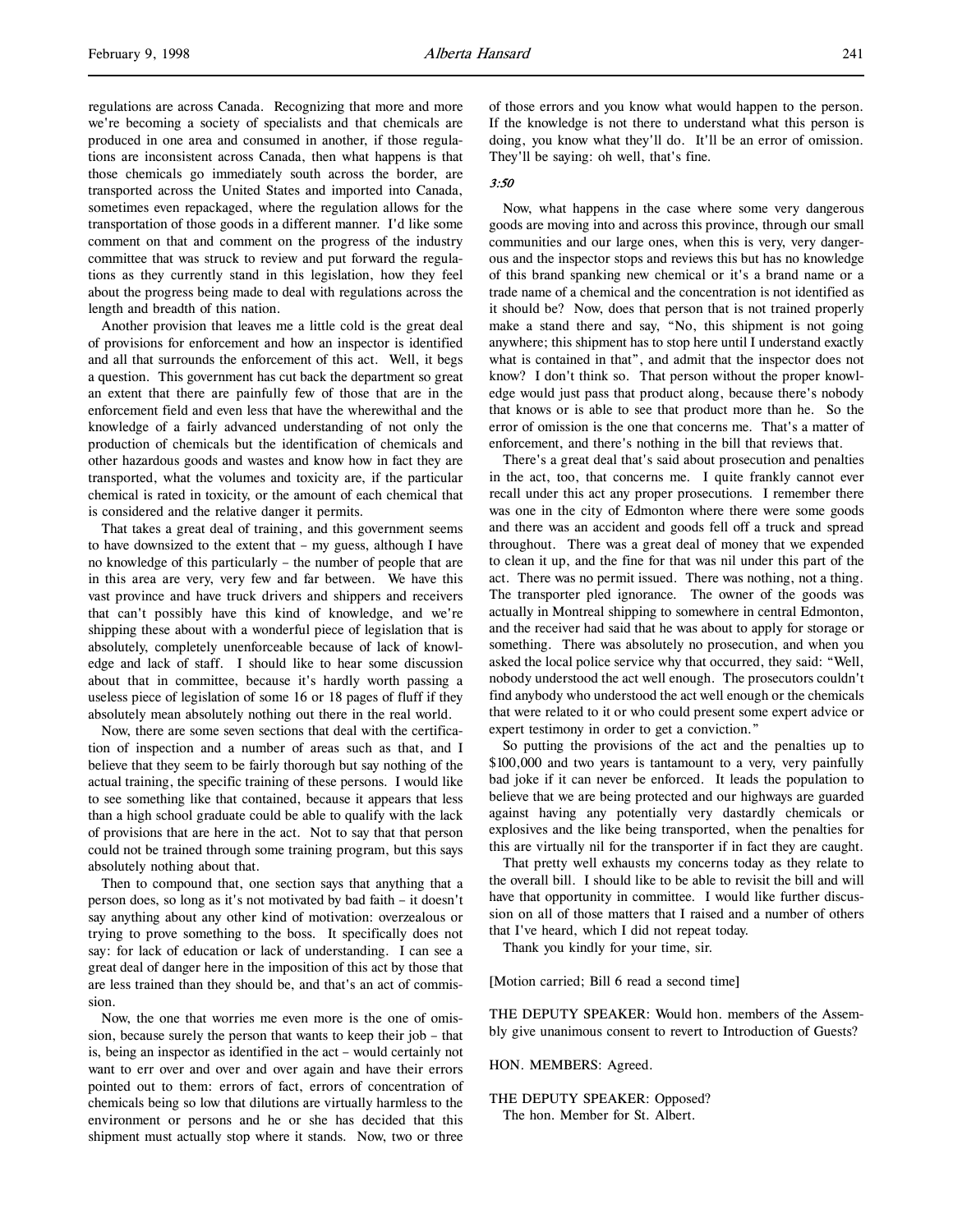regulations are across Canada. Recognizing that more and more we're becoming a society of specialists and that chemicals are produced in one area and consumed in another, if those regulations are inconsistent across Canada, then what happens is that those chemicals go immediately south across the border, are transported across the United States and imported into Canada, sometimes even repackaged, where the regulation allows for the transportation of those goods in a different manner. I'd like some comment on that and comment on the progress of the industry committee that was struck to review and put forward the regulations as they currently stand in this legislation, how they feel about the progress being made to deal with regulations across the length and breadth of this nation.

Another provision that leaves me a little cold is the great deal of provisions for enforcement and how an inspector is identified and all that surrounds the enforcement of this act. Well, it begs a question. This government has cut back the department so great an extent that there are painfully few of those that are in the enforcement field and even less that have the wherewithal and the knowledge of a fairly advanced understanding of not only the production of chemicals but the identification of chemicals and other hazardous goods and wastes and know how in fact they are transported, what the volumes and toxicity are, if the particular chemical is rated in toxicity, or the amount of each chemical that is considered and the relative danger it permits.

That takes a great deal of training, and this government seems to have downsized to the extent that – my guess, although I have no knowledge of this particularly – the number of people that are in this area are very, very few and far between. We have this vast province and have truck drivers and shippers and receivers that can't possibly have this kind of knowledge, and we're shipping these about with a wonderful piece of legislation that is absolutely, completely unenforceable because of lack of knowledge and lack of staff. I should like to hear some discussion about that in committee, because it's hardly worth passing a useless piece of legislation of some 16 or 18 pages of fluff if they absolutely mean absolutely nothing out there in the real world.

Now, there are some seven sections that deal with the certification of inspection and a number of areas such as that, and I believe that they seem to be fairly thorough but say nothing of the actual training, the specific training of these persons. I would like to see something like that contained, because it appears that less than a high school graduate could be able to qualify with the lack of provisions that are here in the act. Not to say that that person could not be trained through some training program, but this says absolutely nothing about that.

Then to compound that, one section says that anything that a person does, so long as it's not motivated by bad faith – it doesn't say anything about any other kind of motivation: overzealous or trying to prove something to the boss. It specifically does not say: for lack of education or lack of understanding. I can see a great deal of danger here in the imposition of this act by those that are less trained than they should be, and that's an act of commission.

Now, the one that worries me even more is the one of omission, because surely the person that wants to keep their job – that is, being an inspector as identified in the act – would certainly not want to err over and over and over again and have their errors pointed out to them: errors of fact, errors of concentration of chemicals being so low that dilutions are virtually harmless to the environment or persons and he or she has decided that this shipment must actually stop where it stands. Now, two or three

of those errors and you know what would happen to the person. If the knowledge is not there to understand what this person is doing, you know what they'll do. It'll be an error of omission. They'll be saying: oh well, that's fine.

### 3:50

Now, what happens in the case where some very dangerous goods are moving into and across this province, through our small communities and our large ones, when this is very, very dangerous and the inspector stops and reviews this but has no knowledge of this brand spanking new chemical or it's a brand name or a trade name of a chemical and the concentration is not identified as it should be? Now, does that person that is not trained properly make a stand there and say, "No, this shipment is not going anywhere; this shipment has to stop here until I understand exactly what is contained in that", and admit that the inspector does not know? I don't think so. That person without the proper knowledge would just pass that product along, because there's nobody that knows or is able to see that product more than he. So the error of omission is the one that concerns me. That's a matter of enforcement, and there's nothing in the bill that reviews that.

There's a great deal that's said about prosecution and penalties in the act, too, that concerns me. I quite frankly cannot ever recall under this act any proper prosecutions. I remember there was one in the city of Edmonton where there were some goods and there was an accident and goods fell off a truck and spread throughout. There was a great deal of money that we expended to clean it up, and the fine for that was nil under this part of the act. There was no permit issued. There was nothing, not a thing. The transporter pled ignorance. The owner of the goods was actually in Montreal shipping to somewhere in central Edmonton, and the receiver had said that he was about to apply for storage or something. There was absolutely no prosecution, and when you asked the local police service why that occurred, they said: "Well, nobody understood the act well enough. The prosecutors couldn't find anybody who understood the act well enough or the chemicals that were related to it or who could present some expert advice or expert testimony in order to get a conviction."

So putting the provisions of the act and the penalties up to \$100,000 and two years is tantamount to a very, very painfully bad joke if it can never be enforced. It leads the population to believe that we are being protected and our highways are guarded against having any potentially very dastardly chemicals or explosives and the like being transported, when the penalties for this are virtually nil for the transporter if in fact they are caught.

That pretty well exhausts my concerns today as they relate to the overall bill. I should like to be able to revisit the bill and will have that opportunity in committee. I would like further discussion on all of those matters that I raised and a number of others that I've heard, which I did not repeat today.

Thank you kindly for your time, sir.

[Motion carried; Bill 6 read a second time]

THE DEPUTY SPEAKER: Would hon. members of the Assembly give unanimous consent to revert to Introduction of Guests?

#### HON. MEMBERS: Agreed.

THE DEPUTY SPEAKER: Opposed? The hon. Member for St. Albert.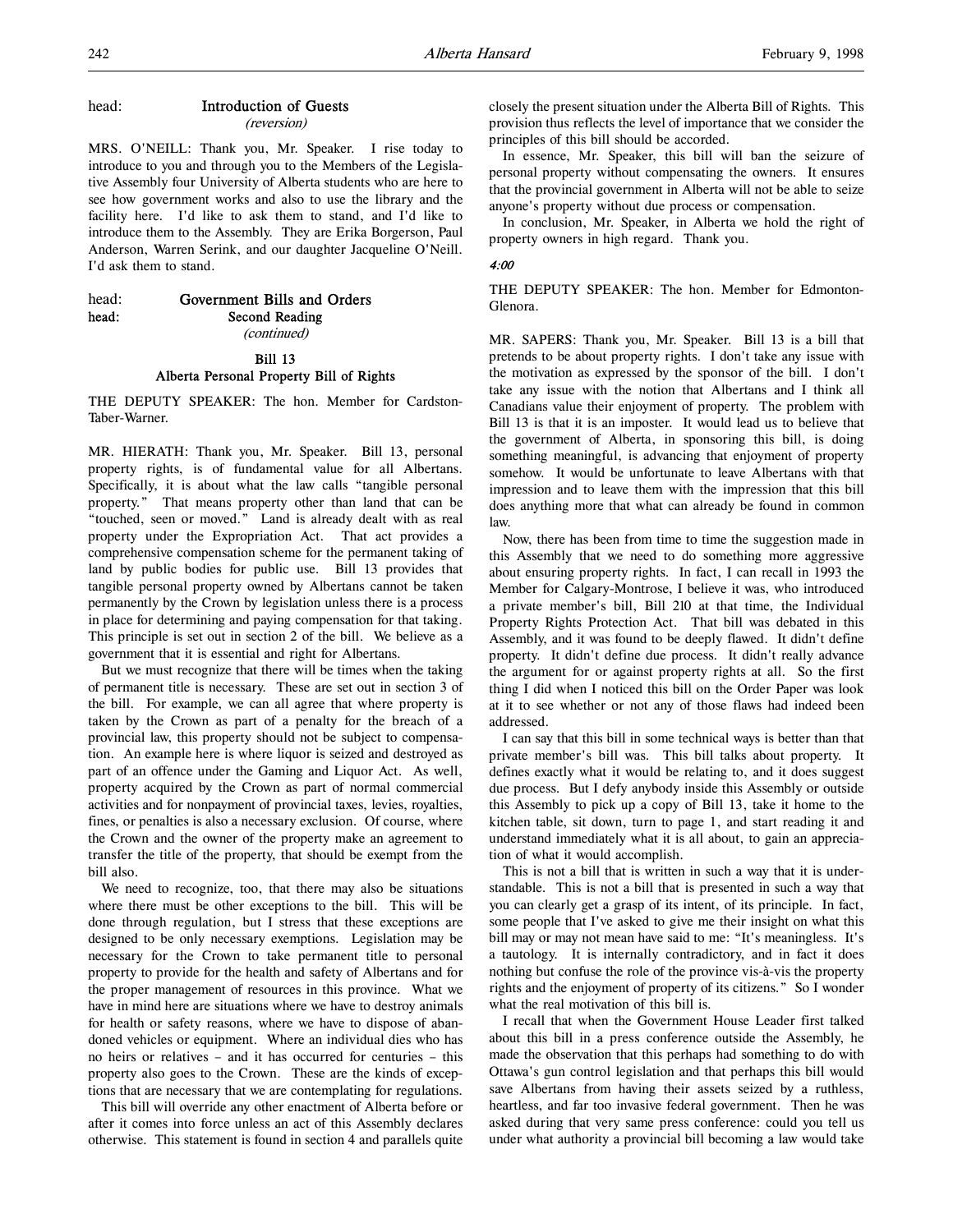## head: Introduction of Guests

(reversion)

MRS. O'NEILL: Thank you, Mr. Speaker. I rise today to introduce to you and through you to the Members of the Legislative Assembly four University of Alberta students who are here to see how government works and also to use the library and the facility here. I'd like to ask them to stand, and I'd like to introduce them to the Assembly. They are Erika Borgerson, Paul Anderson, Warren Serink, and our daughter Jacqueline O'Neill. I'd ask them to stand.

| head: | Government Bills and Orders |
|-------|-----------------------------|
| head: | Second Reading              |
|       | <i>(continued)</i>          |

Bill 13 Alberta Personal Property Bill of Rights

THE DEPUTY SPEAKER: The hon. Member for Cardston-Taber-Warner.

MR. HIERATH: Thank you, Mr. Speaker. Bill 13, personal property rights, is of fundamental value for all Albertans. Specifically, it is about what the law calls "tangible personal property." That means property other than land that can be "touched, seen or moved." Land is already dealt with as real property under the Expropriation Act. That act provides a comprehensive compensation scheme for the permanent taking of land by public bodies for public use. Bill 13 provides that tangible personal property owned by Albertans cannot be taken permanently by the Crown by legislation unless there is a process in place for determining and paying compensation for that taking. This principle is set out in section 2 of the bill. We believe as a government that it is essential and right for Albertans.

But we must recognize that there will be times when the taking of permanent title is necessary. These are set out in section 3 of the bill. For example, we can all agree that where property is taken by the Crown as part of a penalty for the breach of a provincial law, this property should not be subject to compensation. An example here is where liquor is seized and destroyed as part of an offence under the Gaming and Liquor Act. As well, property acquired by the Crown as part of normal commercial activities and for nonpayment of provincial taxes, levies, royalties, fines, or penalties is also a necessary exclusion. Of course, where the Crown and the owner of the property make an agreement to transfer the title of the property, that should be exempt from the bill also.

We need to recognize, too, that there may also be situations where there must be other exceptions to the bill. This will be done through regulation, but I stress that these exceptions are designed to be only necessary exemptions. Legislation may be necessary for the Crown to take permanent title to personal property to provide for the health and safety of Albertans and for the proper management of resources in this province. What we have in mind here are situations where we have to destroy animals for health or safety reasons, where we have to dispose of abandoned vehicles or equipment. Where an individual dies who has no heirs or relatives – and it has occurred for centuries – this property also goes to the Crown. These are the kinds of exceptions that are necessary that we are contemplating for regulations.

This bill will override any other enactment of Alberta before or after it comes into force unless an act of this Assembly declares otherwise. This statement is found in section 4 and parallels quite

closely the present situation under the Alberta Bill of Rights. This provision thus reflects the level of importance that we consider the principles of this bill should be accorded.

In essence, Mr. Speaker, this bill will ban the seizure of personal property without compensating the owners. It ensures that the provincial government in Alberta will not be able to seize anyone's property without due process or compensation.

In conclusion, Mr. Speaker, in Alberta we hold the right of property owners in high regard. Thank you.

### 4:00

THE DEPUTY SPEAKER: The hon. Member for Edmonton-Glenora.

MR. SAPERS: Thank you, Mr. Speaker. Bill 13 is a bill that pretends to be about property rights. I don't take any issue with the motivation as expressed by the sponsor of the bill. I don't take any issue with the notion that Albertans and I think all Canadians value their enjoyment of property. The problem with Bill 13 is that it is an imposter. It would lead us to believe that the government of Alberta, in sponsoring this bill, is doing something meaningful, is advancing that enjoyment of property somehow. It would be unfortunate to leave Albertans with that impression and to leave them with the impression that this bill does anything more that what can already be found in common law.

Now, there has been from time to time the suggestion made in this Assembly that we need to do something more aggressive about ensuring property rights. In fact, I can recall in 1993 the Member for Calgary-Montrose, I believe it was, who introduced a private member's bill, Bill 210 at that time, the Individual Property Rights Protection Act. That bill was debated in this Assembly, and it was found to be deeply flawed. It didn't define property. It didn't define due process. It didn't really advance the argument for or against property rights at all. So the first thing I did when I noticed this bill on the Order Paper was look at it to see whether or not any of those flaws had indeed been addressed.

I can say that this bill in some technical ways is better than that private member's bill was. This bill talks about property. It defines exactly what it would be relating to, and it does suggest due process. But I defy anybody inside this Assembly or outside this Assembly to pick up a copy of Bill 13, take it home to the kitchen table, sit down, turn to page 1, and start reading it and understand immediately what it is all about, to gain an appreciation of what it would accomplish.

This is not a bill that is written in such a way that it is understandable. This is not a bill that is presented in such a way that you can clearly get a grasp of its intent, of its principle. In fact, some people that I've asked to give me their insight on what this bill may or may not mean have said to me: "It's meaningless. It's a tautology. It is internally contradictory, and in fact it does nothing but confuse the role of the province vis-à-vis the property rights and the enjoyment of property of its citizens." So I wonder what the real motivation of this bill is.

I recall that when the Government House Leader first talked about this bill in a press conference outside the Assembly, he made the observation that this perhaps had something to do with Ottawa's gun control legislation and that perhaps this bill would save Albertans from having their assets seized by a ruthless, heartless, and far too invasive federal government. Then he was asked during that very same press conference: could you tell us under what authority a provincial bill becoming a law would take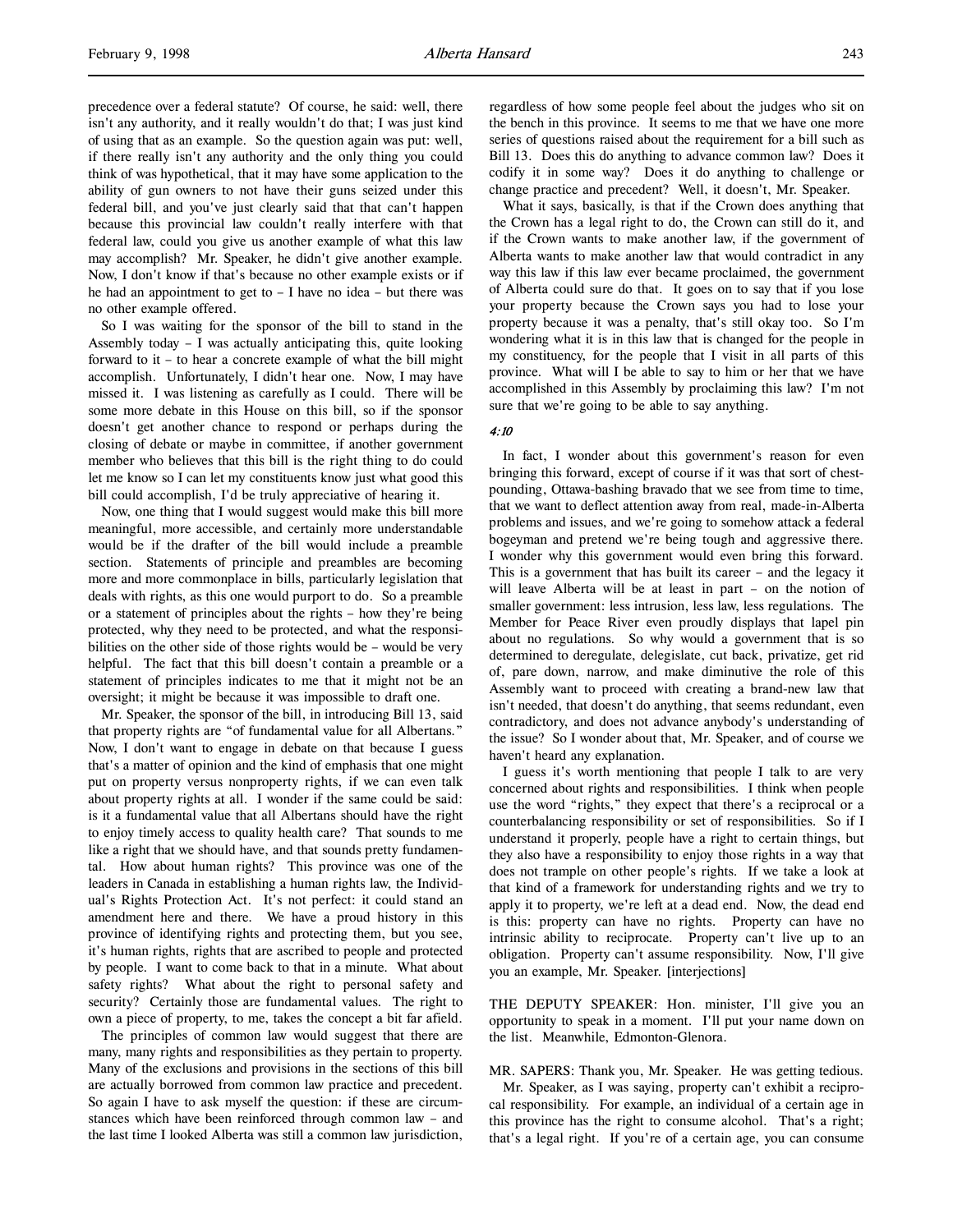precedence over a federal statute? Of course, he said: well, there isn't any authority, and it really wouldn't do that; I was just kind of using that as an example. So the question again was put: well, if there really isn't any authority and the only thing you could think of was hypothetical, that it may have some application to the ability of gun owners to not have their guns seized under this federal bill, and you've just clearly said that that can't happen because this provincial law couldn't really interfere with that federal law, could you give us another example of what this law may accomplish? Mr. Speaker, he didn't give another example. Now, I don't know if that's because no other example exists or if he had an appointment to get to – I have no idea – but there was no other example offered.

So I was waiting for the sponsor of the bill to stand in the Assembly today – I was actually anticipating this, quite looking forward to it – to hear a concrete example of what the bill might accomplish. Unfortunately, I didn't hear one. Now, I may have missed it. I was listening as carefully as I could. There will be some more debate in this House on this bill, so if the sponsor doesn't get another chance to respond or perhaps during the closing of debate or maybe in committee, if another government member who believes that this bill is the right thing to do could let me know so I can let my constituents know just what good this bill could accomplish, I'd be truly appreciative of hearing it.

Now, one thing that I would suggest would make this bill more meaningful, more accessible, and certainly more understandable would be if the drafter of the bill would include a preamble section. Statements of principle and preambles are becoming more and more commonplace in bills, particularly legislation that deals with rights, as this one would purport to do. So a preamble or a statement of principles about the rights – how they're being protected, why they need to be protected, and what the responsibilities on the other side of those rights would be – would be very helpful. The fact that this bill doesn't contain a preamble or a statement of principles indicates to me that it might not be an oversight; it might be because it was impossible to draft one.

Mr. Speaker, the sponsor of the bill, in introducing Bill 13, said that property rights are "of fundamental value for all Albertans." Now, I don't want to engage in debate on that because I guess that's a matter of opinion and the kind of emphasis that one might put on property versus nonproperty rights, if we can even talk about property rights at all. I wonder if the same could be said: is it a fundamental value that all Albertans should have the right to enjoy timely access to quality health care? That sounds to me like a right that we should have, and that sounds pretty fundamental. How about human rights? This province was one of the leaders in Canada in establishing a human rights law, the Individual's Rights Protection Act. It's not perfect: it could stand an amendment here and there. We have a proud history in this province of identifying rights and protecting them, but you see, it's human rights, rights that are ascribed to people and protected by people. I want to come back to that in a minute. What about safety rights? What about the right to personal safety and security? Certainly those are fundamental values. The right to own a piece of property, to me, takes the concept a bit far afield.

The principles of common law would suggest that there are many, many rights and responsibilities as they pertain to property. Many of the exclusions and provisions in the sections of this bill are actually borrowed from common law practice and precedent. So again I have to ask myself the question: if these are circumstances which have been reinforced through common law – and the last time I looked Alberta was still a common law jurisdiction,

regardless of how some people feel about the judges who sit on the bench in this province. It seems to me that we have one more series of questions raised about the requirement for a bill such as Bill 13. Does this do anything to advance common law? Does it codify it in some way? Does it do anything to challenge or change practice and precedent? Well, it doesn't, Mr. Speaker.

What it says, basically, is that if the Crown does anything that the Crown has a legal right to do, the Crown can still do it, and if the Crown wants to make another law, if the government of Alberta wants to make another law that would contradict in any way this law if this law ever became proclaimed, the government of Alberta could sure do that. It goes on to say that if you lose your property because the Crown says you had to lose your property because it was a penalty, that's still okay too. So I'm wondering what it is in this law that is changed for the people in my constituency, for the people that I visit in all parts of this province. What will I be able to say to him or her that we have accomplished in this Assembly by proclaiming this law? I'm not sure that we're going to be able to say anything.

#### 4:10

In fact, I wonder about this government's reason for even bringing this forward, except of course if it was that sort of chestpounding, Ottawa-bashing bravado that we see from time to time, that we want to deflect attention away from real, made-in-Alberta problems and issues, and we're going to somehow attack a federal bogeyman and pretend we're being tough and aggressive there. I wonder why this government would even bring this forward. This is a government that has built its career – and the legacy it will leave Alberta will be at least in part – on the notion of smaller government: less intrusion, less law, less regulations. The Member for Peace River even proudly displays that lapel pin about no regulations. So why would a government that is so determined to deregulate, delegislate, cut back, privatize, get rid of, pare down, narrow, and make diminutive the role of this Assembly want to proceed with creating a brand-new law that isn't needed, that doesn't do anything, that seems redundant, even contradictory, and does not advance anybody's understanding of the issue? So I wonder about that, Mr. Speaker, and of course we haven't heard any explanation.

I guess it's worth mentioning that people I talk to are very concerned about rights and responsibilities. I think when people use the word "rights," they expect that there's a reciprocal or a counterbalancing responsibility or set of responsibilities. So if I understand it properly, people have a right to certain things, but they also have a responsibility to enjoy those rights in a way that does not trample on other people's rights. If we take a look at that kind of a framework for understanding rights and we try to apply it to property, we're left at a dead end. Now, the dead end is this: property can have no rights. Property can have no intrinsic ability to reciprocate. Property can't live up to an obligation. Property can't assume responsibility. Now, I'll give you an example, Mr. Speaker. [interjections]

THE DEPUTY SPEAKER: Hon. minister, I'll give you an opportunity to speak in a moment. I'll put your name down on the list. Meanwhile, Edmonton-Glenora.

MR. SAPERS: Thank you, Mr. Speaker. He was getting tedious.

Mr. Speaker, as I was saying, property can't exhibit a reciprocal responsibility. For example, an individual of a certain age in this province has the right to consume alcohol. That's a right; that's a legal right. If you're of a certain age, you can consume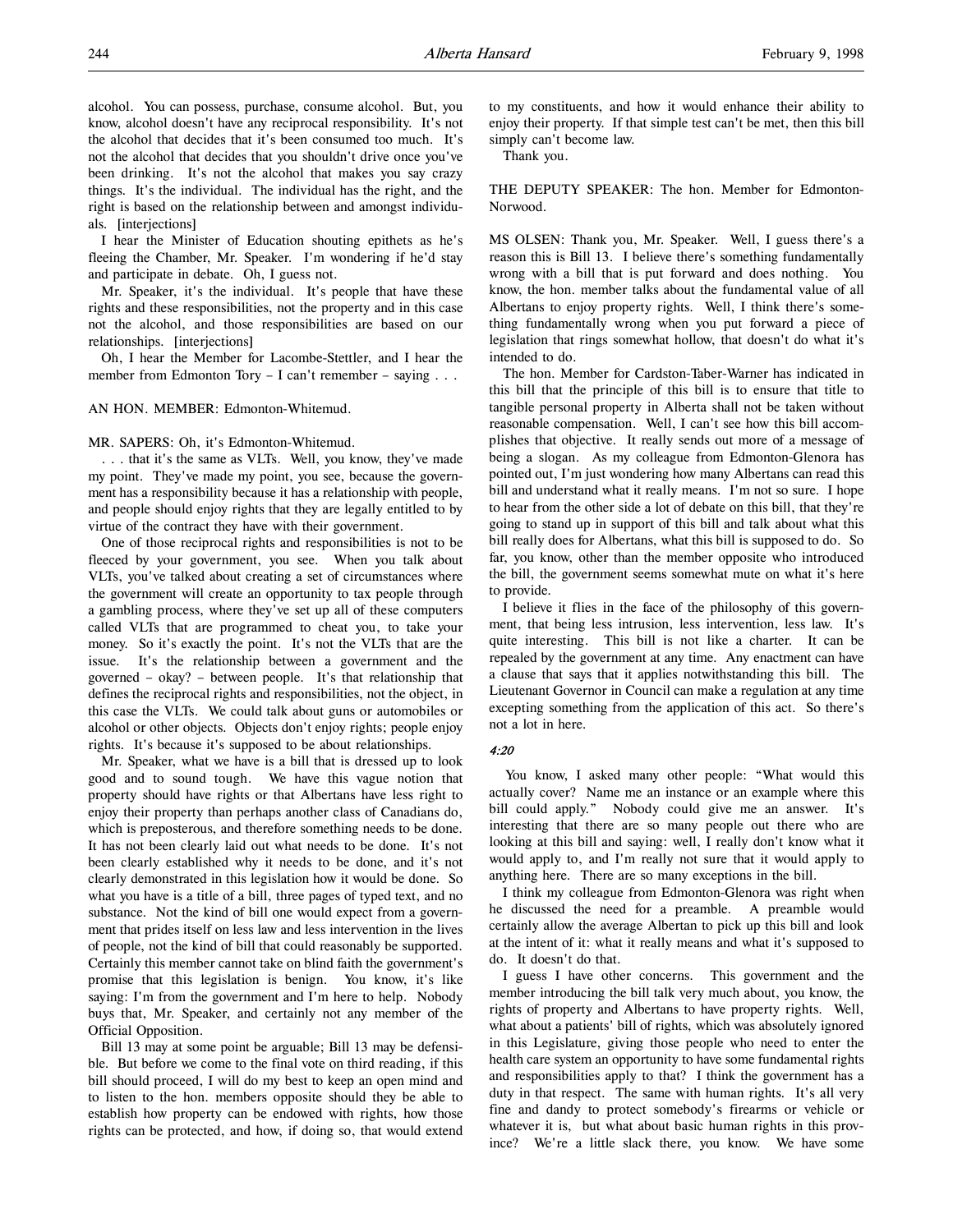alcohol. You can possess, purchase, consume alcohol. But, you know, alcohol doesn't have any reciprocal responsibility. It's not the alcohol that decides that it's been consumed too much. It's not the alcohol that decides that you shouldn't drive once you've been drinking. It's not the alcohol that makes you say crazy things. It's the individual. The individual has the right, and the right is based on the relationship between and amongst individuals. [interjections]

I hear the Minister of Education shouting epithets as he's fleeing the Chamber, Mr. Speaker. I'm wondering if he'd stay and participate in debate. Oh, I guess not.

Mr. Speaker, it's the individual. It's people that have these rights and these responsibilities, not the property and in this case not the alcohol, and those responsibilities are based on our relationships. [interjections]

Oh, I hear the Member for Lacombe-Stettler, and I hear the member from Edmonton Tory - I can't remember - saying . . .

# AN HON. MEMBER: Edmonton-Whitemud.

#### MR. SAPERS: Oh, it's Edmonton-Whitemud.

. . . that it's the same as VLTs. Well, you know, they've made my point. They've made my point, you see, because the government has a responsibility because it has a relationship with people, and people should enjoy rights that they are legally entitled to by virtue of the contract they have with their government.

One of those reciprocal rights and responsibilities is not to be fleeced by your government, you see. When you talk about VLTs, you've talked about creating a set of circumstances where the government will create an opportunity to tax people through a gambling process, where they've set up all of these computers called VLTs that are programmed to cheat you, to take your money. So it's exactly the point. It's not the VLTs that are the issue. It's the relationship between a government and the governed – okay? – between people. It's that relationship that defines the reciprocal rights and responsibilities, not the object, in this case the VLTs. We could talk about guns or automobiles or alcohol or other objects. Objects don't enjoy rights; people enjoy rights. It's because it's supposed to be about relationships.

Mr. Speaker, what we have is a bill that is dressed up to look good and to sound tough. We have this vague notion that property should have rights or that Albertans have less right to enjoy their property than perhaps another class of Canadians do, which is preposterous, and therefore something needs to be done. It has not been clearly laid out what needs to be done. It's not been clearly established why it needs to be done, and it's not clearly demonstrated in this legislation how it would be done. So what you have is a title of a bill, three pages of typed text, and no substance. Not the kind of bill one would expect from a government that prides itself on less law and less intervention in the lives of people, not the kind of bill that could reasonably be supported. Certainly this member cannot take on blind faith the government's promise that this legislation is benign. You know, it's like saying: I'm from the government and I'm here to help. Nobody buys that, Mr. Speaker, and certainly not any member of the Official Opposition.

Bill 13 may at some point be arguable; Bill 13 may be defensible. But before we come to the final vote on third reading, if this bill should proceed, I will do my best to keep an open mind and to listen to the hon. members opposite should they be able to establish how property can be endowed with rights, how those rights can be protected, and how, if doing so, that would extend to my constituents, and how it would enhance their ability to enjoy their property. If that simple test can't be met, then this bill simply can't become law.

Thank you.

THE DEPUTY SPEAKER: The hon. Member for Edmonton-Norwood.

MS OLSEN: Thank you, Mr. Speaker. Well, I guess there's a reason this is Bill 13. I believe there's something fundamentally wrong with a bill that is put forward and does nothing. You know, the hon. member talks about the fundamental value of all Albertans to enjoy property rights. Well, I think there's something fundamentally wrong when you put forward a piece of legislation that rings somewhat hollow, that doesn't do what it's intended to do.

The hon. Member for Cardston-Taber-Warner has indicated in this bill that the principle of this bill is to ensure that title to tangible personal property in Alberta shall not be taken without reasonable compensation. Well, I can't see how this bill accomplishes that objective. It really sends out more of a message of being a slogan. As my colleague from Edmonton-Glenora has pointed out, I'm just wondering how many Albertans can read this bill and understand what it really means. I'm not so sure. I hope to hear from the other side a lot of debate on this bill, that they're going to stand up in support of this bill and talk about what this bill really does for Albertans, what this bill is supposed to do. So far, you know, other than the member opposite who introduced the bill, the government seems somewhat mute on what it's here to provide.

I believe it flies in the face of the philosophy of this government, that being less intrusion, less intervention, less law. It's quite interesting. This bill is not like a charter. It can be repealed by the government at any time. Any enactment can have a clause that says that it applies notwithstanding this bill. The Lieutenant Governor in Council can make a regulation at any time excepting something from the application of this act. So there's not a lot in here.

### 4:20

You know, I asked many other people: "What would this actually cover? Name me an instance or an example where this bill could apply." Nobody could give me an answer. It's interesting that there are so many people out there who are looking at this bill and saying: well, I really don't know what it would apply to, and I'm really not sure that it would apply to anything here. There are so many exceptions in the bill.

I think my colleague from Edmonton-Glenora was right when he discussed the need for a preamble. A preamble would certainly allow the average Albertan to pick up this bill and look at the intent of it: what it really means and what it's supposed to do. It doesn't do that.

I guess I have other concerns. This government and the member introducing the bill talk very much about, you know, the rights of property and Albertans to have property rights. Well, what about a patients' bill of rights, which was absolutely ignored in this Legislature, giving those people who need to enter the health care system an opportunity to have some fundamental rights and responsibilities apply to that? I think the government has a duty in that respect. The same with human rights. It's all very fine and dandy to protect somebody's firearms or vehicle or whatever it is, but what about basic human rights in this province? We're a little slack there, you know. We have some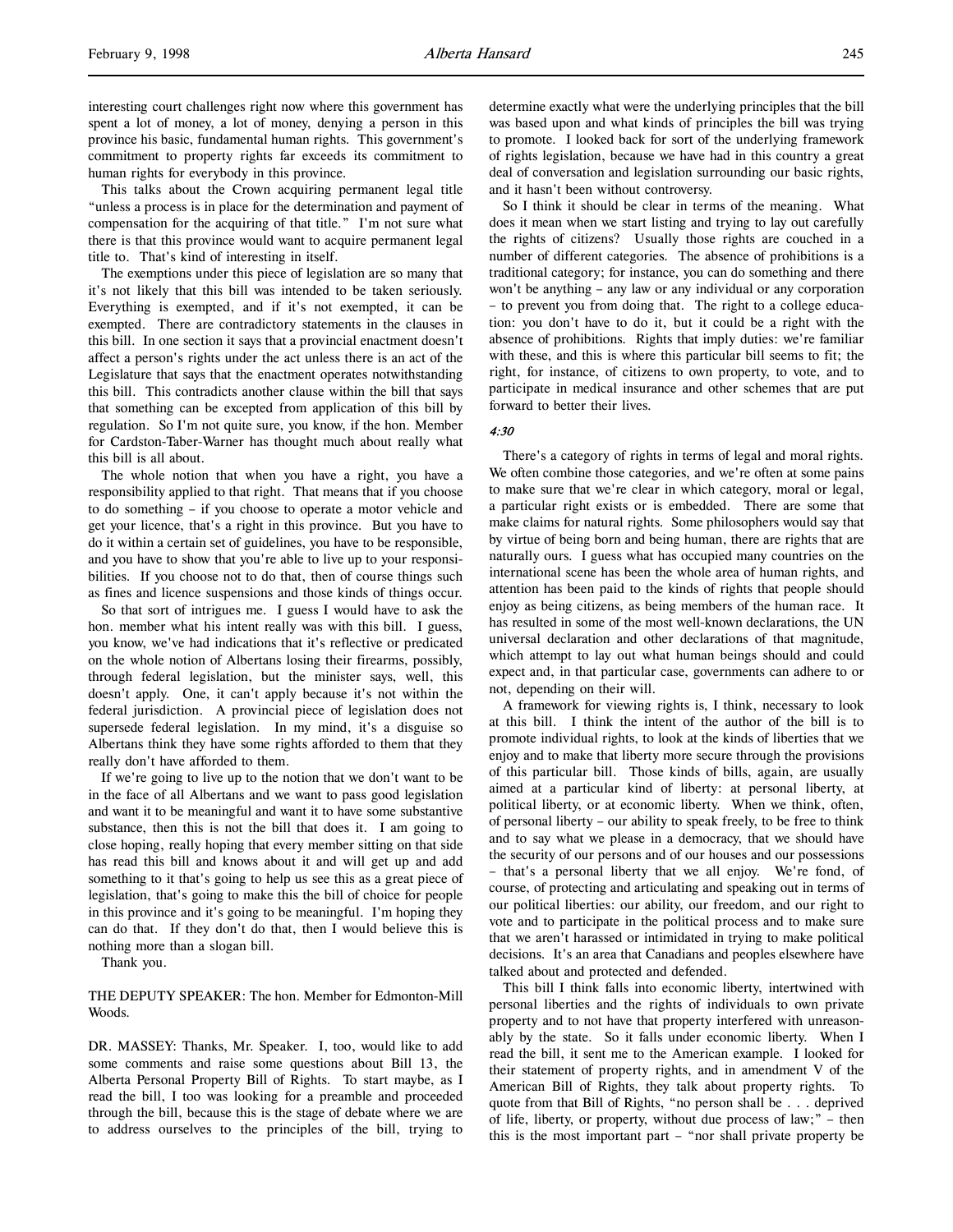interesting court challenges right now where this government has spent a lot of money, a lot of money, denying a person in this province his basic, fundamental human rights. This government's commitment to property rights far exceeds its commitment to human rights for everybody in this province.

This talks about the Crown acquiring permanent legal title "unless a process is in place for the determination and payment of compensation for the acquiring of that title." I'm not sure what there is that this province would want to acquire permanent legal title to. That's kind of interesting in itself.

The exemptions under this piece of legislation are so many that it's not likely that this bill was intended to be taken seriously. Everything is exempted, and if it's not exempted, it can be exempted. There are contradictory statements in the clauses in this bill. In one section it says that a provincial enactment doesn't affect a person's rights under the act unless there is an act of the Legislature that says that the enactment operates notwithstanding this bill. This contradicts another clause within the bill that says that something can be excepted from application of this bill by regulation. So I'm not quite sure, you know, if the hon. Member for Cardston-Taber-Warner has thought much about really what this bill is all about.

The whole notion that when you have a right, you have a responsibility applied to that right. That means that if you choose to do something – if you choose to operate a motor vehicle and get your licence, that's a right in this province. But you have to do it within a certain set of guidelines, you have to be responsible, and you have to show that you're able to live up to your responsibilities. If you choose not to do that, then of course things such as fines and licence suspensions and those kinds of things occur.

So that sort of intrigues me. I guess I would have to ask the hon. member what his intent really was with this bill. I guess, you know, we've had indications that it's reflective or predicated on the whole notion of Albertans losing their firearms, possibly, through federal legislation, but the minister says, well, this doesn't apply. One, it can't apply because it's not within the federal jurisdiction. A provincial piece of legislation does not supersede federal legislation. In my mind, it's a disguise so Albertans think they have some rights afforded to them that they really don't have afforded to them.

If we're going to live up to the notion that we don't want to be in the face of all Albertans and we want to pass good legislation and want it to be meaningful and want it to have some substantive substance, then this is not the bill that does it. I am going to close hoping, really hoping that every member sitting on that side has read this bill and knows about it and will get up and add something to it that's going to help us see this as a great piece of legislation, that's going to make this the bill of choice for people in this province and it's going to be meaningful. I'm hoping they can do that. If they don't do that, then I would believe this is nothing more than a slogan bill.

Thank you.

THE DEPUTY SPEAKER: The hon. Member for Edmonton-Mill Woods.

DR. MASSEY: Thanks, Mr. Speaker. I, too, would like to add some comments and raise some questions about Bill 13, the Alberta Personal Property Bill of Rights. To start maybe, as I read the bill, I too was looking for a preamble and proceeded through the bill, because this is the stage of debate where we are to address ourselves to the principles of the bill, trying to

determine exactly what were the underlying principles that the bill was based upon and what kinds of principles the bill was trying to promote. I looked back for sort of the underlying framework of rights legislation, because we have had in this country a great deal of conversation and legislation surrounding our basic rights, and it hasn't been without controversy.

So I think it should be clear in terms of the meaning. What does it mean when we start listing and trying to lay out carefully the rights of citizens? Usually those rights are couched in a number of different categories. The absence of prohibitions is a traditional category; for instance, you can do something and there won't be anything – any law or any individual or any corporation – to prevent you from doing that. The right to a college education: you don't have to do it, but it could be a right with the absence of prohibitions. Rights that imply duties: we're familiar with these, and this is where this particular bill seems to fit; the right, for instance, of citizens to own property, to vote, and to participate in medical insurance and other schemes that are put forward to better their lives.

#### 4:30

There's a category of rights in terms of legal and moral rights. We often combine those categories, and we're often at some pains to make sure that we're clear in which category, moral or legal, a particular right exists or is embedded. There are some that make claims for natural rights. Some philosophers would say that by virtue of being born and being human, there are rights that are naturally ours. I guess what has occupied many countries on the international scene has been the whole area of human rights, and attention has been paid to the kinds of rights that people should enjoy as being citizens, as being members of the human race. It has resulted in some of the most well-known declarations, the UN universal declaration and other declarations of that magnitude, which attempt to lay out what human beings should and could expect and, in that particular case, governments can adhere to or not, depending on their will.

A framework for viewing rights is, I think, necessary to look at this bill. I think the intent of the author of the bill is to promote individual rights, to look at the kinds of liberties that we enjoy and to make that liberty more secure through the provisions of this particular bill. Those kinds of bills, again, are usually aimed at a particular kind of liberty: at personal liberty, at political liberty, or at economic liberty. When we think, often, of personal liberty – our ability to speak freely, to be free to think and to say what we please in a democracy, that we should have the security of our persons and of our houses and our possessions – that's a personal liberty that we all enjoy. We're fond, of course, of protecting and articulating and speaking out in terms of our political liberties: our ability, our freedom, and our right to vote and to participate in the political process and to make sure that we aren't harassed or intimidated in trying to make political decisions. It's an area that Canadians and peoples elsewhere have talked about and protected and defended.

This bill I think falls into economic liberty, intertwined with personal liberties and the rights of individuals to own private property and to not have that property interfered with unreasonably by the state. So it falls under economic liberty. When I read the bill, it sent me to the American example. I looked for their statement of property rights, and in amendment V of the American Bill of Rights, they talk about property rights. To quote from that Bill of Rights, "no person shall be . . . deprived of life, liberty, or property, without due process of law;" – then this is the most important part – "nor shall private property be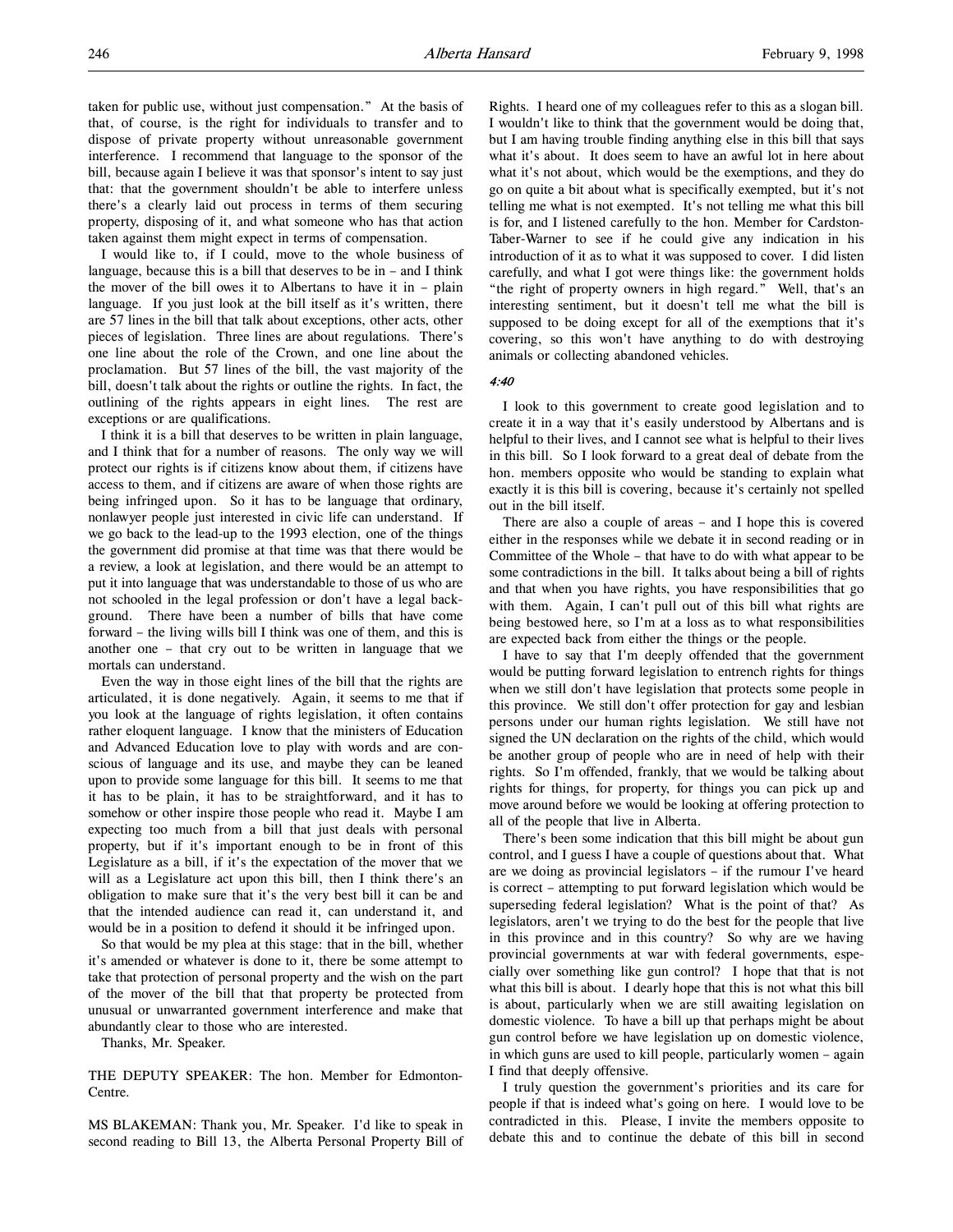taken for public use, without just compensation." At the basis of that, of course, is the right for individuals to transfer and to dispose of private property without unreasonable government interference. I recommend that language to the sponsor of the bill, because again I believe it was that sponsor's intent to say just that: that the government shouldn't be able to interfere unless there's a clearly laid out process in terms of them securing property, disposing of it, and what someone who has that action taken against them might expect in terms of compensation.

I would like to, if I could, move to the whole business of language, because this is a bill that deserves to be in  $-$  and I think the mover of the bill owes it to Albertans to have it in – plain language. If you just look at the bill itself as it's written, there are 57 lines in the bill that talk about exceptions, other acts, other pieces of legislation. Three lines are about regulations. There's one line about the role of the Crown, and one line about the proclamation. But 57 lines of the bill, the vast majority of the bill, doesn't talk about the rights or outline the rights. In fact, the outlining of the rights appears in eight lines. The rest are exceptions or are qualifications.

I think it is a bill that deserves to be written in plain language, and I think that for a number of reasons. The only way we will protect our rights is if citizens know about them, if citizens have access to them, and if citizens are aware of when those rights are being infringed upon. So it has to be language that ordinary, nonlawyer people just interested in civic life can understand. If we go back to the lead-up to the 1993 election, one of the things the government did promise at that time was that there would be a review, a look at legislation, and there would be an attempt to put it into language that was understandable to those of us who are not schooled in the legal profession or don't have a legal background. There have been a number of bills that have come forward – the living wills bill I think was one of them, and this is another one – that cry out to be written in language that we mortals can understand.

Even the way in those eight lines of the bill that the rights are articulated, it is done negatively. Again, it seems to me that if you look at the language of rights legislation, it often contains rather eloquent language. I know that the ministers of Education and Advanced Education love to play with words and are conscious of language and its use, and maybe they can be leaned upon to provide some language for this bill. It seems to me that it has to be plain, it has to be straightforward, and it has to somehow or other inspire those people who read it. Maybe I am expecting too much from a bill that just deals with personal property, but if it's important enough to be in front of this Legislature as a bill, if it's the expectation of the mover that we will as a Legislature act upon this bill, then I think there's an obligation to make sure that it's the very best bill it can be and that the intended audience can read it, can understand it, and would be in a position to defend it should it be infringed upon.

So that would be my plea at this stage: that in the bill, whether it's amended or whatever is done to it, there be some attempt to take that protection of personal property and the wish on the part of the mover of the bill that that property be protected from unusual or unwarranted government interference and make that abundantly clear to those who are interested.

Thanks, Mr. Speaker.

THE DEPUTY SPEAKER: The hon. Member for Edmonton-Centre.

MS BLAKEMAN: Thank you, Mr. Speaker. I'd like to speak in second reading to Bill 13, the Alberta Personal Property Bill of Rights. I heard one of my colleagues refer to this as a slogan bill. I wouldn't like to think that the government would be doing that, but I am having trouble finding anything else in this bill that says what it's about. It does seem to have an awful lot in here about what it's not about, which would be the exemptions, and they do go on quite a bit about what is specifically exempted, but it's not telling me what is not exempted. It's not telling me what this bill is for, and I listened carefully to the hon. Member for Cardston-Taber-Warner to see if he could give any indication in his introduction of it as to what it was supposed to cover. I did listen carefully, and what I got were things like: the government holds "the right of property owners in high regard." Well, that's an interesting sentiment, but it doesn't tell me what the bill is supposed to be doing except for all of the exemptions that it's covering, so this won't have anything to do with destroying animals or collecting abandoned vehicles.

### 4:40

I look to this government to create good legislation and to create it in a way that it's easily understood by Albertans and is helpful to their lives, and I cannot see what is helpful to their lives in this bill. So I look forward to a great deal of debate from the hon. members opposite who would be standing to explain what exactly it is this bill is covering, because it's certainly not spelled out in the bill itself.

There are also a couple of areas – and I hope this is covered either in the responses while we debate it in second reading or in Committee of the Whole – that have to do with what appear to be some contradictions in the bill. It talks about being a bill of rights and that when you have rights, you have responsibilities that go with them. Again, I can't pull out of this bill what rights are being bestowed here, so I'm at a loss as to what responsibilities are expected back from either the things or the people.

I have to say that I'm deeply offended that the government would be putting forward legislation to entrench rights for things when we still don't have legislation that protects some people in this province. We still don't offer protection for gay and lesbian persons under our human rights legislation. We still have not signed the UN declaration on the rights of the child, which would be another group of people who are in need of help with their rights. So I'm offended, frankly, that we would be talking about rights for things, for property, for things you can pick up and move around before we would be looking at offering protection to all of the people that live in Alberta.

There's been some indication that this bill might be about gun control, and I guess I have a couple of questions about that. What are we doing as provincial legislators – if the rumour I've heard is correct – attempting to put forward legislation which would be superseding federal legislation? What is the point of that? As legislators, aren't we trying to do the best for the people that live in this province and in this country? So why are we having provincial governments at war with federal governments, especially over something like gun control? I hope that that is not what this bill is about. I dearly hope that this is not what this bill is about, particularly when we are still awaiting legislation on domestic violence. To have a bill up that perhaps might be about gun control before we have legislation up on domestic violence, in which guns are used to kill people, particularly women – again I find that deeply offensive.

I truly question the government's priorities and its care for people if that is indeed what's going on here. I would love to be contradicted in this. Please, I invite the members opposite to debate this and to continue the debate of this bill in second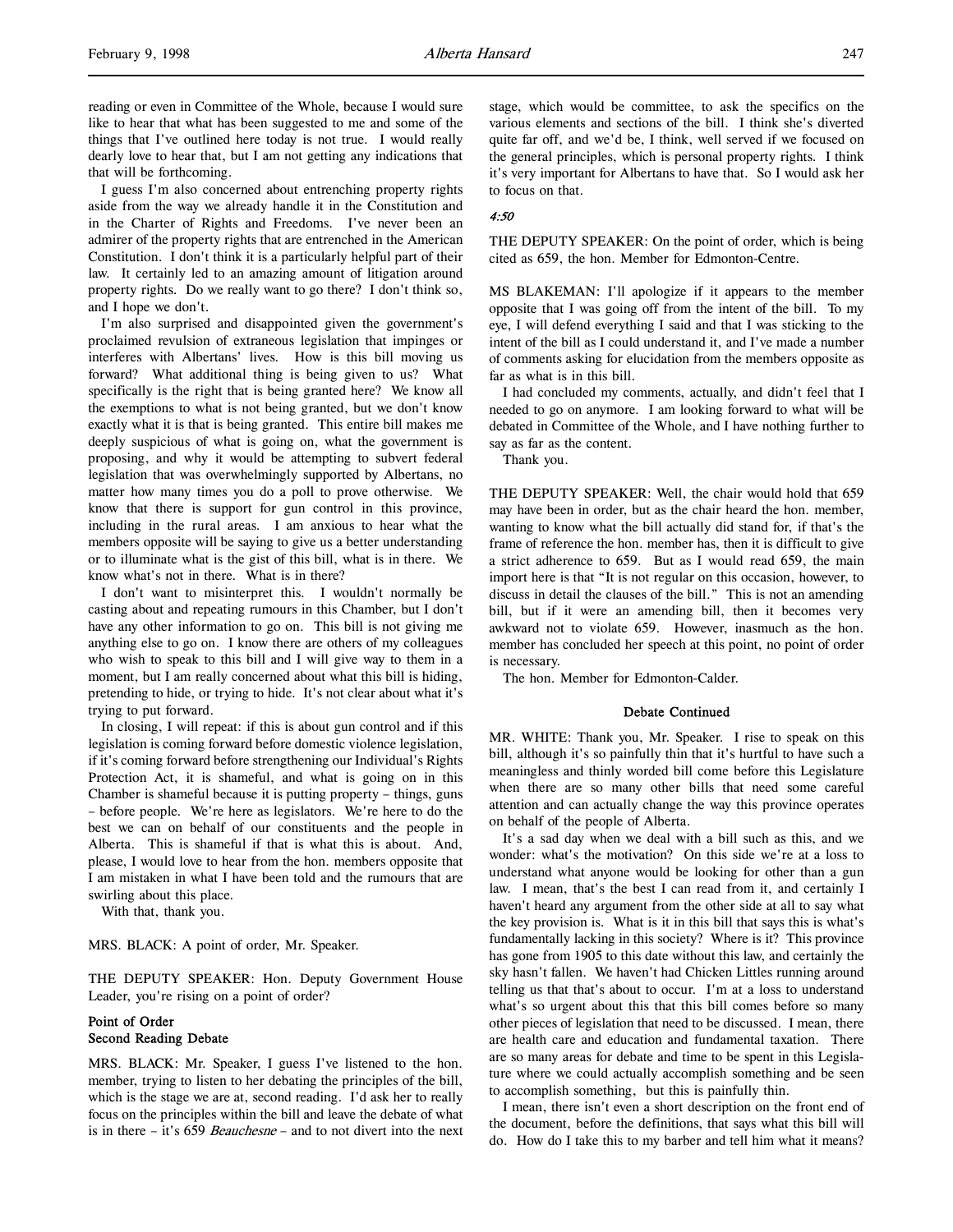I guess I'm also concerned about entrenching property rights aside from the way we already handle it in the Constitution and in the Charter of Rights and Freedoms. I've never been an admirer of the property rights that are entrenched in the American Constitution. I don't think it is a particularly helpful part of their law. It certainly led to an amazing amount of litigation around property rights. Do we really want to go there? I don't think so, and I hope we don't.

I'm also surprised and disappointed given the government's proclaimed revulsion of extraneous legislation that impinges or interferes with Albertans' lives. How is this bill moving us forward? What additional thing is being given to us? What specifically is the right that is being granted here? We know all the exemptions to what is not being granted, but we don't know exactly what it is that is being granted. This entire bill makes me deeply suspicious of what is going on, what the government is proposing, and why it would be attempting to subvert federal legislation that was overwhelmingly supported by Albertans, no matter how many times you do a poll to prove otherwise. We know that there is support for gun control in this province, including in the rural areas. I am anxious to hear what the members opposite will be saying to give us a better understanding or to illuminate what is the gist of this bill, what is in there. We know what's not in there. What is in there?

I don't want to misinterpret this. I wouldn't normally be casting about and repeating rumours in this Chamber, but I don't have any other information to go on. This bill is not giving me anything else to go on. I know there are others of my colleagues who wish to speak to this bill and I will give way to them in a moment, but I am really concerned about what this bill is hiding, pretending to hide, or trying to hide. It's not clear about what it's trying to put forward.

In closing, I will repeat: if this is about gun control and if this legislation is coming forward before domestic violence legislation, if it's coming forward before strengthening our Individual's Rights Protection Act, it is shameful, and what is going on in this Chamber is shameful because it is putting property – things, guns – before people. We're here as legislators. We're here to do the best we can on behalf of our constituents and the people in Alberta. This is shameful if that is what this is about. And, please, I would love to hear from the hon. members opposite that I am mistaken in what I have been told and the rumours that are swirling about this place.

With that, thank you.

MRS. BLACK: A point of order, Mr. Speaker.

THE DEPUTY SPEAKER: Hon. Deputy Government House Leader, you're rising on a point of order?

# Point of Order Second Reading Debate

MRS. BLACK: Mr. Speaker, I guess I've listened to the hon. member, trying to listen to her debating the principles of the bill, which is the stage we are at, second reading. I'd ask her to really focus on the principles within the bill and leave the debate of what is in there – it's 659 Beauchesne – and to not divert into the next stage, which would be committee, to ask the specifics on the various elements and sections of the bill. I think she's diverted quite far off, and we'd be, I think, well served if we focused on the general principles, which is personal property rights. I think it's very important for Albertans to have that. So I would ask her to focus on that.

### 4:50

THE DEPUTY SPEAKER: On the point of order, which is being cited as 659, the hon. Member for Edmonton-Centre.

MS BLAKEMAN: I'll apologize if it appears to the member opposite that I was going off from the intent of the bill. To my eye, I will defend everything I said and that I was sticking to the intent of the bill as I could understand it, and I've made a number of comments asking for elucidation from the members opposite as far as what is in this bill.

I had concluded my comments, actually, and didn't feel that I needed to go on anymore. I am looking forward to what will be debated in Committee of the Whole, and I have nothing further to say as far as the content.

Thank you.

THE DEPUTY SPEAKER: Well, the chair would hold that 659 may have been in order, but as the chair heard the hon. member, wanting to know what the bill actually did stand for, if that's the frame of reference the hon. member has, then it is difficult to give a strict adherence to 659. But as I would read 659, the main import here is that "It is not regular on this occasion, however, to discuss in detail the clauses of the bill." This is not an amending bill, but if it were an amending bill, then it becomes very awkward not to violate 659. However, inasmuch as the hon. member has concluded her speech at this point, no point of order is necessary.

The hon. Member for Edmonton-Calder.

### Debate Continued

MR. WHITE: Thank you, Mr. Speaker. I rise to speak on this bill, although it's so painfully thin that it's hurtful to have such a meaningless and thinly worded bill come before this Legislature when there are so many other bills that need some careful attention and can actually change the way this province operates on behalf of the people of Alberta.

It's a sad day when we deal with a bill such as this, and we wonder: what's the motivation? On this side we're at a loss to understand what anyone would be looking for other than a gun law. I mean, that's the best I can read from it, and certainly I haven't heard any argument from the other side at all to say what the key provision is. What is it in this bill that says this is what's fundamentally lacking in this society? Where is it? This province has gone from 1905 to this date without this law, and certainly the sky hasn't fallen. We haven't had Chicken Littles running around telling us that that's about to occur. I'm at a loss to understand what's so urgent about this that this bill comes before so many other pieces of legislation that need to be discussed. I mean, there are health care and education and fundamental taxation. There are so many areas for debate and time to be spent in this Legislature where we could actually accomplish something and be seen to accomplish something, but this is painfully thin.

I mean, there isn't even a short description on the front end of the document, before the definitions, that says what this bill will do. How do I take this to my barber and tell him what it means?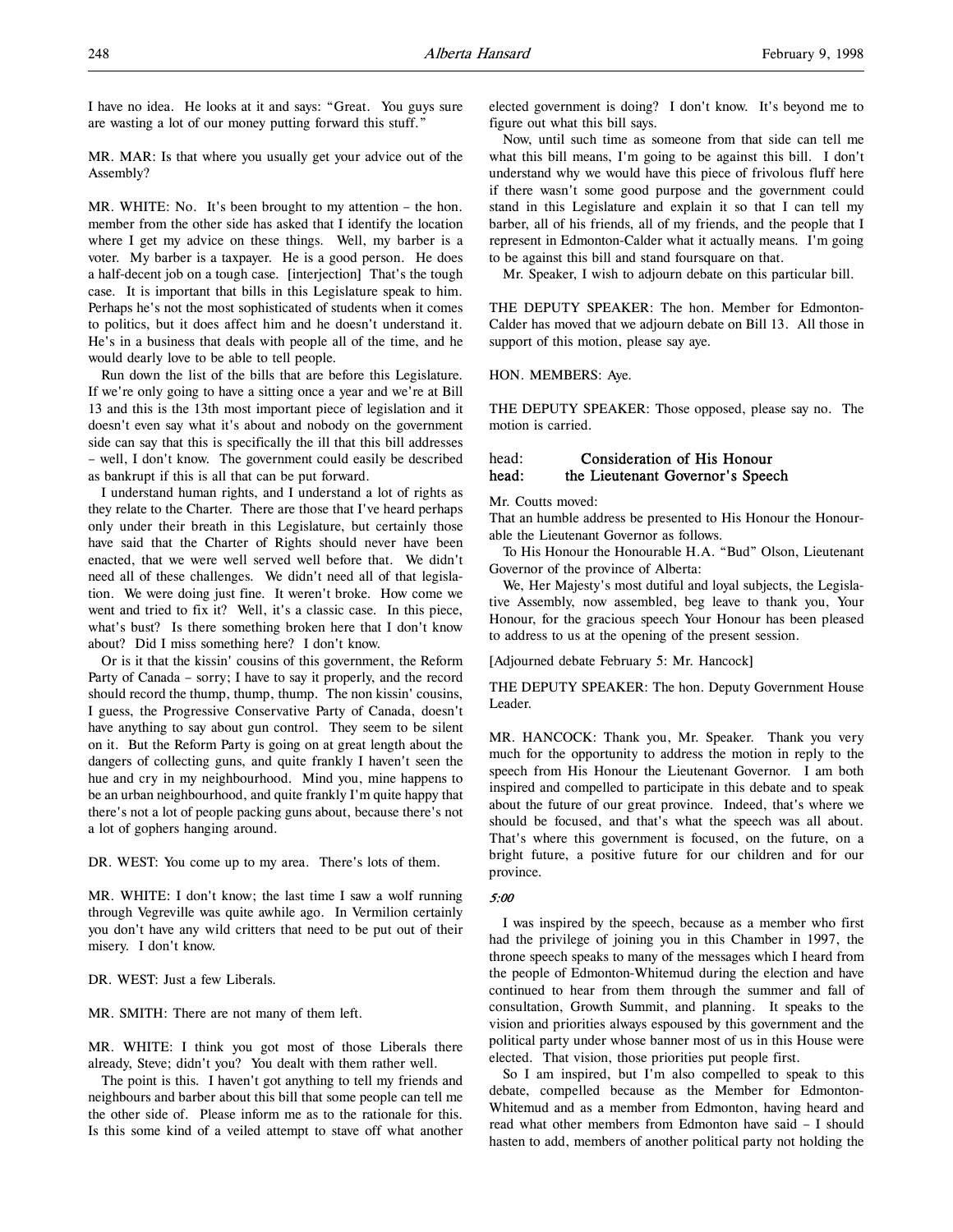I have no idea. He looks at it and says: "Great. You guys sure are wasting a lot of our money putting forward this stuff."

MR. MAR: Is that where you usually get your advice out of the Assembly?

MR. WHITE: No. It's been brought to my attention – the hon. member from the other side has asked that I identify the location where I get my advice on these things. Well, my barber is a voter. My barber is a taxpayer. He is a good person. He does a half-decent job on a tough case. [interjection] That's the tough case. It is important that bills in this Legislature speak to him. Perhaps he's not the most sophisticated of students when it comes to politics, but it does affect him and he doesn't understand it. He's in a business that deals with people all of the time, and he would dearly love to be able to tell people.

Run down the list of the bills that are before this Legislature. If we're only going to have a sitting once a year and we're at Bill 13 and this is the 13th most important piece of legislation and it doesn't even say what it's about and nobody on the government side can say that this is specifically the ill that this bill addresses – well, I don't know. The government could easily be described as bankrupt if this is all that can be put forward.

I understand human rights, and I understand a lot of rights as they relate to the Charter. There are those that I've heard perhaps only under their breath in this Legislature, but certainly those have said that the Charter of Rights should never have been enacted, that we were well served well before that. We didn't need all of these challenges. We didn't need all of that legislation. We were doing just fine. It weren't broke. How come we went and tried to fix it? Well, it's a classic case. In this piece, what's bust? Is there something broken here that I don't know about? Did I miss something here? I don't know.

Or is it that the kissin' cousins of this government, the Reform Party of Canada – sorry; I have to say it properly, and the record should record the thump, thump, thump. The non kissin' cousins, I guess, the Progressive Conservative Party of Canada, doesn't have anything to say about gun control. They seem to be silent on it. But the Reform Party is going on at great length about the dangers of collecting guns, and quite frankly I haven't seen the hue and cry in my neighbourhood. Mind you, mine happens to be an urban neighbourhood, and quite frankly I'm quite happy that there's not a lot of people packing guns about, because there's not a lot of gophers hanging around.

DR. WEST: You come up to my area. There's lots of them.

MR. WHITE: I don't know; the last time I saw a wolf running through Vegreville was quite awhile ago. In Vermilion certainly you don't have any wild critters that need to be put out of their misery. I don't know.

DR. WEST: Just a few Liberals.

MR. SMITH: There are not many of them left.

MR. WHITE: I think you got most of those Liberals there already, Steve; didn't you? You dealt with them rather well.

The point is this. I haven't got anything to tell my friends and neighbours and barber about this bill that some people can tell me the other side of. Please inform me as to the rationale for this. Is this some kind of a veiled attempt to stave off what another

elected government is doing? I don't know. It's beyond me to figure out what this bill says.

Now, until such time as someone from that side can tell me what this bill means, I'm going to be against this bill. I don't understand why we would have this piece of frivolous fluff here if there wasn't some good purpose and the government could stand in this Legislature and explain it so that I can tell my barber, all of his friends, all of my friends, and the people that I represent in Edmonton-Calder what it actually means. I'm going to be against this bill and stand foursquare on that.

Mr. Speaker, I wish to adjourn debate on this particular bill.

THE DEPUTY SPEAKER: The hon. Member for Edmonton-Calder has moved that we adjourn debate on Bill 13. All those in support of this motion, please say aye.

HON. MEMBERS: Aye.

THE DEPUTY SPEAKER: Those opposed, please say no. The motion is carried.

# head: Consideration of His Honour head: the Lieutenant Governor's Speech

Mr. Coutts moved:

That an humble address be presented to His Honour the Honourable the Lieutenant Governor as follows.

To His Honour the Honourable H.A. "Bud" Olson, Lieutenant Governor of the province of Alberta:

We, Her Majesty's most dutiful and loyal subjects, the Legislative Assembly, now assembled, beg leave to thank you, Your Honour, for the gracious speech Your Honour has been pleased to address to us at the opening of the present session.

[Adjourned debate February 5: Mr. Hancock]

THE DEPUTY SPEAKER: The hon. Deputy Government House Leader.

MR. HANCOCK: Thank you, Mr. Speaker. Thank you very much for the opportunity to address the motion in reply to the speech from His Honour the Lieutenant Governor. I am both inspired and compelled to participate in this debate and to speak about the future of our great province. Indeed, that's where we should be focused, and that's what the speech was all about. That's where this government is focused, on the future, on a bright future, a positive future for our children and for our province.

# 5:00

I was inspired by the speech, because as a member who first had the privilege of joining you in this Chamber in 1997, the throne speech speaks to many of the messages which I heard from the people of Edmonton-Whitemud during the election and have continued to hear from them through the summer and fall of consultation, Growth Summit, and planning. It speaks to the vision and priorities always espoused by this government and the political party under whose banner most of us in this House were elected. That vision, those priorities put people first.

So I am inspired, but I'm also compelled to speak to this debate, compelled because as the Member for Edmonton-Whitemud and as a member from Edmonton, having heard and read what other members from Edmonton have said – I should hasten to add, members of another political party not holding the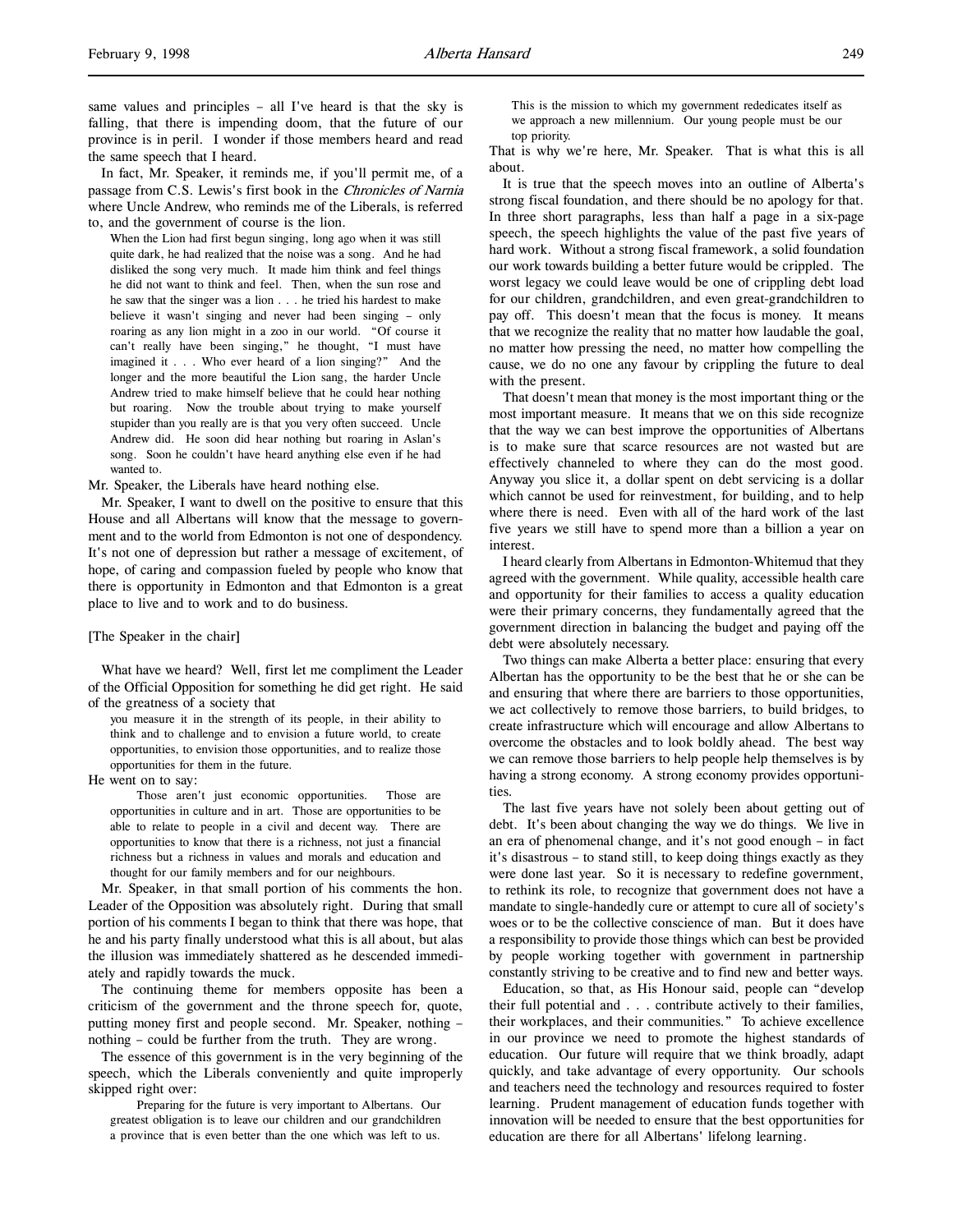same values and principles – all I've heard is that the sky is falling, that there is impending doom, that the future of our province is in peril. I wonder if those members heard and read the same speech that I heard.

In fact, Mr. Speaker, it reminds me, if you'll permit me, of a passage from C.S. Lewis's first book in the Chronicles of Narnia where Uncle Andrew, who reminds me of the Liberals, is referred to, and the government of course is the lion.

When the Lion had first begun singing, long ago when it was still quite dark, he had realized that the noise was a song. And he had disliked the song very much. It made him think and feel things he did not want to think and feel. Then, when the sun rose and he saw that the singer was a lion . . . he tried his hardest to make believe it wasn't singing and never had been singing – only roaring as any lion might in a zoo in our world. "Of course it can't really have been singing," he thought, "I must have imagined it . . . Who ever heard of a lion singing?" And the longer and the more beautiful the Lion sang, the harder Uncle Andrew tried to make himself believe that he could hear nothing but roaring. Now the trouble about trying to make yourself stupider than you really are is that you very often succeed. Uncle Andrew did. He soon did hear nothing but roaring in Aslan's song. Soon he couldn't have heard anything else even if he had wanted to.

Mr. Speaker, the Liberals have heard nothing else.

Mr. Speaker, I want to dwell on the positive to ensure that this House and all Albertans will know that the message to government and to the world from Edmonton is not one of despondency. It's not one of depression but rather a message of excitement, of hope, of caring and compassion fueled by people who know that there is opportunity in Edmonton and that Edmonton is a great place to live and to work and to do business.

[The Speaker in the chair]

What have we heard? Well, first let me compliment the Leader of the Official Opposition for something he did get right. He said of the greatness of a society that

you measure it in the strength of its people, in their ability to think and to challenge and to envision a future world, to create opportunities, to envision those opportunities, and to realize those opportunities for them in the future.

He went on to say:

Those aren't just economic opportunities. Those are opportunities in culture and in art. Those are opportunities to be able to relate to people in a civil and decent way. There are opportunities to know that there is a richness, not just a financial richness but a richness in values and morals and education and thought for our family members and for our neighbours.

Mr. Speaker, in that small portion of his comments the hon. Leader of the Opposition was absolutely right. During that small portion of his comments I began to think that there was hope, that he and his party finally understood what this is all about, but alas the illusion was immediately shattered as he descended immediately and rapidly towards the muck.

The continuing theme for members opposite has been a criticism of the government and the throne speech for, quote, putting money first and people second. Mr. Speaker, nothing – nothing – could be further from the truth. They are wrong.

The essence of this government is in the very beginning of the speech, which the Liberals conveniently and quite improperly skipped right over:

Preparing for the future is very important to Albertans. Our greatest obligation is to leave our children and our grandchildren a province that is even better than the one which was left to us.

This is the mission to which my government rededicates itself as we approach a new millennium. Our young people must be our top priority.

That is why we're here, Mr. Speaker. That is what this is all about.

It is true that the speech moves into an outline of Alberta's strong fiscal foundation, and there should be no apology for that. In three short paragraphs, less than half a page in a six-page speech, the speech highlights the value of the past five years of hard work. Without a strong fiscal framework, a solid foundation our work towards building a better future would be crippled. The worst legacy we could leave would be one of crippling debt load for our children, grandchildren, and even great-grandchildren to pay off. This doesn't mean that the focus is money. It means that we recognize the reality that no matter how laudable the goal, no matter how pressing the need, no matter how compelling the cause, we do no one any favour by crippling the future to deal with the present.

That doesn't mean that money is the most important thing or the most important measure. It means that we on this side recognize that the way we can best improve the opportunities of Albertans is to make sure that scarce resources are not wasted but are effectively channeled to where they can do the most good. Anyway you slice it, a dollar spent on debt servicing is a dollar which cannot be used for reinvestment, for building, and to help where there is need. Even with all of the hard work of the last five years we still have to spend more than a billion a year on interest.

I heard clearly from Albertans in Edmonton-Whitemud that they agreed with the government. While quality, accessible health care and opportunity for their families to access a quality education were their primary concerns, they fundamentally agreed that the government direction in balancing the budget and paying off the debt were absolutely necessary.

Two things can make Alberta a better place: ensuring that every Albertan has the opportunity to be the best that he or she can be and ensuring that where there are barriers to those opportunities, we act collectively to remove those barriers, to build bridges, to create infrastructure which will encourage and allow Albertans to overcome the obstacles and to look boldly ahead. The best way we can remove those barriers to help people help themselves is by having a strong economy. A strong economy provides opportunities.

The last five years have not solely been about getting out of debt. It's been about changing the way we do things. We live in an era of phenomenal change, and it's not good enough – in fact it's disastrous – to stand still, to keep doing things exactly as they were done last year. So it is necessary to redefine government, to rethink its role, to recognize that government does not have a mandate to single-handedly cure or attempt to cure all of society's woes or to be the collective conscience of man. But it does have a responsibility to provide those things which can best be provided by people working together with government in partnership constantly striving to be creative and to find new and better ways.

Education, so that, as His Honour said, people can "develop their full potential and . . . contribute actively to their families, their workplaces, and their communities." To achieve excellence in our province we need to promote the highest standards of education. Our future will require that we think broadly, adapt quickly, and take advantage of every opportunity. Our schools and teachers need the technology and resources required to foster learning. Prudent management of education funds together with innovation will be needed to ensure that the best opportunities for education are there for all Albertans' lifelong learning.